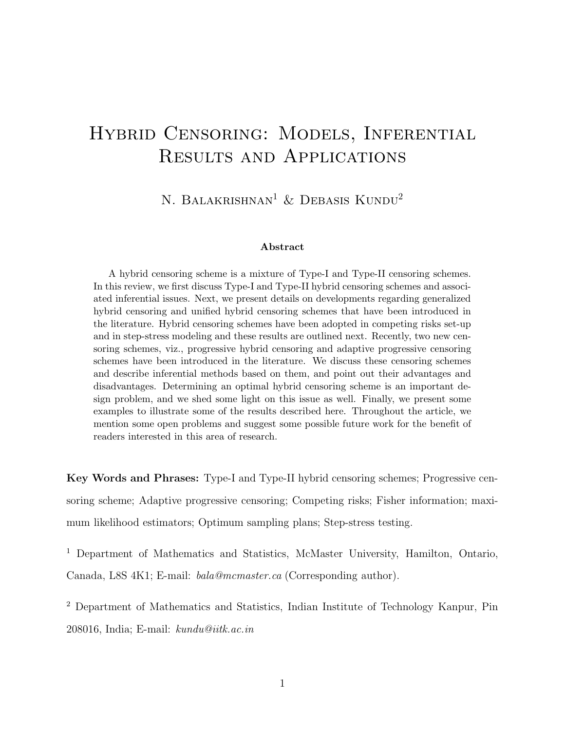# Hybrid Censoring: Models, Inferential Results and Applications

N. BALAKRISHNAN<sup>1</sup> & DEBASIS KUNDU<sup>2</sup>

#### Abstract

A hybrid censoring scheme is a mixture of Type-I and Type-II censoring schemes. In this review, we first discuss Type-I and Type-II hybrid censoring schemes and associated inferential issues. Next, we present details on developments regarding generalized hybrid censoring and unified hybrid censoring schemes that have been introduced in the literature. Hybrid censoring schemes have been adopted in competing risks set-up and in step-stress modeling and these results are outlined next. Recently, two new censoring schemes, viz., progressive hybrid censoring and adaptive progressive censoring schemes have been introduced in the literature. We discuss these censoring schemes and describe inferential methods based on them, and point out their advantages and disadvantages. Determining an optimal hybrid censoring scheme is an important design problem, and we shed some light on this issue as well. Finally, we present some examples to illustrate some of the results described here. Throughout the article, we mention some open problems and suggest some possible future work for the benefit of readers interested in this area of research.

Key Words and Phrases: Type-I and Type-II hybrid censoring schemes; Progressive censoring scheme; Adaptive progressive censoring; Competing risks; Fisher information; maximum likelihood estimators; Optimum sampling plans; Step-stress testing.

<sup>1</sup> Department of Mathematics and Statistics, McMaster University, Hamilton, Ontario, Canada, L8S 4K1; E-mail: bala@mcmaster.ca (Corresponding author).

<sup>2</sup> Department of Mathematics and Statistics, Indian Institute of Technology Kanpur, Pin 208016, India; E-mail: kundu@iitk.ac.in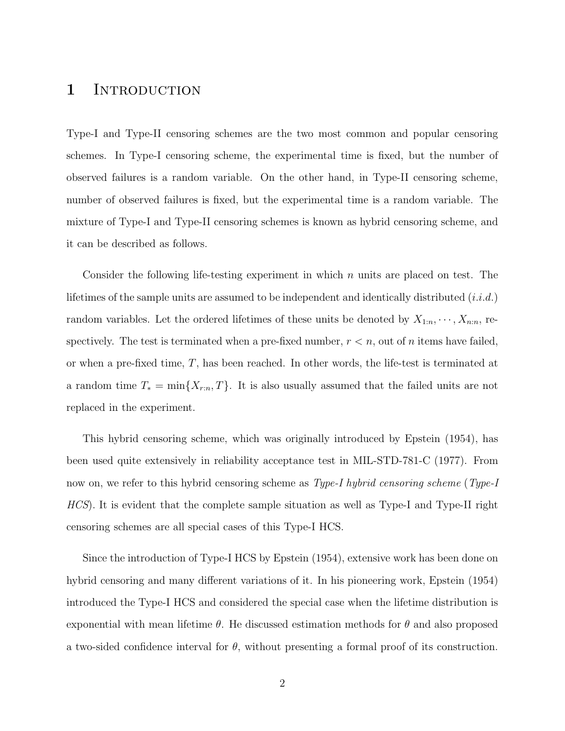## 1 INTRODUCTION

Type-I and Type-II censoring schemes are the two most common and popular censoring schemes. In Type-I censoring scheme, the experimental time is fixed, but the number of observed failures is a random variable. On the other hand, in Type-II censoring scheme, number of observed failures is fixed, but the experimental time is a random variable. The mixture of Type-I and Type-II censoring schemes is known as hybrid censoring scheme, and it can be described as follows.

Consider the following life-testing experiment in which  $n$  units are placed on test. The lifetimes of the sample units are assumed to be independent and identically distributed  $(i.i.d.)$ random variables. Let the ordered lifetimes of these units be denoted by  $X_{1:n}, \dots, X_{n:n}$ , respectively. The test is terminated when a pre-fixed number,  $r < n$ , out of *n* items have failed, or when a pre-fixed time,  $T$ , has been reached. In other words, the life-test is terminated at a random time  $T_* = \min\{X_{r:n}, T\}$ . It is also usually assumed that the failed units are not replaced in the experiment.

This hybrid censoring scheme, which was originally introduced by Epstein (1954), has been used quite extensively in reliability acceptance test in MIL-STD-781-C (1977). From now on, we refer to this hybrid censoring scheme as *Type-I hybrid censoring scheme (Type-I* HCS). It is evident that the complete sample situation as well as Type-I and Type-II right censoring schemes are all special cases of this Type-I HCS.

Since the introduction of Type-I HCS by Epstein (1954), extensive work has been done on hybrid censoring and many different variations of it. In his pioneering work, Epstein (1954) introduced the Type-I HCS and considered the special case when the lifetime distribution is exponential with mean lifetime  $\theta$ . He discussed estimation methods for  $\theta$  and also proposed a two-sided confidence interval for  $\theta$ , without presenting a formal proof of its construction.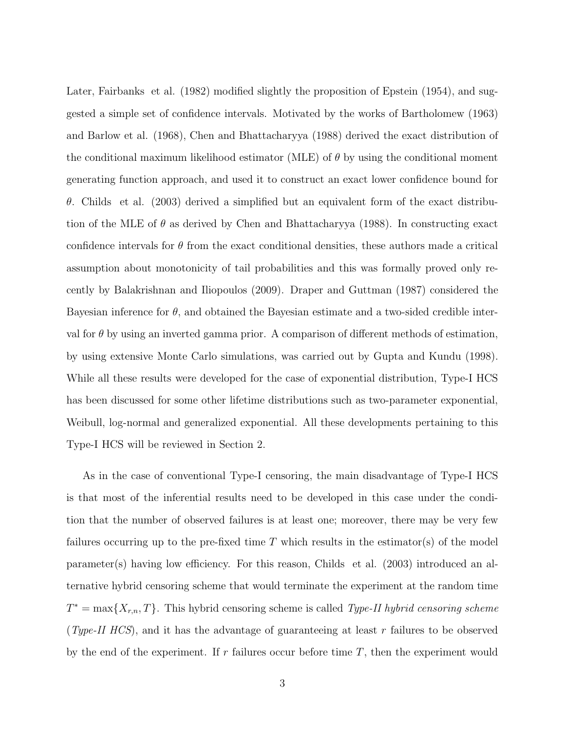Later, Fairbanks et al. (1982) modified slightly the proposition of Epstein (1954), and suggested a simple set of confidence intervals. Motivated by the works of Bartholomew (1963) and Barlow et al. (1968), Chen and Bhattacharyya (1988) derived the exact distribution of the conditional maximum likelihood estimator (MLE) of  $\theta$  by using the conditional moment generating function approach, and used it to construct an exact lower confidence bound for θ. Childs et al. (2003) derived a simplified but an equivalent form of the exact distribution of the MLE of  $\theta$  as derived by Chen and Bhattacharyya (1988). In constructing exact confidence intervals for  $\theta$  from the exact conditional densities, these authors made a critical assumption about monotonicity of tail probabilities and this was formally proved only recently by Balakrishnan and Iliopoulos (2009). Draper and Guttman (1987) considered the Bayesian inference for  $\theta$ , and obtained the Bayesian estimate and a two-sided credible interval for  $\theta$  by using an inverted gamma prior. A comparison of different methods of estimation, by using extensive Monte Carlo simulations, was carried out by Gupta and Kundu (1998). While all these results were developed for the case of exponential distribution, Type-I HCS has been discussed for some other lifetime distributions such as two-parameter exponential, Weibull, log-normal and generalized exponential. All these developments pertaining to this Type-I HCS will be reviewed in Section 2.

As in the case of conventional Type-I censoring, the main disadvantage of Type-I HCS is that most of the inferential results need to be developed in this case under the condition that the number of observed failures is at least one; moreover, there may be very few failures occurring up to the pre-fixed time  $T$  which results in the estimator(s) of the model parameter(s) having low efficiency. For this reason, Childs et al. (2003) introduced an alternative hybrid censoring scheme that would terminate the experiment at the random time  $T^* = \max\{X_{r,n}, T\}$ . This hybrid censoring scheme is called *Type-II hybrid censoring scheme* (Type-II HCS), and it has the advantage of guaranteeing at least r failures to be observed by the end of the experiment. If  $r$  failures occur before time  $T$ , then the experiment would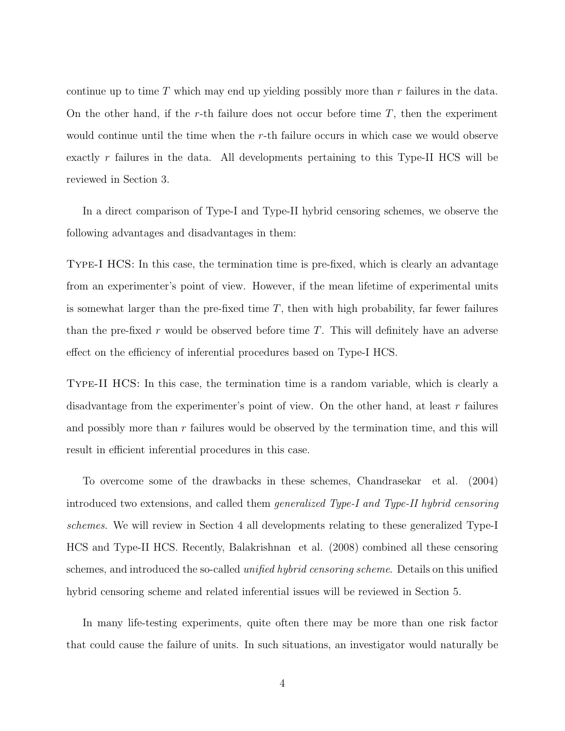continue up to time  $T$  which may end up yielding possibly more than  $r$  failures in the data. On the other hand, if the r-th failure does not occur before time  $T$ , then the experiment would continue until the time when the  $r$ -th failure occurs in which case we would observe exactly r failures in the data. All developments pertaining to this Type-II HCS will be reviewed in Section 3.

In a direct comparison of Type-I and Type-II hybrid censoring schemes, we observe the following advantages and disadvantages in them:

Type-I HCS: In this case, the termination time is pre-fixed, which is clearly an advantage from an experimenter's point of view. However, if the mean lifetime of experimental units is somewhat larger than the pre-fixed time  $T$ , then with high probability, far fewer failures than the pre-fixed r would be observed before time  $T$ . This will definitely have an adverse effect on the efficiency of inferential procedures based on Type-I HCS.

Type-II HCS: In this case, the termination time is a random variable, which is clearly a disadvantage from the experimenter's point of view. On the other hand, at least  $r$  failures and possibly more than  $r$  failures would be observed by the termination time, and this will result in efficient inferential procedures in this case.

To overcome some of the drawbacks in these schemes, Chandrasekar et al. (2004) introduced two extensions, and called them generalized Type-I and Type-II hybrid censoring schemes. We will review in Section 4 all developments relating to these generalized Type-I HCS and Type-II HCS. Recently, Balakrishnan et al. (2008) combined all these censoring schemes, and introduced the so-called *unified hybrid censoring scheme*. Details on this unified hybrid censoring scheme and related inferential issues will be reviewed in Section 5.

In many life-testing experiments, quite often there may be more than one risk factor that could cause the failure of units. In such situations, an investigator would naturally be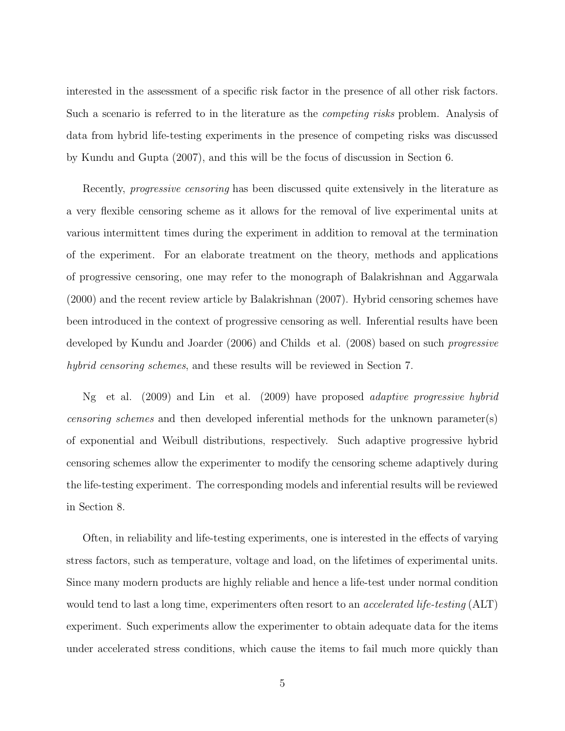interested in the assessment of a specific risk factor in the presence of all other risk factors. Such a scenario is referred to in the literature as the competing risks problem. Analysis of data from hybrid life-testing experiments in the presence of competing risks was discussed by Kundu and Gupta (2007), and this will be the focus of discussion in Section 6.

Recently, *progressive censoring* has been discussed quite extensively in the literature as a very flexible censoring scheme as it allows for the removal of live experimental units at various intermittent times during the experiment in addition to removal at the termination of the experiment. For an elaborate treatment on the theory, methods and applications of progressive censoring, one may refer to the monograph of Balakrishnan and Aggarwala (2000) and the recent review article by Balakrishnan (2007). Hybrid censoring schemes have been introduced in the context of progressive censoring as well. Inferential results have been developed by Kundu and Joarder (2006) and Childs et al. (2008) based on such progressive hybrid censoring schemes, and these results will be reviewed in Section 7.

Ng et al. (2009) and Lin et al. (2009) have proposed adaptive progressive hybrid censoring schemes and then developed inferential methods for the unknown parameter(s) of exponential and Weibull distributions, respectively. Such adaptive progressive hybrid censoring schemes allow the experimenter to modify the censoring scheme adaptively during the life-testing experiment. The corresponding models and inferential results will be reviewed in Section 8.

Often, in reliability and life-testing experiments, one is interested in the effects of varying stress factors, such as temperature, voltage and load, on the lifetimes of experimental units. Since many modern products are highly reliable and hence a life-test under normal condition would tend to last a long time, experimenters often resort to an *accelerated life-testing* (ALT) experiment. Such experiments allow the experimenter to obtain adequate data for the items under accelerated stress conditions, which cause the items to fail much more quickly than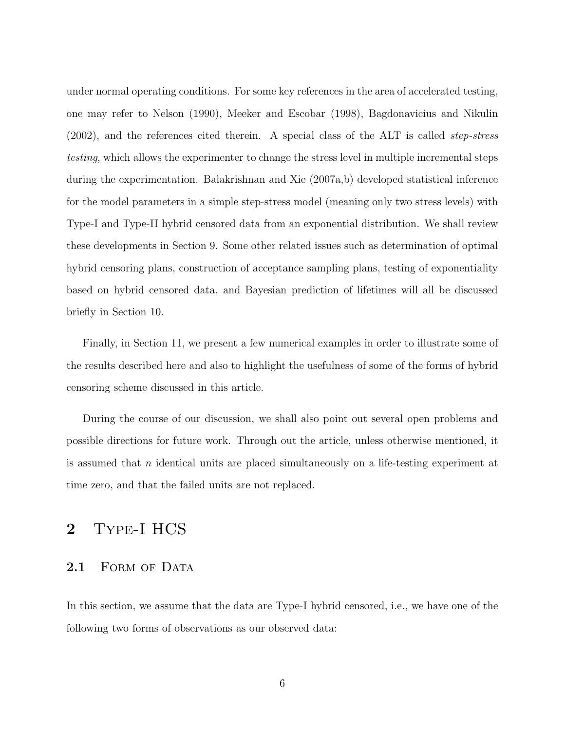under normal operating conditions. For some key references in the area of accelerated testing, one may refer to Nelson (1990), Meeker and Escobar (1998), Bagdonavicius and Nikulin (2002), and the references cited therein. A special class of the ALT is called step-stress testing, which allows the experimenter to change the stress level in multiple incremental steps during the experimentation. Balakrishnan and Xie (2007a,b) developed statistical inference for the model parameters in a simple step-stress model (meaning only two stress levels) with Type-I and Type-II hybrid censored data from an exponential distribution. We shall review these developments in Section 9. Some other related issues such as determination of optimal hybrid censoring plans, construction of acceptance sampling plans, testing of exponentiality based on hybrid censored data, and Bayesian prediction of lifetimes will all be discussed briefly in Section 10.

Finally, in Section 11, we present a few numerical examples in order to illustrate some of the results described here and also to highlight the usefulness of some of the forms of hybrid censoring scheme discussed in this article.

During the course of our discussion, we shall also point out several open problems and possible directions for future work. Through out the article, unless otherwise mentioned, it is assumed that n identical units are placed simultaneously on a life-testing experiment at time zero, and that the failed units are not replaced.

## 2 Type-I HCS

## 2.1 FORM OF DATA

In this section, we assume that the data are Type-I hybrid censored, i.e., we have one of the following two forms of observations as our observed data: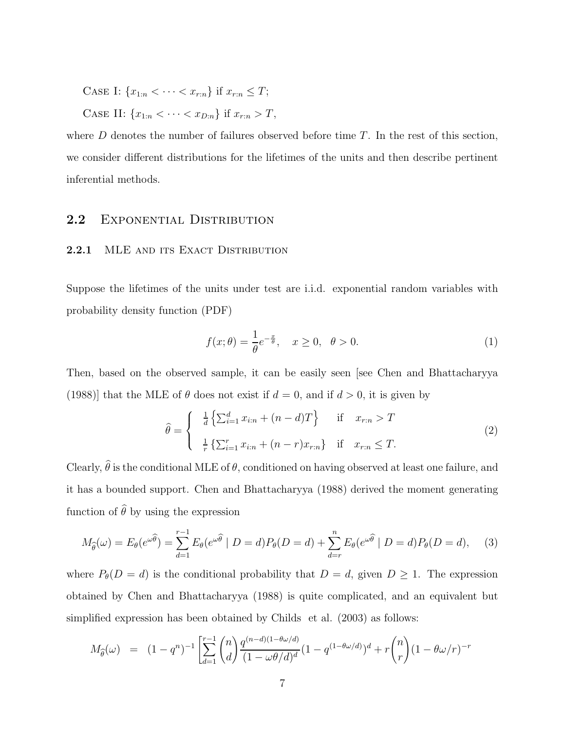CASE I:  ${x_{1:n} < \cdots < x_{r:n}}$  if  $x_{r:n} \leq T$ ;

CASE II:  ${x_{1:n} < \cdots < x_{D:n}}$  if  $x_{r:n} > T$ ,

where  $D$  denotes the number of failures observed before time  $T$ . In the rest of this section, we consider different distributions for the lifetimes of the units and then describe pertinent inferential methods.

## 2.2 EXPONENTIAL DISTRIBUTION

## 2.2.1 MLE AND ITS EXACT DISTRIBUTION

Suppose the lifetimes of the units under test are i.i.d. exponential random variables with probability density function (PDF)

$$
f(x; \theta) = \frac{1}{\theta} e^{-\frac{x}{\theta}}, \quad x \ge 0, \quad \theta > 0.
$$
 (1)

Then, based on the observed sample, it can be easily seen [see Chen and Bhattacharyya (1988)] that the MLE of  $\theta$  does not exist if  $d = 0$ , and if  $d > 0$ , it is given by

$$
\hat{\theta} = \begin{cases}\n\frac{1}{d} \left\{ \sum_{i=1}^{d} x_{i:n} + (n-d)T \right\} & \text{if } x_{r:n} > T \\
\frac{1}{r} \left\{ \sum_{i=1}^{r} x_{i:n} + (n-r)x_{r:n} \right\} & \text{if } x_{r:n} \le T.\n\end{cases}
$$
\n(2)

Clearly,  $\hat{\theta}$  is the conditional MLE of  $\theta$ , conditioned on having observed at least one failure, and it has a bounded support. Chen and Bhattacharyya (1988) derived the moment generating function of  $\hat{\theta}$  by using the expression

$$
M_{\widehat{\theta}}(\omega) = E_{\theta}(e^{\omega\widehat{\theta}}) = \sum_{d=1}^{r-1} E_{\theta}(e^{\omega\widehat{\theta}} \mid D=d)P_{\theta}(D=d) + \sum_{d=r}^{n} E_{\theta}(e^{\omega\widehat{\theta}} \mid D=d)P_{\theta}(D=d), \quad (3)
$$

where  $P_{\theta}(D = d)$  is the conditional probability that  $D = d$ , given  $D \geq 1$ . The expression obtained by Chen and Bhattacharyya (1988) is quite complicated, and an equivalent but simplified expression has been obtained by Childs et al. (2003) as follows:

$$
M_{\hat{\theta}}(\omega) = (1 - q^n)^{-1} \left[ \sum_{d=1}^{r-1} {n \choose d} \frac{q^{(n-d)(1 - \theta \omega/d)}}{(1 - \omega \theta/d)^d} (1 - q^{(1 - \theta \omega/d)})^d + r \binom{n}{r} (1 - \theta \omega/r)^{-r} \right]
$$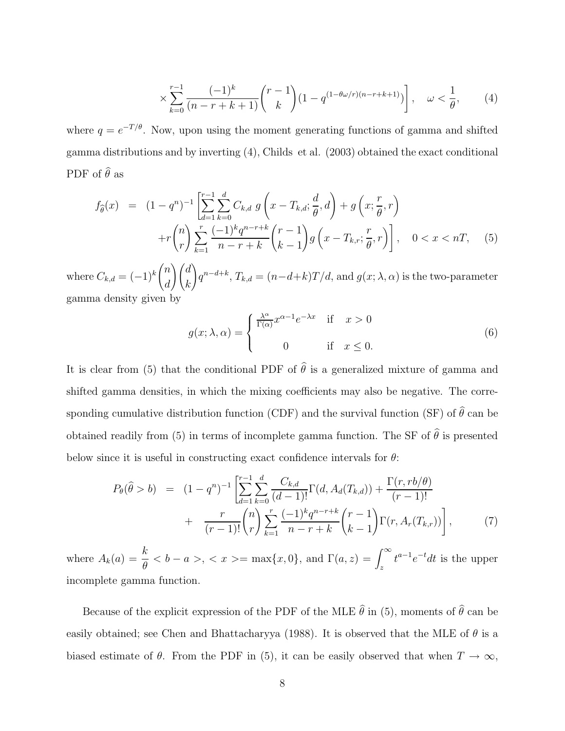$$
\times \sum_{k=0}^{r-1} \frac{(-1)^k}{(n-r+k+1)} \binom{r-1}{k} (1 - q^{(1-\theta\omega/r)(n-r+k+1)}) \,, \quad \omega < \frac{1}{\theta},\tag{4}
$$

where  $q = e^{-T/\theta}$ . Now, upon using the moment generating functions of gamma and shifted gamma distributions and by inverting (4), Childs et al. (2003) obtained the exact conditional PDF of  $\hat{\theta}$  as

$$
f_{\hat{\theta}}(x) = (1 - q^n)^{-1} \left[ \sum_{d=1}^{r-1} \sum_{k=0}^d C_{k,d} g\left(x - T_{k,d}; \frac{d}{\theta}, d\right) + g\left(x; \frac{r}{\theta}, r\right) \right] + r \binom{n}{r} \sum_{k=1}^r \frac{(-1)^k q^{n-r+k}}{n - r + k} \binom{r-1}{k-1} g\left(x - T_{k,r}; \frac{r}{\theta}, r\right), \quad 0 < x < n, \quad (5)
$$

where  $C_{k,d} = (-1)^k$  $\sqrt{n}$ d  $\bigwedge d$ k !  $q^{n-d+k}$ ,  $T_{k,d} = (n-d+k)T/d$ , and  $g(x; \lambda, \alpha)$  is the two-parameter gamma density given by

$$
g(x; \lambda, \alpha) = \begin{cases} \frac{\lambda^{\alpha}}{\Gamma(\alpha)} x^{\alpha - 1} e^{-\lambda x} & \text{if } x > 0 \\ 0 & \text{if } x \le 0. \end{cases}
$$
 (6)

It is clear from (5) that the conditional PDF of  $\hat{\theta}$  is a generalized mixture of gamma and shifted gamma densities, in which the mixing coefficients may also be negative. The corresponding cumulative distribution function (CDF) and the survival function (SF) of  $\hat{\theta}$  can be obtained readily from (5) in terms of incomplete gamma function. The SF of  $\hat{\theta}$  is presented below since it is useful in constructing exact confidence intervals for  $\theta$ :

$$
P_{\theta}(\hat{\theta} > b) = (1 - q^n)^{-1} \left[ \sum_{d=1}^{r-1} \sum_{k=0}^{d} \frac{C_{k,d}}{(d-1)!} \Gamma(d, A_d(T_{k,d})) + \frac{\Gamma(r, rb/\theta)}{(r-1)!} + \frac{r}{(r-1)!} {n \choose r} \sum_{k=1}^{r} \frac{(-1)^k q^{n-r+k}}{n-r+k} {r-1 \choose k-1} \Gamma(r, A_r(T_{k,r})) \right],
$$
(7)

where  $A_k(a) = \frac{k}{\theta} < b - a >$ ,  $\lt x \gt \gt \max\{x, 0\}$ , and  $\Gamma(a, z) = \int_z^{\infty} t^{a-1} e^{-t} dt$  is the upper incomplete gamma function.

Because of the explicit expression of the PDF of the MLE  $\hat{\theta}$  in (5), moments of  $\hat{\theta}$  can be easily obtained; see Chen and Bhattacharyya (1988). It is observed that the MLE of  $\theta$  is a biased estimate of  $\theta$ . From the PDF in (5), it can be easily observed that when  $T \to \infty$ ,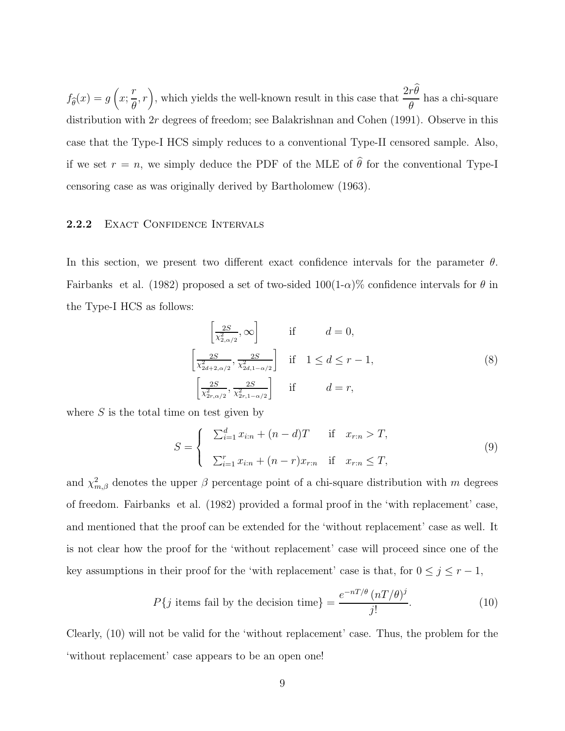$f_{\widehat{\theta}}(x) = g\left(x; \right)$ r θ  $(r)$ , which yields the well-known result in this case that  $\frac{2r\theta}{\theta}$ θ has a chi-square distribution with 2r degrees of freedom; see Balakrishnan and Cohen (1991). Observe in this case that the Type-I HCS simply reduces to a conventional Type-II censored sample. Also, if we set  $r = n$ , we simply deduce the PDF of the MLE of  $\hat{\theta}$  for the conventional Type-I censoring case as was originally derived by Bartholomew (1963).

## 2.2.2 EXACT CONFIDENCE INTERVALS

In this section, we present two different exact confidence intervals for the parameter  $\theta$ . Fairbanks et al. (1982) proposed a set of two-sided  $100(1-\alpha)\%$  confidence intervals for  $\theta$  in the Type-I HCS as follows:

$$
\left[\frac{2S}{\chi_{2,\alpha/2}^2}, \infty\right] \quad \text{if} \quad d = 0,
$$
\n
$$
\left[\frac{2S}{\chi_{2d+2,\alpha/2}^2}, \frac{2S}{\chi_{2d,1-\alpha/2}^2}\right] \quad \text{if} \quad 1 \le d \le r-1,
$$
\n
$$
\left[\frac{2S}{\chi_{2r,\alpha/2}^2}, \frac{2S}{\chi_{2r,1-\alpha/2}^2}\right] \quad \text{if} \quad d = r,
$$
\n(8)

where  $S$  is the total time on test given by

$$
S = \begin{cases} \sum_{i=1}^{d} x_{i:n} + (n-d)T & \text{if } x_{r:n} > T, \\ \sum_{i=1}^{r} x_{i:n} + (n-r)x_{r:n} & \text{if } x_{r:n} \le T, \end{cases}
$$
(9)

and  $\chi^2_{m,\beta}$  denotes the upper  $\beta$  percentage point of a chi-square distribution with m degrees of freedom. Fairbanks et al. (1982) provided a formal proof in the 'with replacement' case, and mentioned that the proof can be extended for the 'without replacement' case as well. It is not clear how the proof for the 'without replacement' case will proceed since one of the key assumptions in their proof for the 'with replacement' case is that, for  $0 \le j \le r - 1$ ,

$$
P\{j \text{ items fail by the decision time}\} = \frac{e^{-nT/\theta} (nT/\theta)^j}{j!}.
$$
 (10)

Clearly, (10) will not be valid for the 'without replacement' case. Thus, the problem for the 'without replacement' case appears to be an open one!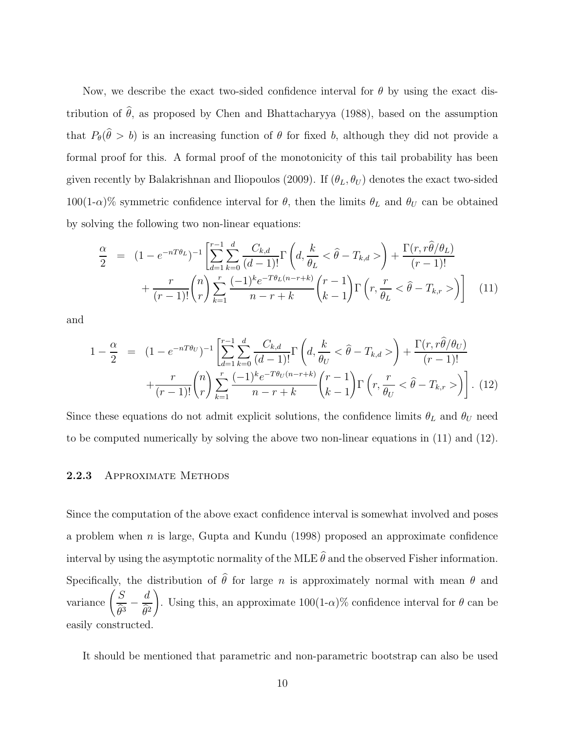Now, we describe the exact two-sided confidence interval for  $\theta$  by using the exact distribution of  $\hat{\theta}$ , as proposed by Chen and Bhattacharyya (1988), based on the assumption that  $P_{\theta}(\theta > b)$  is an increasing function of  $\theta$  for fixed b, although they did not provide a formal proof for this. A formal proof of the monotonicity of this tail probability has been given recently by Balakrishnan and Iliopoulos (2009). If  $(\theta_L, \theta_U)$  denotes the exact two-sided 100(1- $\alpha$ )% symmetric confidence interval for  $\theta$ , then the limits  $\theta_L$  and  $\theta_U$  can be obtained by solving the following two non-linear equations:

$$
\frac{\alpha}{2} = (1 - e^{-nT\theta_L})^{-1} \left[ \sum_{d=1}^{r-1} \sum_{k=0}^{d} \frac{C_{k,d}}{(d-1)!} \Gamma\left(d, \frac{k}{\theta_L} < \hat{\theta} - T_{k,d} > \right) + \frac{\Gamma(r, r\hat{\theta}/\theta_L)}{(r-1)!} + \frac{r}{(r-1)!} {n \choose r} \sum_{k=1}^{r} \frac{(-1)^k e^{-T\theta_L(n-r+k)}}{n-r+k} {r-1 \choose k-1} \Gamma\left(r, \frac{r}{\theta_L} < \hat{\theta} - T_{k,r} > \right) \right]
$$
(11)

and

$$
1 - \frac{\alpha}{2} = (1 - e^{-nT\theta_U})^{-1} \left[ \sum_{d=1}^{r-1} \sum_{k=0}^d \frac{C_{k,d}}{(d-1)!} \Gamma\left(d, \frac{k}{\theta_U} < \hat{\theta} - T_{k,d} > \right) + \frac{\Gamma(r, r\hat{\theta}/\theta_U)}{(r-1)!} + \frac{r}{(r-1)!} {n \choose r} \sum_{k=1}^r \frac{(-1)^k e^{-T\theta_U(n-r+k)}}{n-r+k} {r-1 \choose k-1} \Gamma\left(r, \frac{r}{\theta_U} < \hat{\theta} - T_{k,r} > \right) \right].
$$
 (12)

Since these equations do not admit explicit solutions, the confidence limits  $\theta_L$  and  $\theta_U$  need to be computed numerically by solving the above two non-linear equations in (11) and (12).

#### 2.2.3 APPROXIMATE METHODS

Since the computation of the above exact confidence interval is somewhat involved and poses a problem when n is large, Gupta and Kundu (1998) proposed an approximate confidence interval by using the asymptotic normality of the MLE  $\hat{\theta}$  and the observed Fisher information. Specifically, the distribution of  $\hat{\theta}$  for large n is approximately normal with mean  $\theta$  and variance  $\left(\frac{S}{\hat{S}}\right)$  $\frac{\widehat{\theta}^3}{}$ d  $\theta^2$ ! . Using this, an approximate  $100(1-\alpha)\%$  confidence interval for  $\theta$  can be easily constructed.

It should be mentioned that parametric and non-parametric bootstrap can also be used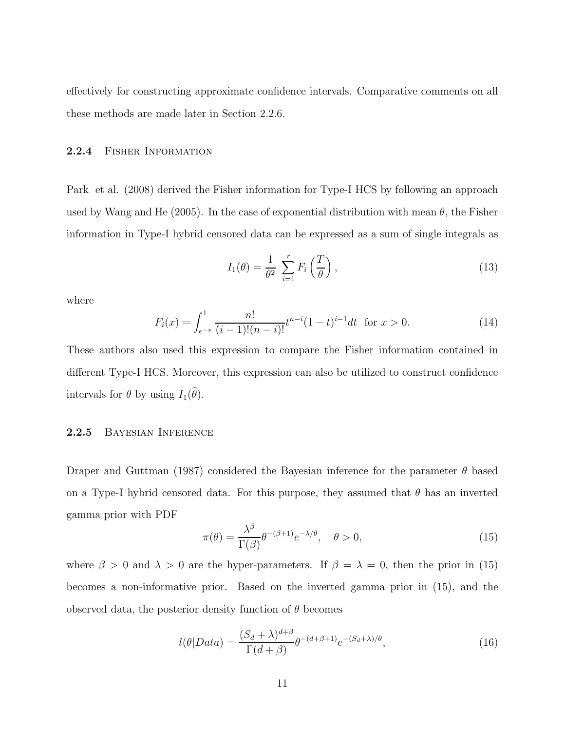effectively for constructing approximate confidence intervals. Comparative comments on all these methods are made later in Section 2.2.6.

## 2.2.4 Fisher Information

Park et al. (2008) derived the Fisher information for Type-I HCS by following an approach used by Wang and He (2005). In the case of exponential distribution with mean  $\theta$ , the Fisher information in Type-I hybrid censored data can be expressed as a sum of single integrals as

$$
I_1(\theta) = \frac{1}{\theta^2} \sum_{i=1}^r F_i\left(\frac{T}{\theta}\right),\tag{13}
$$

where

$$
F_i(x) = \int_{e^{-x}}^1 \frac{n!}{(i-1)!(n-i)!} t^{n-i} (1-t)^{i-1} dt \text{ for } x > 0.
$$
 (14)

These authors also used this expression to compare the Fisher information contained in different Type-I HCS. Moreover, this expression can also be utilized to construct confidence intervals for  $\theta$  by using  $I_1(\theta)$ .

## 2.2.5 Bayesian Inference

Draper and Guttman (1987) considered the Bayesian inference for the parameter  $\theta$  based on a Type-I hybrid censored data. For this purpose, they assumed that  $\theta$  has an inverted gamma prior with PDF

$$
\pi(\theta) = \frac{\lambda^{\beta}}{\Gamma(\beta)} \theta^{-(\beta+1)} e^{-\lambda/\theta}, \quad \theta > 0,
$$
\n(15)

where  $\beta > 0$  and  $\lambda > 0$  are the hyper-parameters. If  $\beta = \lambda = 0$ , then the prior in (15) becomes a non-informative prior. Based on the inverted gamma prior in (15), and the observed data, the posterior density function of  $\theta$  becomes

$$
l(\theta|Data) = \frac{(S_d + \lambda)^{d+\beta}}{\Gamma(d+\beta)} \theta^{-(d+\beta+1)} e^{-(S_d + \lambda)/\theta},\tag{16}
$$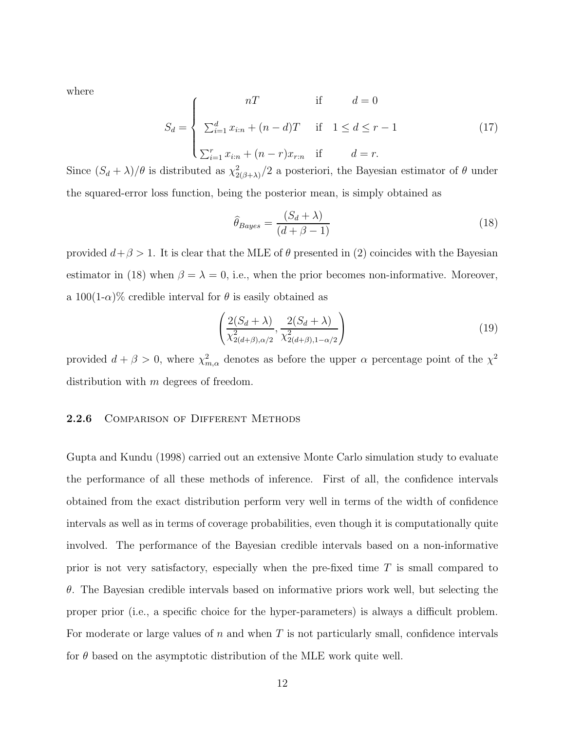where

$$
S_d = \begin{cases} nT & \text{if } d = 0\\ \sum_{i=1}^d x_{i:n} + (n-d)T & \text{if } 1 \le d \le r-1\\ \sum_{i=1}^r x_{i:n} + (n-r)x_{r:n} & \text{if } d = r. \end{cases}
$$
(17)

Since  $(S_d + \lambda)/\theta$  is distributed as  $\chi^2_{2(\beta+\lambda)}/2$  a posteriori, the Bayesian estimator of  $\theta$  under the squared-error loss function, being the posterior mean, is simply obtained as

$$
\hat{\theta}_{Bayes} = \frac{(S_d + \lambda)}{(d + \beta - 1)}
$$
\n(18)

provided  $d+\beta > 1$ . It is clear that the MLE of  $\theta$  presented in (2) coincides with the Bayesian estimator in (18) when  $\beta = \lambda = 0$ , i.e., when the prior becomes non-informative. Moreover, a  $100(1-\alpha)\%$  credible interval for  $\theta$  is easily obtained as

$$
\left(\frac{2(S_d+\lambda)}{\chi^2_{2(d+\beta),\alpha/2}}, \frac{2(S_d+\lambda)}{\chi^2_{2(d+\beta),1-\alpha/2}}\right)
$$
\n(19)

provided  $d + \beta > 0$ , where  $\chi^2_{m,\alpha}$  denotes as before the upper  $\alpha$  percentage point of the  $\chi^2$ distribution with m degrees of freedom.

#### 2.2.6 COMPARISON OF DIFFERENT METHODS

Gupta and Kundu (1998) carried out an extensive Monte Carlo simulation study to evaluate the performance of all these methods of inference. First of all, the confidence intervals obtained from the exact distribution perform very well in terms of the width of confidence intervals as well as in terms of coverage probabilities, even though it is computationally quite involved. The performance of the Bayesian credible intervals based on a non-informative prior is not very satisfactory, especially when the pre-fixed time  $T$  is small compared to  $\theta$ . The Bayesian credible intervals based on informative priors work well, but selecting the proper prior (i.e., a specific choice for the hyper-parameters) is always a difficult problem. For moderate or large values of  $n$  and when  $T$  is not particularly small, confidence intervals for  $\theta$  based on the asymptotic distribution of the MLE work quite well.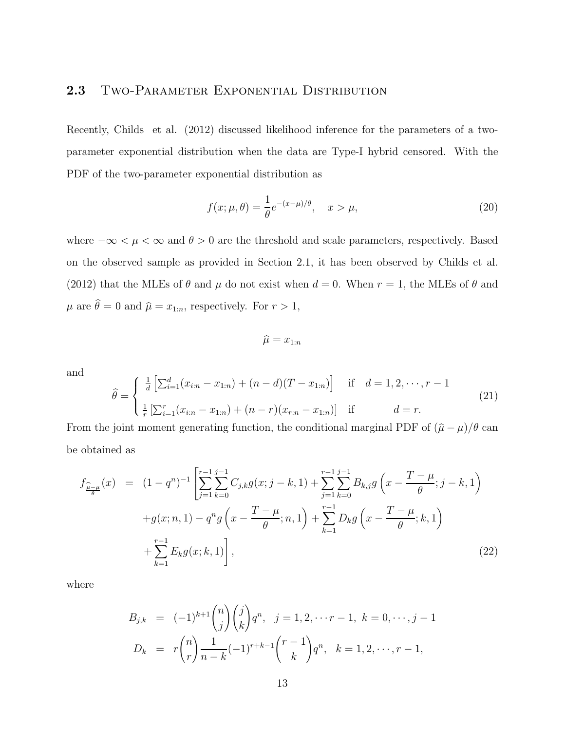## 2.3 TWO-PARAMETER EXPONENTIAL DISTRIBUTION

Recently, Childs et al. (2012) discussed likelihood inference for the parameters of a twoparameter exponential distribution when the data are Type-I hybrid censored. With the PDF of the two-parameter exponential distribution as

$$
f(x; \mu, \theta) = \frac{1}{\theta} e^{-(x-\mu)/\theta}, \quad x > \mu,
$$
\n(20)

where  $-\infty < \mu < \infty$  and  $\theta > 0$  are the threshold and scale parameters, respectively. Based on the observed sample as provided in Section 2.1, it has been observed by Childs et al. (2012) that the MLEs of  $\theta$  and  $\mu$  do not exist when  $d = 0$ . When  $r = 1$ , the MLEs of  $\theta$  and  $\mu$  are  $\widehat{\theta} = 0$  and  $\widehat{\mu} = x_{1:n},$  respectively. For  $r > 1,$ 

 $\widehat{\mu} = x_{1:n}$ 

and

$$
\hat{\theta} = \begin{cases} \frac{1}{d} \left[ \sum_{i=1}^{d} (x_{i:n} - x_{1:n}) + (n-d)(T - x_{1:n}) \right] & \text{if } d = 1, 2, \dots, r - 1 \\ \frac{1}{r} \left[ \sum_{i=1}^{r} (x_{i:n} - x_{1:n}) + (n-r)(x_{r:n} - x_{1:n}) \right] & \text{if } d = r. \end{cases}
$$
\n(21)

From the joint moment generating function, the conditional marginal PDF of  $(\hat{\mu} - \mu)/\theta$  can be obtained as

$$
f_{\frac{\widehat{\mu}-\mu}{\theta}}(x) = (1-q^n)^{-1} \left[ \sum_{j=1}^{r-1} \sum_{k=0}^{j-1} C_{j,k} g(x; j-k, 1) + \sum_{j=1}^{r-1} \sum_{k=0}^{j-1} B_{k,j} g\left(x - \frac{T-\mu}{\theta}; j-k, 1\right) \right] + g(x; n, 1) - q^n g\left(x - \frac{T-\mu}{\theta}; n, 1\right) + \sum_{k=1}^{r-1} D_k g\left(x - \frac{T-\mu}{\theta}; k, 1\right) + \sum_{k=1}^{r-1} E_k g(x; k, 1) \right],
$$
(22)

where

$$
B_{j,k} = (-1)^{k+1} {n \choose j} {j \choose k} q^n, \quad j = 1, 2, \dots r-1, \quad k = 0, \dots, j-1
$$
  

$$
D_k = r {n \choose r} \frac{1}{n-k} (-1)^{r+k-1} {r-1 \choose k} q^n, \quad k = 1, 2, \dots, r-1,
$$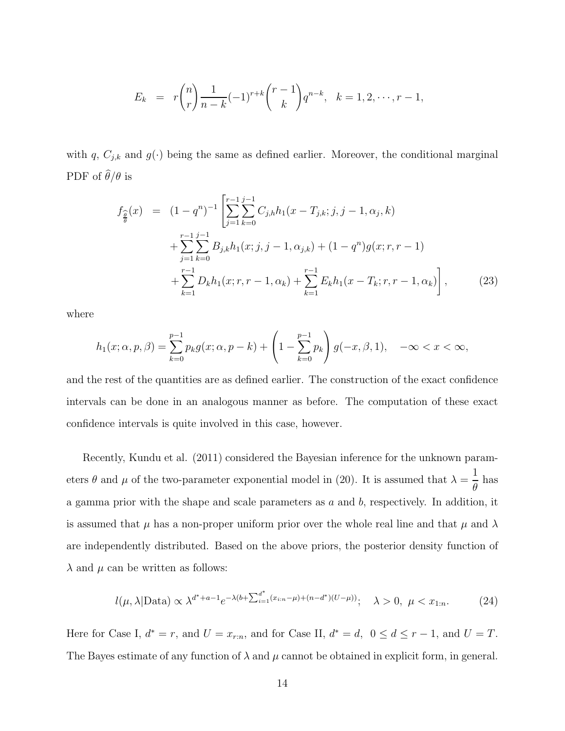$$
E_k = r \binom{n}{r} \frac{1}{n-k} (-1)^{r+k} \binom{r-1}{k} q^{n-k}, \quad k = 1, 2, \cdots, r-1,
$$

with q,  $C_{j,k}$  and  $g(\cdot)$  being the same as defined earlier. Moreover, the conditional marginal PDF of  $\hat{\theta}/\theta$  is

$$
f_{\frac{\widehat{\theta}}{\widehat{\theta}}}(x) = (1 - q^n)^{-1} \left[ \sum_{j=1}^{r-1} \sum_{k=0}^{j-1} C_{j,h} h_1(x - T_{j,k}; j, j-1, \alpha_j, k) + \sum_{j=1}^{r-1} \sum_{k=0}^{j-1} B_{j,k} h_1(x; j, j-1, \alpha_{j,k}) + (1 - q^n) g(x; r, r-1) + \sum_{k=1}^{r-1} D_k h_1(x; r, r-1, \alpha_k) + \sum_{k=1}^{r-1} E_k h_1(x - T_k; r, r-1, \alpha_k) \right],
$$
 (23)

where

$$
h_1(x; \alpha, p, \beta) = \sum_{k=0}^{p-1} p_k g(x; \alpha, p-k) + \left(1 - \sum_{k=0}^{p-1} p_k\right) g(-x, \beta, 1), \quad -\infty < x < \infty,
$$

and the rest of the quantities are as defined earlier. The construction of the exact confidence intervals can be done in an analogous manner as before. The computation of these exact confidence intervals is quite involved in this case, however.

Recently, Kundu et al. (2011) considered the Bayesian inference for the unknown parameters  $\theta$  and  $\mu$  of the two-parameter exponential model in (20). It is assumed that  $\lambda =$ 1 θ has a gamma prior with the shape and scale parameters as a and b, respectively. In addition, it is assumed that  $\mu$  has a non-proper uniform prior over the whole real line and that  $\mu$  and  $\lambda$ are independently distributed. Based on the above priors, the posterior density function of  $\lambda$  and  $\mu$  can be written as follows:

$$
l(\mu, \lambda | \text{Data}) \propto \lambda^{d^* + a - 1} e^{-\lambda(b + \sum_{i=1}^{d^*} (x_{i:n} - \mu) + (n - d^*)(U - \mu))}; \quad \lambda > 0, \ \mu < x_{1:n}.
$$
 (24)

Here for Case I,  $d^* = r$ , and  $U = x_{r:n}$ , and for Case II,  $d^* = d$ ,  $0 \le d \le r-1$ , and  $U = T$ . The Bayes estimate of any function of  $\lambda$  and  $\mu$  cannot be obtained in explicit form, in general.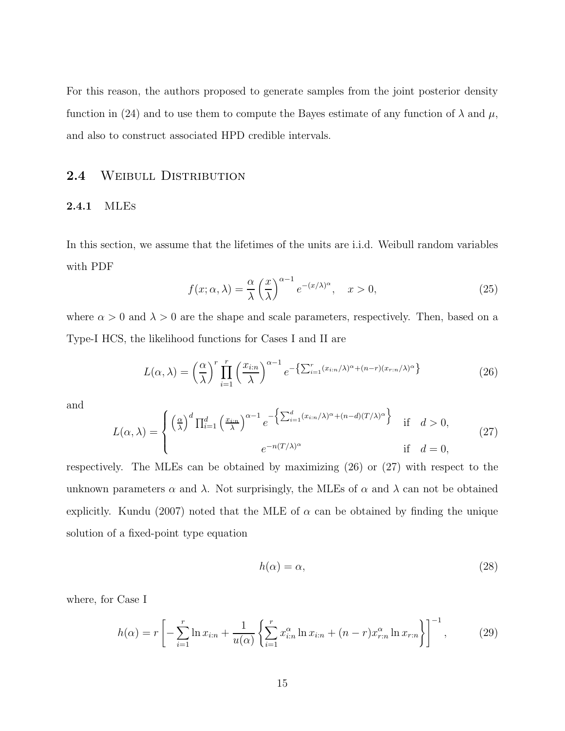For this reason, the authors proposed to generate samples from the joint posterior density function in (24) and to use them to compute the Bayes estimate of any function of  $\lambda$  and  $\mu$ , and also to construct associated HPD credible intervals.

## 2.4 WEIBULL DISTRIBUTION

#### 2.4.1 MLEs

In this section, we assume that the lifetimes of the units are i.i.d. Weibull random variables with PDF

$$
f(x; \alpha, \lambda) = \frac{\alpha}{\lambda} \left(\frac{x}{\lambda}\right)^{\alpha - 1} e^{-(x/\lambda)^{\alpha}}, \quad x > 0,
$$
 (25)

where  $\alpha > 0$  and  $\lambda > 0$  are the shape and scale parameters, respectively. Then, based on a Type-I HCS, the likelihood functions for Cases I and II are

$$
L(\alpha,\lambda) = \left(\frac{\alpha}{\lambda}\right)^r \prod_{i=1}^r \left(\frac{x_{i:n}}{\lambda}\right)^{\alpha-1} e^{-\left\{\sum_{i=1}^r (x_{i:n}/\lambda)^\alpha + (n-r)(x_{r:n}/\lambda)^\alpha\right\}}\tag{26}
$$

and

$$
L(\alpha,\lambda) = \begin{cases} \left(\frac{\alpha}{\lambda}\right)^d \prod_{i=1}^d \left(\frac{x_{i:n}}{\lambda}\right)^{\alpha-1} e^{-\left\{\sum_{i=1}^d (x_{i:n}/\lambda)^\alpha + (n-d)(T/\lambda)^\alpha\right\}} & \text{if } d > 0, \\ e^{-n(T/\lambda)^\alpha} & \text{if } d = 0, \end{cases}
$$
(27)

respectively. The MLEs can be obtained by maximizing (26) or (27) with respect to the unknown parameters  $\alpha$  and  $\lambda$ . Not surprisingly, the MLEs of  $\alpha$  and  $\lambda$  can not be obtained explicitly. Kundu (2007) noted that the MLE of  $\alpha$  can be obtained by finding the unique solution of a fixed-point type equation

$$
h(\alpha) = \alpha,\tag{28}
$$

where, for Case I

$$
h(\alpha) = r \left[ -\sum_{i=1}^{r} \ln x_{i:n} + \frac{1}{u(\alpha)} \left\{ \sum_{i=1}^{r} x_{i:n}^{\alpha} \ln x_{i:n} + (n-r) x_{r:n}^{\alpha} \ln x_{r:n} \right\} \right]^{-1},
$$
(29)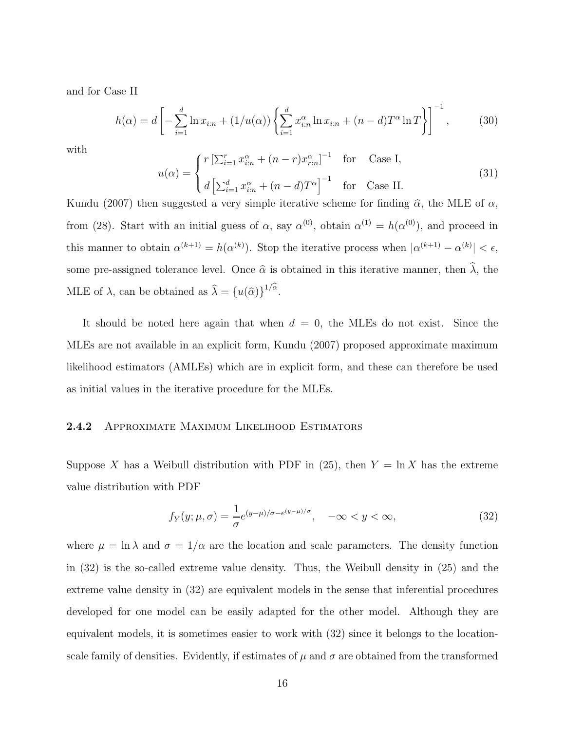and for Case II

$$
h(\alpha) = d \left[ -\sum_{i=1}^{d} \ln x_{i:n} + (1/u(\alpha)) \left\{ \sum_{i=1}^{d} x_{i:n}^{\alpha} \ln x_{i:n} + (n-d) T^{\alpha} \ln T \right\} \right]^{-1},
$$
 (30)

with

$$
u(\alpha) = \begin{cases} r \left[ \sum_{i=1}^{r} x_{i:n}^{\alpha} + (n-r)x_{r:n}^{\alpha} \right]^{-1} & \text{for} \quad \text{Case I}, \\ d \left[ \sum_{i=1}^{d} x_{i:n}^{\alpha} + (n-d)T^{\alpha} \right]^{-1} & \text{for} \quad \text{Case II.} \end{cases}
$$
(31)

Kundu (2007) then suggested a very simple iterative scheme for finding  $\hat{\alpha}$ , the MLE of  $\alpha$ , from (28). Start with an initial guess of  $\alpha$ , say  $\alpha^{(0)}$ , obtain  $\alpha^{(1)} = h(\alpha^{(0)})$ , and proceed in this manner to obtain  $\alpha^{(k+1)} = h(\alpha^{(k)})$ . Stop the iterative process when  $|\alpha^{(k+1)} - \alpha^{(k)}| < \epsilon$ , some pre-assigned tolerance level. Once  $\hat{\alpha}$  is obtained in this iterative manner, then  $\hat{\lambda}$ , the MLE of  $\lambda$ , can be obtained as  $\hat{\lambda} = \{u(\hat{\alpha})\}^{1/\alpha}$ .

It should be noted here again that when  $d = 0$ , the MLEs do not exist. Since the MLEs are not available in an explicit form, Kundu (2007) proposed approximate maximum likelihood estimators (AMLEs) which are in explicit form, and these can therefore be used as initial values in the iterative procedure for the MLEs.

## 2.4.2 Approximate Maximum Likelihood Estimators

Suppose X has a Weibull distribution with PDF in (25), then  $Y = \ln X$  has the extreme value distribution with PDF

$$
f_Y(y; \mu, \sigma) = \frac{1}{\sigma} e^{(y-\mu)/\sigma - e^{(y-\mu)/\sigma}}, \quad -\infty < y < \infty,\tag{32}
$$

where  $\mu = \ln \lambda$  and  $\sigma = 1/\alpha$  are the location and scale parameters. The density function in (32) is the so-called extreme value density. Thus, the Weibull density in (25) and the extreme value density in (32) are equivalent models in the sense that inferential procedures developed for one model can be easily adapted for the other model. Although they are equivalent models, it is sometimes easier to work with (32) since it belongs to the locationscale family of densities. Evidently, if estimates of  $\mu$  and  $\sigma$  are obtained from the transformed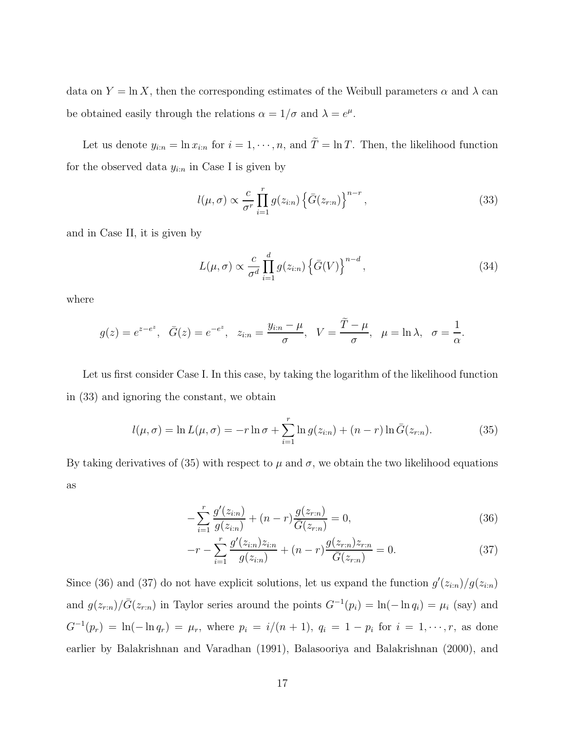data on  $Y = \ln X$ , then the corresponding estimates of the Weibull parameters  $\alpha$  and  $\lambda$  can be obtained easily through the relations  $\alpha = 1/\sigma$  and  $\lambda = e^{\mu}$ .

Let us denote  $y_{i:n} = \ln x_{i:n}$  for  $i = 1, \dots, n$ , and  $\tilde{T} = \ln T$ . Then, the likelihood function for the observed data  $y_{i:n}$  in Case I is given by

$$
l(\mu, \sigma) \propto \frac{c}{\sigma^r} \prod_{i=1}^r g(z_{i:n}) \left\{ \bar{G}(z_{r:n}) \right\}^{n-r},\tag{33}
$$

and in Case II, it is given by

$$
L(\mu, \sigma) \propto \frac{c}{\sigma^d} \prod_{i=1}^d g(z_{i:n}) \left\{ \bar{G}(V) \right\}^{n-d},\tag{34}
$$

where

$$
g(z) = e^{z - e^z}, \quad \bar{G}(z) = e^{-e^z}, \quad z_{i:n} = \frac{y_{i:n} - \mu}{\sigma}, \quad V = \frac{T - \mu}{\sigma}, \quad \mu = \ln \lambda, \quad \sigma = \frac{1}{\alpha}.
$$

Let us first consider Case I. In this case, by taking the logarithm of the likelihood function in (33) and ignoring the constant, we obtain

$$
l(\mu, \sigma) = \ln L(\mu, \sigma) = -r \ln \sigma + \sum_{i=1}^{r} \ln g(z_{i:n}) + (n - r) \ln \bar{G}(z_{r:n}).
$$
 (35)

By taking derivatives of (35) with respect to  $\mu$  and  $\sigma$ , we obtain the two likelihood equations as

$$
-\sum_{i=1}^{r} \frac{g'(z_{i:n})}{g(z_{i:n})} + (n-r)\frac{g(z_{r:n})}{\overline{G}(z_{r:n})} = 0,
$$
\n(36)

$$
-r - \sum_{i=1}^{r} \frac{g'(z_{i:n})z_{i:n}}{g(z_{i:n})} + (n-r)\frac{g(z_{r:n})z_{r:n}}{\overline{G}(z_{r:n})} = 0.
$$
 (37)

Since (36) and (37) do not have explicit solutions, let us expand the function  $g'(z_{i:n})/g(z_{i:n})$ and  $g(z_{r:n})/\bar{G}(z_{r:n})$  in Taylor series around the points  $G^{-1}(p_i) = \ln(-\ln q_i) = \mu_i$  (say) and  $G^{-1}(p_r) = \ln(-\ln q_r) = \mu_r$ , where  $p_i = i/(n+1)$ ,  $q_i = 1 - p_i$  for  $i = 1, \dots, r$ , as done earlier by Balakrishnan and Varadhan (1991), Balasooriya and Balakrishnan (2000), and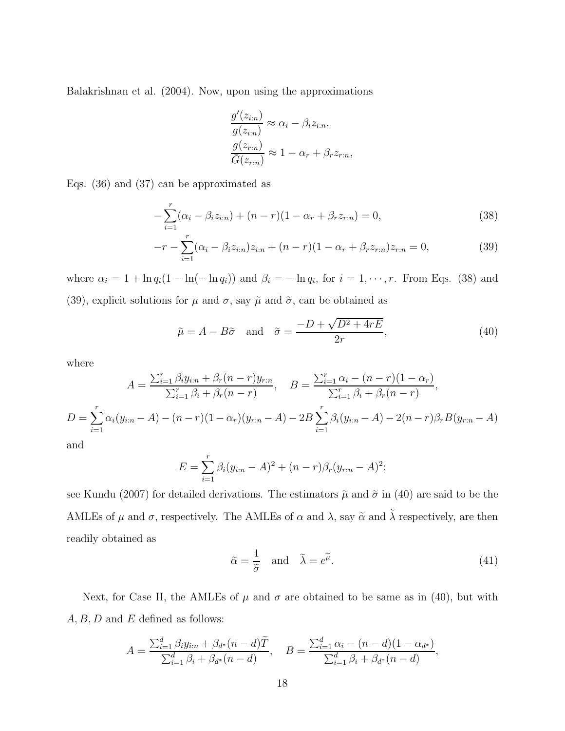Balakrishnan et al. (2004). Now, upon using the approximations

$$
\frac{g'(z_{i:n})}{g(z_{i:n})} \approx \alpha_i - \beta_i z_{i:n},
$$
  

$$
\frac{g(z_{r:n})}{\overline{G}(z_{r:n})} \approx 1 - \alpha_r + \beta_r z_{r:n},
$$

Eqs. (36) and (37) can be approximated as

$$
-\sum_{i=1}^{r} (\alpha_i - \beta_i z_{i:n}) + (n - r)(1 - \alpha_r + \beta_r z_{r:n}) = 0,
$$
\n(38)

$$
-r - \sum_{i=1}^{r} (\alpha_i - \beta_i z_{i:n}) z_{i:n} + (n - r)(1 - \alpha_r + \beta_r z_{r:n}) z_{r:n} = 0,
$$
\n(39)

where  $\alpha_i = 1 + \ln q_i(1 - \ln(-\ln q_i))$  and  $\beta_i = -\ln q_i$ , for  $i = 1, \dots, r$ . From Eqs. (38) and (39), explicit solutions for  $\mu$  and  $\sigma$ , say  $\tilde{\mu}$  and  $\tilde{\sigma}$ , can be obtained as

$$
\tilde{\mu} = A - B\tilde{\sigma} \quad \text{and} \quad \tilde{\sigma} = \frac{-D + \sqrt{D^2 + 4rE}}{2r},\tag{40}
$$

where

$$
A = \frac{\sum_{i=1}^{r} \beta_i y_{i:n} + \beta_r (n-r) y_{r:n}}{\sum_{i=1}^{r} \beta_i + \beta_r (n-r)}, \quad B = \frac{\sum_{i=1}^{r} \alpha_i - (n-r)(1-\alpha_r)}{\sum_{i=1}^{r} \beta_i + \beta_r (n-r)},
$$
  

$$
D = \sum_{i=1}^{r} \alpha_i (y_{i:n} - A) - (n-r)(1-\alpha_r)(y_{r:n} - A) - 2B \sum_{i=1}^{r} \beta_i (y_{i:n} - A) - 2(n-r)\beta_r B(y_{r:n} - A)
$$

and

$$
E = \sum_{i=1}^{r} \beta_i (y_{i:n} - A)^2 + (n - r) \beta_r (y_{r:n} - A)^2;
$$

see Kundu (2007) for detailed derivations. The estimators  $\tilde{\mu}$  and  $\tilde{\sigma}$  in (40) are said to be the AMLEs of  $\mu$  and  $\sigma$ , respectively. The AMLEs of  $\alpha$  and  $\lambda$ , say  $\tilde{\alpha}$  and  $\tilde{\lambda}$  respectively, are then readily obtained as

$$
\tilde{\alpha} = \frac{1}{\tilde{\sigma}} \quad \text{and} \quad \tilde{\lambda} = e^{\tilde{\mu}}.
$$
\n(41)

Next, for Case II, the AMLEs of  $\mu$  and  $\sigma$  are obtained to be same as in (40), but with  $A, B, D$  and  $E$  defined as follows:

$$
A = \frac{\sum_{i=1}^{d} \beta_i y_{i:n} + \beta_{d^*}(n-d)\tilde{T}}{\sum_{i=1}^{d} \beta_i + \beta_{d^*}(n-d)}, \quad B = \frac{\sum_{i=1}^{d} \alpha_i - (n-d)(1-\alpha_{d^*})}{\sum_{i=1}^{d} \beta_i + \beta_{d^*}(n-d)},
$$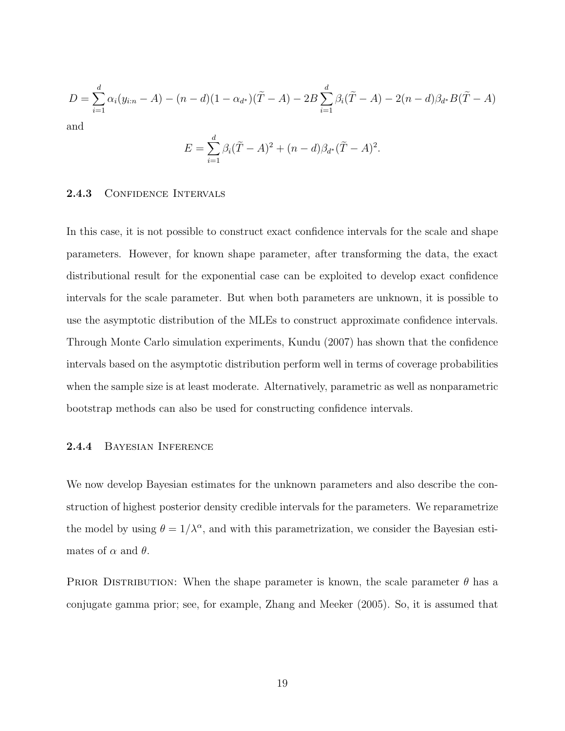$$
D = \sum_{i=1}^{d} \alpha_i (y_{i:n} - A) - (n - d)(1 - \alpha_{d^*})(\tilde{T} - A) - 2B \sum_{i=1}^{d} \beta_i (\tilde{T} - A) - 2(n - d)\beta_{d^*} B(\tilde{T} - A)
$$

and

$$
E = \sum_{i=1}^{d} \beta_i (\tilde{T} - A)^2 + (n - d) \beta_{d^*} (\tilde{T} - A)^2.
$$

## 2.4.3 CONFIDENCE INTERVALS

In this case, it is not possible to construct exact confidence intervals for the scale and shape parameters. However, for known shape parameter, after transforming the data, the exact distributional result for the exponential case can be exploited to develop exact confidence intervals for the scale parameter. But when both parameters are unknown, it is possible to use the asymptotic distribution of the MLEs to construct approximate confidence intervals. Through Monte Carlo simulation experiments, Kundu (2007) has shown that the confidence intervals based on the asymptotic distribution perform well in terms of coverage probabilities when the sample size is at least moderate. Alternatively, parametric as well as nonparametric bootstrap methods can also be used for constructing confidence intervals.

## 2.4.4 Bayesian Inference

We now develop Bayesian estimates for the unknown parameters and also describe the construction of highest posterior density credible intervals for the parameters. We reparametrize the model by using  $\theta = 1/\lambda^{\alpha}$ , and with this parametrization, we consider the Bayesian estimates of  $\alpha$  and  $\theta$ .

PRIOR DISTRIBUTION: When the shape parameter is known, the scale parameter  $\theta$  has a conjugate gamma prior; see, for example, Zhang and Meeker (2005). So, it is assumed that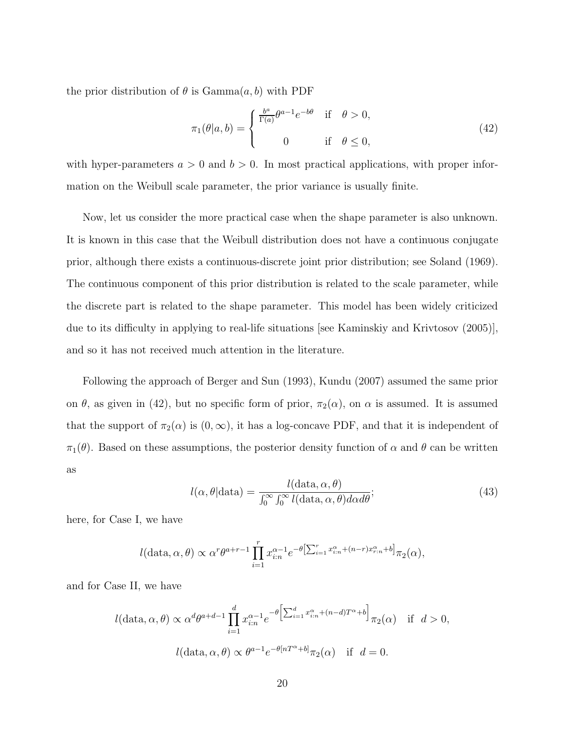the prior distribution of  $\theta$  is Gamma $(a, b)$  with PDF

$$
\pi_1(\theta|a,b) = \begin{cases} \frac{b^a}{\Gamma(a)} \theta^{a-1} e^{-b\theta} & \text{if } \theta > 0, \\ 0 & \text{if } \theta \le 0, \end{cases}
$$
\n(42)

with hyper-parameters  $a > 0$  and  $b > 0$ . In most practical applications, with proper information on the Weibull scale parameter, the prior variance is usually finite.

Now, let us consider the more practical case when the shape parameter is also unknown. It is known in this case that the Weibull distribution does not have a continuous conjugate prior, although there exists a continuous-discrete joint prior distribution; see Soland (1969). The continuous component of this prior distribution is related to the scale parameter, while the discrete part is related to the shape parameter. This model has been widely criticized due to its difficulty in applying to real-life situations [see Kaminskiy and Krivtosov (2005)], and so it has not received much attention in the literature.

Following the approach of Berger and Sun (1993), Kundu (2007) assumed the same prior on  $\theta$ , as given in (42), but no specific form of prior,  $\pi_2(\alpha)$ , on  $\alpha$  is assumed. It is assumed that the support of  $\pi_2(\alpha)$  is  $(0, \infty)$ , it has a log-concave PDF, and that it is independent of  $\pi_1(\theta)$ . Based on these assumptions, the posterior density function of  $\alpha$  and  $\theta$  can be written as

$$
l(\alpha, \theta | \text{data}) = \frac{l(\text{data}, \alpha, \theta)}{\int_0^\infty \int_0^\infty l(\text{data}, \alpha, \theta) d\alpha d\theta};\tag{43}
$$

here, for Case I, we have

$$
l(\text{data}, \alpha, \theta) \propto \alpha^r \theta^{a+r-1} \prod_{i=1}^r x_{i:n}^{\alpha-1} e^{-\theta \left[\sum_{i=1}^r x_{i:n}^{\alpha} + (n-r)x_{r:n}^{\alpha} + b\right]} \pi_2(\alpha),
$$

and for Case II, we have

$$
l(\text{data}, \alpha, \theta) \propto \alpha^d \theta^{a+d-1} \prod_{i=1}^d x_{i:n}^{\alpha-1} e^{-\theta \left[\sum_{i=1}^d x_{i:n}^{\alpha} + (n-d)T^{\alpha} + b\right]} \pi_2(\alpha) \quad \text{if} \quad d > 0,
$$
  

$$
l(\text{data}, \alpha, \theta) \propto \theta^{a-1} e^{-\theta[nT^{\alpha} + b]} \pi_2(\alpha) \quad \text{if} \quad d = 0.
$$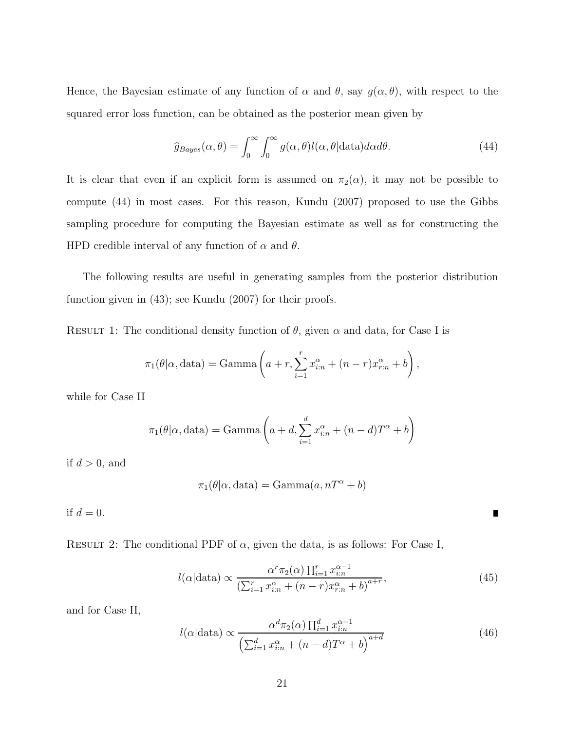Hence, the Bayesian estimate of any function of  $\alpha$  and  $\theta$ , say  $g(\alpha, \theta)$ , with respect to the squared error loss function, can be obtained as the posterior mean given by

$$
\hat{g}_{Bayes}(\alpha, \theta) = \int_0^\infty \int_0^\infty g(\alpha, \theta) l(\alpha, \theta | \text{data}) d\alpha d\theta.
$$
 (44)

It is clear that even if an explicit form is assumed on  $\pi_2(\alpha)$ , it may not be possible to compute (44) in most cases. For this reason, Kundu (2007) proposed to use the Gibbs sampling procedure for computing the Bayesian estimate as well as for constructing the HPD credible interval of any function of  $\alpha$  and  $\theta$ .

The following results are useful in generating samples from the posterior distribution function given in  $(43)$ ; see Kundu  $(2007)$  for their proofs.

RESULT 1: The conditional density function of  $\theta$ , given  $\alpha$  and data, for Case I is

$$
\pi_1(\theta|\alpha, \text{data}) = \text{Gamma}\left(a + r, \sum_{i=1}^r x_{i:n}^{\alpha} + (n-r)x_{r:n}^{\alpha} + b\right),
$$

while for Case II

$$
\pi_1(\theta|\alpha, \text{data}) = \text{Gamma}\left(a + d, \sum_{i=1}^d x_{i:n}^{\alpha} + (n - d)T^{\alpha} + b\right)
$$

if  $d > 0$ , and

$$
\pi_1(\theta|\alpha, \text{data}) = \text{Gamma}(a, nT^{\alpha} + b)
$$

if  $d = 0$ .

RESULT 2: The conditional PDF of  $\alpha$ , given the data, is as follows: For Case I,

$$
l(\alpha|\text{data}) \propto \frac{\alpha^r \pi_2(\alpha) \prod_{i=1}^r x_{i:n}^{\alpha-1}}{\left(\sum_{i=1}^r x_{i:n}^{\alpha} + (n-r)x_{r:n}^{\alpha} + b\right)^{a+r}},\tag{45}
$$

Г

and for Case II,

$$
l(\alpha|\text{data}) \propto \frac{\alpha^d \pi_2(\alpha) \prod_{i=1}^d x_{i:n}^{\alpha-1}}{\left(\sum_{i=1}^d x_{i:n}^{\alpha} + (n-d)T^{\alpha} + b\right)^{a+d}} \tag{46}
$$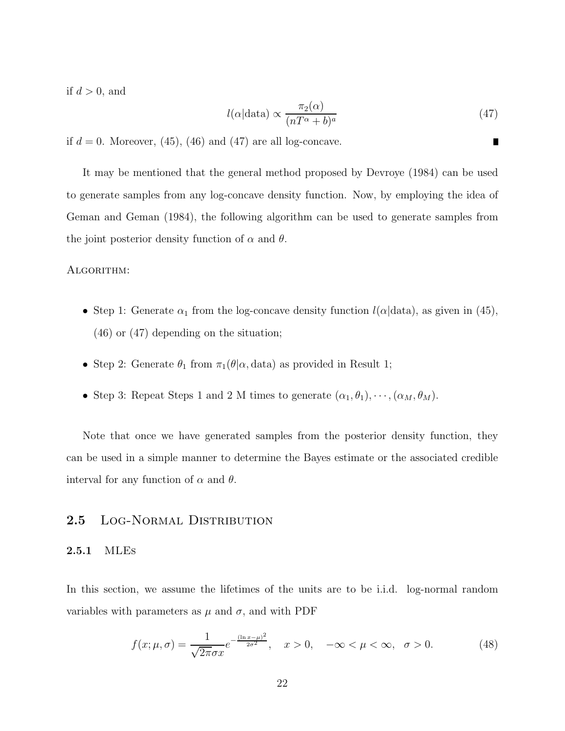if  $d > 0$ , and

$$
l(\alpha|\text{data}) \propto \frac{\pi_2(\alpha)}{(nT^{\alpha} + b)^{a}} \tag{47}
$$

П

if  $d = 0$ . Moreover, (45), (46) and (47) are all log-concave.

It may be mentioned that the general method proposed by Devroye (1984) can be used to generate samples from any log-concave density function. Now, by employing the idea of Geman and Geman (1984), the following algorithm can be used to generate samples from the joint posterior density function of  $\alpha$  and  $\theta$ .

#### ALGORITHM:

- Step 1: Generate  $\alpha_1$  from the log-concave density function  $l(\alpha|data)$ , as given in (45), (46) or (47) depending on the situation;
- Step 2: Generate  $\theta_1$  from  $\pi_1(\theta|\alpha, \text{data})$  as provided in Result 1;
- Step 3: Repeat Steps 1 and 2 M times to generate  $(\alpha_1, \theta_1), \cdots, (\alpha_M, \theta_M)$ .

Note that once we have generated samples from the posterior density function, they can be used in a simple manner to determine the Bayes estimate or the associated credible interval for any function of  $\alpha$  and  $\theta$ .

## 2.5 LOG-NORMAL DISTRIBUTION

#### 2.5.1 MLEs

In this section, we assume the lifetimes of the units are to be i.i.d. log-normal random variables with parameters as  $\mu$  and  $\sigma$ , and with PDF

$$
f(x; \mu, \sigma) = \frac{1}{\sqrt{2\pi}\sigma x} e^{-\frac{(\ln x - \mu)^2}{2\sigma^2}}, \quad x > 0, \quad -\infty < \mu < \infty, \quad \sigma > 0.
$$
 (48)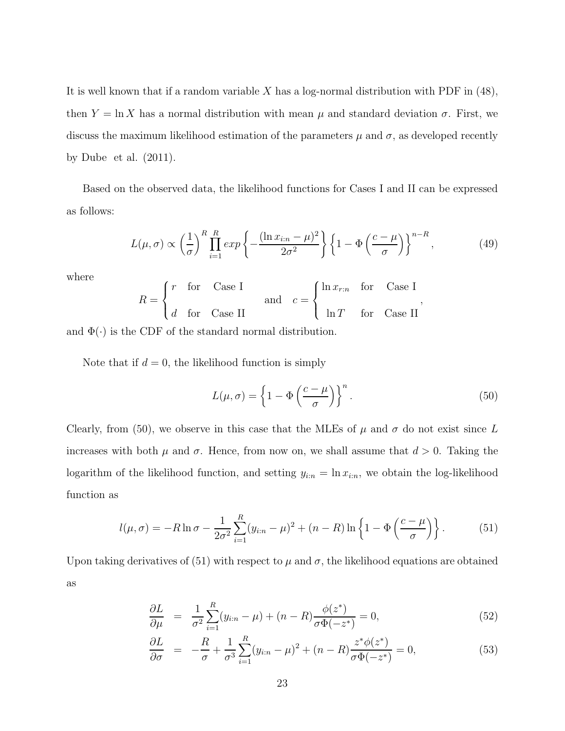It is well known that if a random variable  $X$  has a log-normal distribution with PDF in (48), then  $Y = \ln X$  has a normal distribution with mean  $\mu$  and standard deviation  $\sigma$ . First, we discuss the maximum likelihood estimation of the parameters  $\mu$  and  $\sigma$ , as developed recently by Dube et al. (2011).

Based on the observed data, the likelihood functions for Cases I and II can be expressed as follows:

$$
L(\mu, \sigma) \propto \left(\frac{1}{\sigma}\right)^R \prod_{i=1}^R exp\left\{-\frac{(\ln x_{i:n} - \mu)^2}{2\sigma^2}\right\} \left\{1 - \Phi\left(\frac{c - \mu}{\sigma}\right)\right\}^{n - R},\tag{49}
$$

where

$$
R = \begin{cases} r & \text{for} \quad \text{Case I} \\ d & \text{for} \quad \text{Case II} \end{cases} \quad \text{and} \quad c = \begin{cases} \ln x_{r:n} & \text{for} \quad \text{Case I} \\ \ln T & \text{for} \quad \text{Case II} \end{cases},
$$

and  $\Phi(\cdot)$  is the CDF of the standard normal distribution.

Note that if  $d = 0$ , the likelihood function is simply

$$
L(\mu, \sigma) = \left\{ 1 - \Phi\left(\frac{c - \mu}{\sigma}\right) \right\}^{n}.
$$
\n(50)

Clearly, from (50), we observe in this case that the MLEs of  $\mu$  and  $\sigma$  do not exist since L increases with both  $\mu$  and  $\sigma$ . Hence, from now on, we shall assume that  $d > 0$ . Taking the logarithm of the likelihood function, and setting  $y_{i:n} = \ln x_{i:n}$ , we obtain the log-likelihood function as

$$
l(\mu, \sigma) = -R \ln \sigma - \frac{1}{2\sigma^2} \sum_{i=1}^{R} (y_{i:n} - \mu)^2 + (n - R) \ln \left\{ 1 - \Phi \left( \frac{c - \mu}{\sigma} \right) \right\}.
$$
 (51)

Upon taking derivatives of (51) with respect to  $\mu$  and  $\sigma$ , the likelihood equations are obtained as

$$
\frac{\partial L}{\partial \mu} = \frac{1}{\sigma^2} \sum_{i=1}^{R} (y_{i:n} - \mu) + (n - R) \frac{\phi(z^*)}{\sigma \Phi(-z^*)} = 0,
$$
\n(52)

$$
\frac{\partial L}{\partial \sigma} = -\frac{R}{\sigma} + \frac{1}{\sigma^3} \sum_{i=1}^{R} (y_{i:n} - \mu)^2 + (n - R) \frac{z^* \phi(z^*)}{\sigma \Phi(-z^*)} = 0, \tag{53}
$$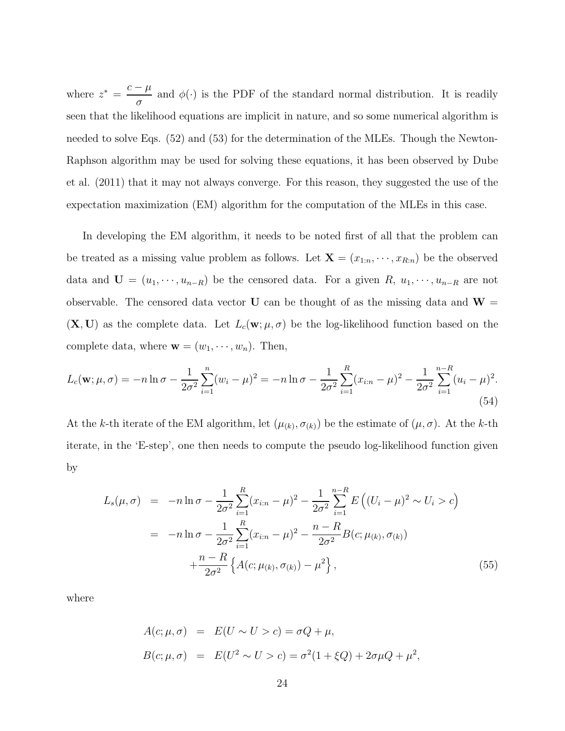where  $z^* = \frac{c - \mu}{\sigma}$  $\frac{\mu}{\sigma}$  and  $\phi(\cdot)$  is the PDF of the standard normal distribution. It is readily seen that the likelihood equations are implicit in nature, and so some numerical algorithm is needed to solve Eqs. (52) and (53) for the determination of the MLEs. Though the Newton-Raphson algorithm may be used for solving these equations, it has been observed by Dube et al. (2011) that it may not always converge. For this reason, they suggested the use of the expectation maximization (EM) algorithm for the computation of the MLEs in this case.

In developing the EM algorithm, it needs to be noted first of all that the problem can be treated as a missing value problem as follows. Let  $\mathbf{X} = (x_{1:n}, \dots, x_{R:n})$  be the observed data and  $\mathbf{U} = (u_1, \dots, u_{n-R})$  be the censored data. For a given  $R, u_1, \dots, u_{n-R}$  are not observable. The censored data vector U can be thought of as the missing data and  $W =$  $(X, U)$  as the complete data. Let  $L_c(w; \mu, \sigma)$  be the log-likelihood function based on the complete data, where  $\mathbf{w} = (w_1, \dots, w_n)$ . Then,

$$
L_c(\mathbf{w}; \mu, \sigma) = -n \ln \sigma - \frac{1}{2\sigma^2} \sum_{i=1}^n (w_i - \mu)^2 = -n \ln \sigma - \frac{1}{2\sigma^2} \sum_{i=1}^R (x_{i:n} - \mu)^2 - \frac{1}{2\sigma^2} \sum_{i=1}^{n-R} (u_i - \mu)^2.
$$
\n(54)

At the k-th iterate of the EM algorithm, let  $(\mu_{(k)}, \sigma_{(k)})$  be the estimate of  $(\mu, \sigma)$ . At the k-th iterate, in the 'E-step', one then needs to compute the pseudo log-likelihood function given by

$$
L_s(\mu, \sigma) = -n \ln \sigma - \frac{1}{2\sigma^2} \sum_{i=1}^R (x_{i:n} - \mu)^2 - \frac{1}{2\sigma^2} \sum_{i=1}^{n-R} E\left( (U_i - \mu)^2 \sim U_i > c \right)
$$
  

$$
= -n \ln \sigma - \frac{1}{2\sigma^2} \sum_{i=1}^R (x_{i:n} - \mu)^2 - \frac{n-R}{2\sigma^2} B(c; \mu_{(k)}, \sigma_{(k)})
$$

$$
+ \frac{n-R}{2\sigma^2} \left\{ A(c; \mu_{(k)}, \sigma_{(k)}) - \mu^2 \right\}, \tag{55}
$$

where

$$
A(c; \mu, \sigma) = E(U \sim U > c) = \sigma Q + \mu,
$$
  
\n
$$
B(c; \mu, \sigma) = E(U^2 \sim U > c) = \sigma^2 (1 + \xi Q) + 2\sigma \mu Q + \mu^2,
$$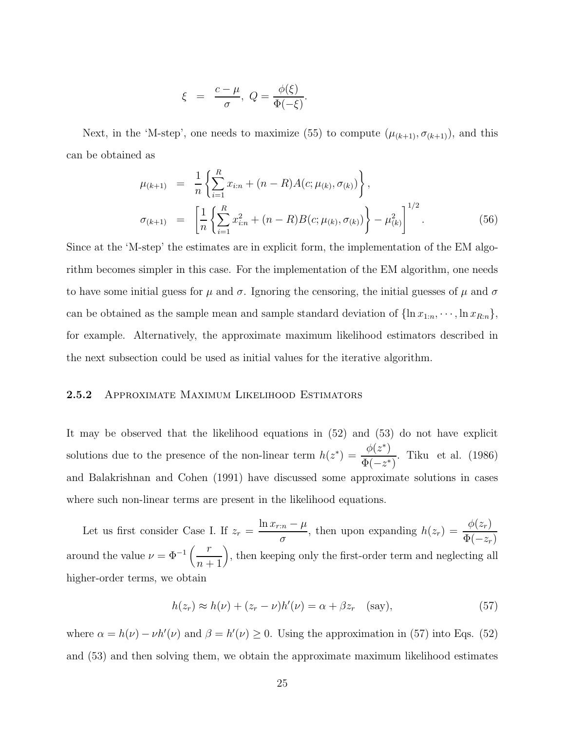$$
\xi = \frac{c - \mu}{\sigma}, \ Q = \frac{\phi(\xi)}{\Phi(-\xi)}.
$$

Next, in the 'M-step', one needs to maximize (55) to compute  $(\mu_{(k+1)}, \sigma_{(k+1)})$ , and this can be obtained as

$$
\mu_{(k+1)} = \frac{1}{n} \left\{ \sum_{i=1}^{R} x_{i:n} + (n - R) A(c; \mu_{(k)}, \sigma_{(k)}) \right\},
$$
  
\n
$$
\sigma_{(k+1)} = \left[ \frac{1}{n} \left\{ \sum_{i=1}^{R} x_{i:n}^{2} + (n - R) B(c; \mu_{(k)}, \sigma_{(k)}) \right\} - \mu_{(k)}^{2} \right\}^{1/2}.
$$
\n(56)

Since at the 'M-step' the estimates are in explicit form, the implementation of the EM algorithm becomes simpler in this case. For the implementation of the EM algorithm, one needs to have some initial guess for  $\mu$  and  $\sigma$ . Ignoring the censoring, the initial guesses of  $\mu$  and  $\sigma$ can be obtained as the sample mean and sample standard deviation of  $\{\ln x_{1:n}, \dots, \ln x_{R:n}\},\$ for example. Alternatively, the approximate maximum likelihood estimators described in the next subsection could be used as initial values for the iterative algorithm.

## 2.5.2 Approximate Maximum Likelihood Estimators

It may be observed that the likelihood equations in (52) and (53) do not have explicit solutions due to the presence of the non-linear term  $h(z^*) = \frac{\phi(z^*)}{z(z^*)}$  $\Phi(-z^*)$ . Tiku et al. (1986) and Balakrishnan and Cohen (1991) have discussed some approximate solutions in cases where such non-linear terms are present in the likelihood equations.

Let us first consider Case I. If  $z_r = \frac{\ln x_{r:n} - \mu}{\sigma}$  $\frac{c_n - \mu}{\sigma}$ , then upon expanding  $h(z_r) = \frac{\phi(z_r)}{\Phi(-z_r)}$  $\Phi(-z_r)$ around the value  $\nu = \Phi^{-1}\left(\frac{r}{n+1}\right)$ , then keeping only the first-order term and neglecting all higher-order terms, we obtain

$$
h(z_r) \approx h(\nu) + (z_r - \nu)h'(\nu) = \alpha + \beta z_r \quad \text{(say)},\tag{57}
$$

where  $\alpha = h(\nu) - \nu h'(\nu)$  and  $\beta = h'(\nu) \ge 0$ . Using the approximation in (57) into Eqs. (52) and (53) and then solving them, we obtain the approximate maximum likelihood estimates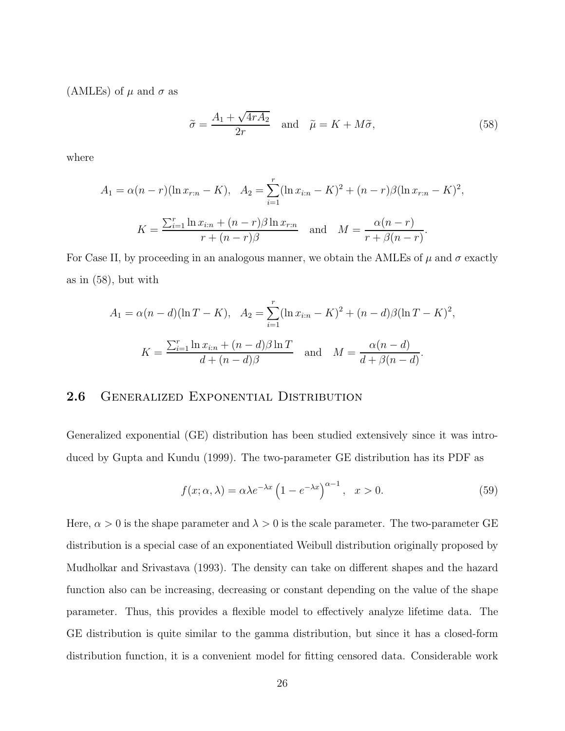(AMLEs) of  $\mu$  and  $\sigma$  as

$$
\tilde{\sigma} = \frac{A_1 + \sqrt{4rA_2}}{2r} \quad \text{and} \quad \tilde{\mu} = K + M\tilde{\sigma}, \tag{58}
$$

where

$$
A_1 = \alpha (n - r)(\ln x_{r:n} - K), \quad A_2 = \sum_{i=1}^r (\ln x_{i:n} - K)^2 + (n - r)\beta (\ln x_{r:n} - K)^2,
$$

$$
K = \frac{\sum_{i=1}^r \ln x_{i:n} + (n - r)\beta \ln x_{r:n}}{r + (n - r)\beta} \quad \text{and} \quad M = \frac{\alpha (n - r)}{r + \beta (n - r)}.
$$

For Case II, by proceeding in an analogous manner, we obtain the AMLEs of  $\mu$  and  $\sigma$  exactly as in (58), but with

$$
A_1 = \alpha (n - d)(\ln T - K), \quad A_2 = \sum_{i=1}^r (\ln x_{i:n} - K)^2 + (n - d)\beta (\ln T - K)^2,
$$

$$
K = \frac{\sum_{i=1}^r \ln x_{i:n} + (n - d)\beta \ln T}{d + (n - d)\beta} \quad \text{and} \quad M = \frac{\alpha (n - d)}{d + \beta (n - d)}.
$$

## 2.6 GENERALIZED EXPONENTIAL DISTRIBUTION

Generalized exponential (GE) distribution has been studied extensively since it was introduced by Gupta and Kundu (1999). The two-parameter GE distribution has its PDF as

$$
f(x; \alpha, \lambda) = \alpha \lambda e^{-\lambda x} \left( 1 - e^{-\lambda x} \right)^{\alpha - 1}, \quad x > 0.
$$
 (59)

Here,  $\alpha > 0$  is the shape parameter and  $\lambda > 0$  is the scale parameter. The two-parameter GE distribution is a special case of an exponentiated Weibull distribution originally proposed by Mudholkar and Srivastava (1993). The density can take on different shapes and the hazard function also can be increasing, decreasing or constant depending on the value of the shape parameter. Thus, this provides a flexible model to effectively analyze lifetime data. The GE distribution is quite similar to the gamma distribution, but since it has a closed-form distribution function, it is a convenient model for fitting censored data. Considerable work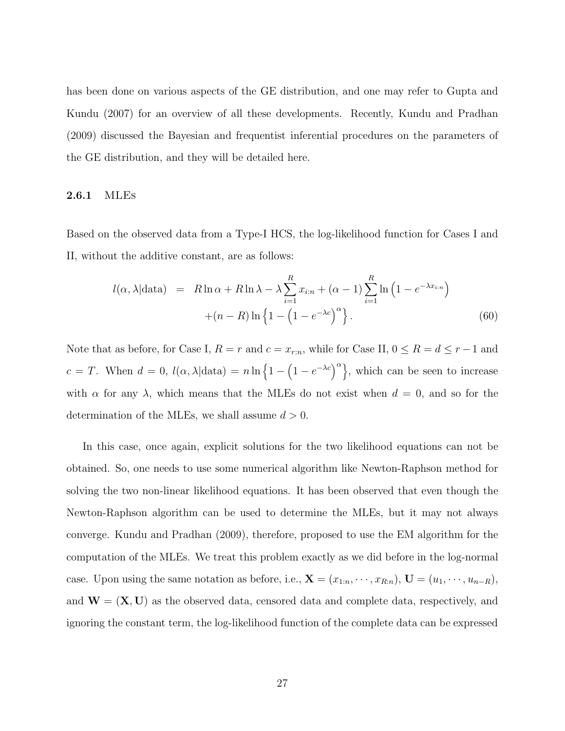has been done on various aspects of the GE distribution, and one may refer to Gupta and Kundu (2007) for an overview of all these developments. Recently, Kundu and Pradhan (2009) discussed the Bayesian and frequentist inferential procedures on the parameters of the GE distribution, and they will be detailed here.

#### 2.6.1 MLEs

Based on the observed data from a Type-I HCS, the log-likelihood function for Cases I and II, without the additive constant, are as follows:

$$
l(\alpha, \lambda | \text{data}) = R \ln \alpha + R \ln \lambda - \lambda \sum_{i=1}^{R} x_{i:n} + (\alpha - 1) \sum_{i=1}^{R} \ln \left( 1 - e^{-\lambda x_{i:n}} \right)
$$

$$
+ (n - R) \ln \left\{ 1 - \left( 1 - e^{-\lambda c} \right)^{\alpha} \right\}. \tag{60}
$$

Note that as before, for Case I,  $R = r$  and  $c = x_{r:n}$ , while for Case II,  $0 \le R = d \le r-1$  and  $c = T$ . When  $d = 0$ ,  $l(\alpha, \lambda | \text{data}) = n \ln \left\{1 - \left(1 - e^{-\lambda c}\right)^{\alpha}\right\}$ , which can be seen to increase with  $\alpha$  for any  $\lambda$ , which means that the MLEs do not exist when  $d = 0$ , and so for the determination of the MLEs, we shall assume  $d > 0$ .

In this case, once again, explicit solutions for the two likelihood equations can not be obtained. So, one needs to use some numerical algorithm like Newton-Raphson method for solving the two non-linear likelihood equations. It has been observed that even though the Newton-Raphson algorithm can be used to determine the MLEs, but it may not always converge. Kundu and Pradhan (2009), therefore, proposed to use the EM algorithm for the computation of the MLEs. We treat this problem exactly as we did before in the log-normal case. Upon using the same notation as before, i.e.,  $\mathbf{X} = (x_{1:n}, \dots, x_{R:n})$ ,  $\mathbf{U} = (u_1, \dots, u_{n-R})$ , and  $W = (X, U)$  as the observed data, censored data and complete data, respectively, and ignoring the constant term, the log-likelihood function of the complete data can be expressed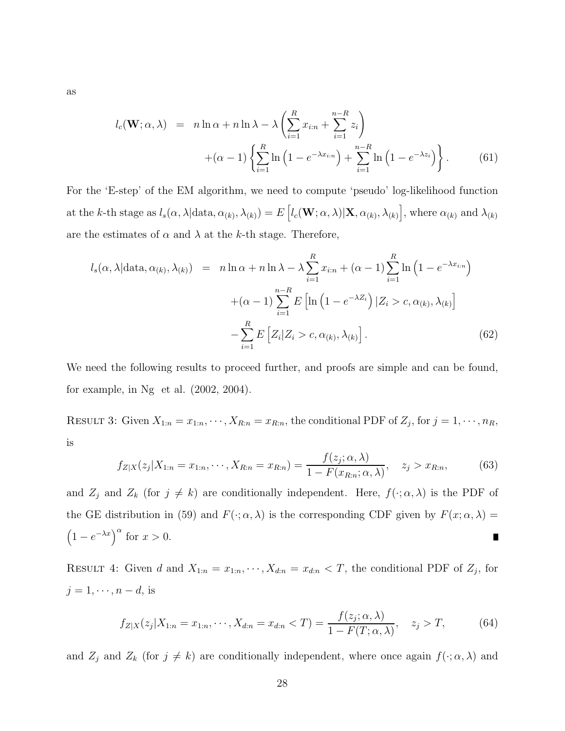as

$$
l_c(\mathbf{W}; \alpha, \lambda) = n \ln \alpha + n \ln \lambda - \lambda \left( \sum_{i=1}^R x_{i:n} + \sum_{i=1}^{n-R} z_i \right)
$$

$$
+ (\alpha - 1) \left\{ \sum_{i=1}^R \ln \left( 1 - e^{-\lambda x_{i:n}} \right) + \sum_{i=1}^{n-R} \ln \left( 1 - e^{-\lambda z_i} \right) \right\}.
$$
(61)

For the 'E-step' of the EM algorithm, we need to compute 'pseudo' log-likelihood function at the k-th stage as  $l_s(\alpha, \lambda | \text{data}, \alpha_{(k)}, \lambda_{(k)}) = E\left[l_c(\mathbf{W}; \alpha, \lambda) | \mathbf{X}, \alpha_{(k)}, \lambda_{(k)}\right]$ , where  $\alpha_{(k)}$  and  $\lambda_{(k)}$ are the estimates of  $\alpha$  and  $\lambda$  at the k-th stage. Therefore,

$$
l_s(\alpha, \lambda | \text{data}, \alpha_{(k)}, \lambda_{(k)}) = n \ln \alpha + n \ln \lambda - \lambda \sum_{i=1}^R x_{i:n} + (\alpha - 1) \sum_{i=1}^R \ln \left( 1 - e^{-\lambda x_{i:n}} \right)
$$

$$
+ (\alpha - 1) \sum_{i=1}^{n-R} E\left[ \ln \left( 1 - e^{-\lambda Z_i} \right) | Z_i > c, \alpha_{(k)}, \lambda_{(k)} \right]
$$

$$
- \sum_{i=1}^R E\left[ Z_i | Z_i > c, \alpha_{(k)}, \lambda_{(k)} \right]. \tag{62}
$$

We need the following results to proceed further, and proofs are simple and can be found, for example, in Ng et al. (2002, 2004).

RESULT 3: Given  $X_{1:n} = x_{1:n}, \dots, X_{R:n} = x_{R:n}$ , the conditional PDF of  $Z_j$ , for  $j = 1, \dots, n_R$ , is

$$
f_{Z|X}(z_j|X_{1:n} = x_{1:n}, \cdots, X_{R:n} = x_{R:n}) = \frac{f(z_j; \alpha, \lambda)}{1 - F(x_{R:n}; \alpha, \lambda)}, \quad z_j > x_{R:n},
$$
(63)

and  $Z_j$  and  $Z_k$  (for  $j \neq k$ ) are conditionally independent. Here,  $f(\cdot; \alpha, \lambda)$  is the PDF of the GE distribution in (59) and  $F(\cdot; \alpha, \lambda)$  is the corresponding CDF given by  $F(x; \alpha, \lambda) =$  $(1 - e^{-\lambda x})^{\alpha}$  for  $x > 0$ .  $\blacksquare$ 

RESULT 4: Given d and  $X_{1:n} = x_{1:n}, \dots, X_{d:n} = x_{d:n} < T$ , the conditional PDF of  $Z_j$ , for  $j = 1, \cdots, n - d$ , is

$$
f_{Z|X}(z_j|X_{1:n} = x_{1:n}, \cdots, X_{d:n} = x_{d:n} < T) = \frac{f(z_j; \alpha, \lambda)}{1 - F(T; \alpha, \lambda)}, \quad z_j > T,\tag{64}
$$

and  $Z_j$  and  $Z_k$  (for  $j \neq k$ ) are conditionally independent, where once again  $f(\cdot; \alpha, \lambda)$  and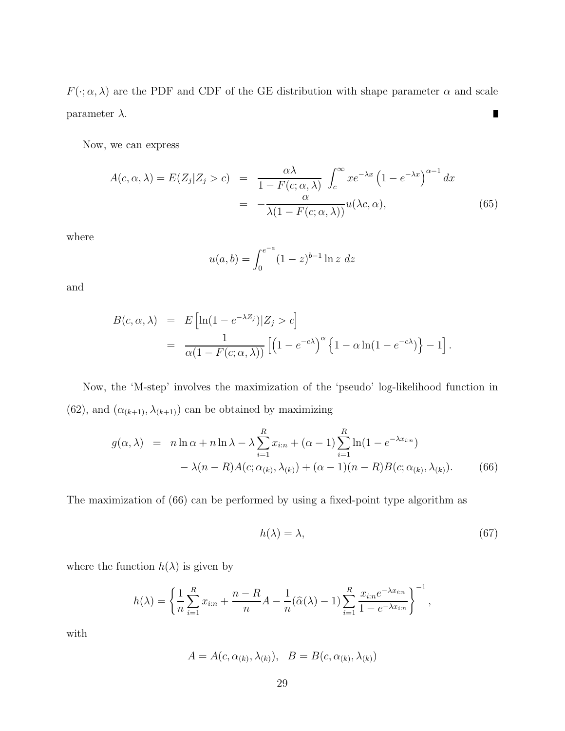$F(\cdot; \alpha, \lambda)$  are the PDF and CDF of the GE distribution with shape parameter  $\alpha$  and scale parameter  $\lambda$ .  $\blacksquare$ 

Now, we can express

$$
A(c, \alpha, \lambda) = E(Z_j | Z_j > c) = \frac{\alpha \lambda}{1 - F(c; \alpha, \lambda)} \int_c^{\infty} x e^{-\lambda x} (1 - e^{-\lambda x})^{\alpha - 1} dx
$$
  
= 
$$
-\frac{\alpha}{\lambda (1 - F(c; \alpha, \lambda))} u(\lambda c, \alpha),
$$
(65)

where

$$
u(a,b) = \int_0^{e^{-a}} (1-z)^{b-1} \ln z \ dz
$$

and

$$
B(c, \alpha, \lambda) = E\left[\ln(1 - e^{-\lambda Z_j})|Z_j > c\right]
$$
\n
$$
= \frac{1}{\alpha(1 - F(c; \alpha, \lambda))} \left[\left(1 - e^{-c\lambda}\right)^{\alpha} \left\{1 - \alpha \ln(1 - e^{-c\lambda})\right\} - 1\right].
$$

Now, the 'M-step' involves the maximization of the 'pseudo' log-likelihood function in (62), and  $(\alpha_{(k+1)},\lambda_{(k+1)})$  can be obtained by maximizing

$$
g(\alpha, \lambda) = n \ln \alpha + n \ln \lambda - \lambda \sum_{i=1}^{R} x_{i:n} + (\alpha - 1) \sum_{i=1}^{R} \ln(1 - e^{-\lambda x_{i:n}})
$$

$$
- \lambda (n - R) A(c; \alpha_{(k)}, \lambda_{(k)}) + (\alpha - 1)(n - R) B(c; \alpha_{(k)}, \lambda_{(k)}).
$$
(66)

The maximization of (66) can be performed by using a fixed-point type algorithm as

$$
h(\lambda) = \lambda,\tag{67}
$$

where the function  $h(\lambda)$  is given by

$$
h(\lambda) = \left\{ \frac{1}{n} \sum_{i=1}^{R} x_{i:n} + \frac{n-R}{n} A - \frac{1}{n} (\widehat{\alpha}(\lambda) - 1) \sum_{i=1}^{R} \frac{x_{i:n} e^{-\lambda x_{i:n}}}{1 - e^{-\lambda x_{i:n}}} \right\}^{-1},
$$

with

$$
A = A(c, \alpha_{(k)}, \lambda_{(k)}), \quad B = B(c, \alpha_{(k)}, \lambda_{(k)})
$$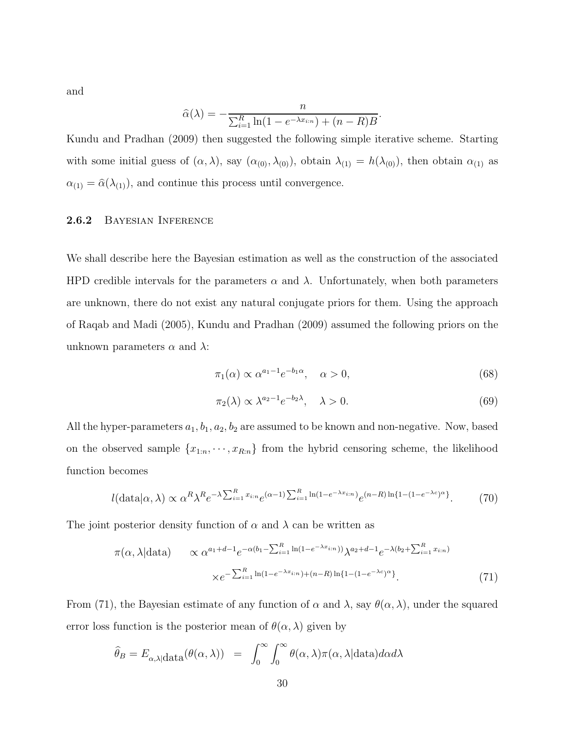and

$$
\widehat{\alpha}(\lambda) = -\frac{n}{\sum_{i=1}^R \ln(1 - e^{-\lambda x_{i:n}}) + (n - R)B}.
$$

Kundu and Pradhan (2009) then suggested the following simple iterative scheme. Starting with some initial guess of  $(\alpha, \lambda)$ , say  $(\alpha_{(0)}, \lambda_{(0)})$ , obtain  $\lambda_{(1)} = h(\lambda_{(0)})$ , then obtain  $\alpha_{(1)}$  as  $\alpha_{(1)} = \hat{\alpha}(\lambda_{(1)})$ , and continue this process until convergence.

### 2.6.2 Bayesian Inference

We shall describe here the Bayesian estimation as well as the construction of the associated HPD credible intervals for the parameters  $\alpha$  and  $\lambda$ . Unfortunately, when both parameters are unknown, there do not exist any natural conjugate priors for them. Using the approach of Raqab and Madi (2005), Kundu and Pradhan (2009) assumed the following priors on the unknown parameters  $\alpha$  and  $\lambda$ :

$$
\pi_1(\alpha) \propto \alpha^{a_1 - 1} e^{-b_1 \alpha}, \quad \alpha > 0,
$$
\n(68)

$$
\pi_2(\lambda) \propto \lambda^{a_2 - 1} e^{-b_2 \lambda}, \quad \lambda > 0.
$$
\n<sup>(69)</sup>

All the hyper-parameters  $a_1, b_1, a_2, b_2$  are assumed to be known and non-negative. Now, based on the observed sample  $\{x_{1:n}, \dots, x_{R:n}\}$  from the hybrid censoring scheme, the likelihood function becomes

$$
l(\text{data}|\alpha,\lambda) \propto \alpha^R \lambda^R e^{-\lambda \sum_{i=1}^R x_{i:n}} e^{(\alpha-1) \sum_{i=1}^R \ln(1 - e^{-\lambda x_{i:n}})} e^{(n-R)\ln\{1 - (1 - e^{-\lambda c})^{\alpha}\}}.
$$
 (70)

The joint posterior density function of  $\alpha$  and  $\lambda$  can be written as

$$
\pi(\alpha, \lambda | \text{data}) \qquad \propto \alpha^{a_1 + d - 1} e^{-\alpha(b_1 - \sum_{i=1}^R \ln(1 - e^{-\lambda x_{i:n}}))} \lambda^{a_2 + d - 1} e^{-\lambda(b_2 + \sum_{i=1}^R x_{i:n})}
$$
\n
$$
\times e^{-\sum_{i=1}^R \ln(1 - e^{-\lambda x_{i:n}}) + (n - R) \ln\{1 - (1 - e^{-\lambda c})^{\alpha}\}}.
$$
\n(71)

From (71), the Bayesian estimate of any function of  $\alpha$  and  $\lambda$ , say  $\theta(\alpha, \lambda)$ , under the squared error loss function is the posterior mean of  $\theta(\alpha, \lambda)$  given by

$$
\widehat{\theta}_B = E_{\alpha,\lambda} | \text{data}(\theta(\alpha,\lambda)) = \int_0^\infty \int_0^\infty \theta(\alpha,\lambda)\pi(\alpha,\lambda) | \text{data} d\alpha d\lambda
$$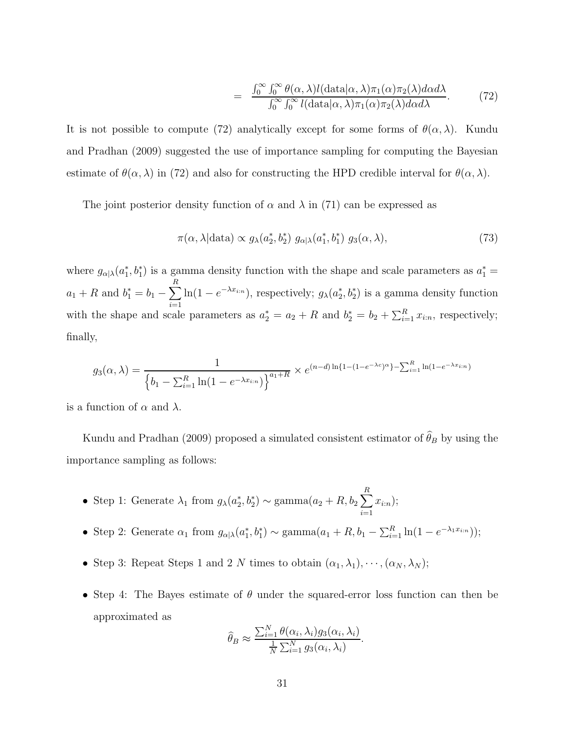$$
= \frac{\int_0^\infty \int_0^\infty \theta(\alpha, \lambda) l(\text{data}|\alpha, \lambda) \pi_1(\alpha) \pi_2(\lambda) d\alpha d\lambda}{\int_0^\infty \int_0^\infty l(\text{data}|\alpha, \lambda) \pi_1(\alpha) \pi_2(\lambda) d\alpha d\lambda}.
$$
 (72)

It is not possible to compute (72) analytically except for some forms of  $\theta(\alpha, \lambda)$ . Kundu and Pradhan (2009) suggested the use of importance sampling for computing the Bayesian estimate of  $\theta(\alpha, \lambda)$  in (72) and also for constructing the HPD credible interval for  $\theta(\alpha, \lambda)$ .

The joint posterior density function of  $\alpha$  and  $\lambda$  in (71) can be expressed as

$$
\pi(\alpha, \lambda | \text{data}) \propto g_{\lambda}(a_2^*, b_2^*) \ g_{\alpha | \lambda}(a_1^*, b_1^*) \ g_3(\alpha, \lambda), \tag{73}
$$

where  $g_{\alpha|\lambda}(a_1^*, b_1^*)$  is a gamma density function with the shape and scale parameters as  $a_1^* =$  $a_1 + R$  and  $b_1^* = b_1 - \sum_{i=1}^{R} a_i$  $\sum_{i=1} \ln(1 - e^{-\lambda x_{i:n}})$ , respectively;  $g_{\lambda}(a_2^*, b_2^*)$  is a gamma density function with the shape and scale parameters as  $a_2^* = a_2 + R$  and  $b_2^* = b_2 + \sum_{i=1}^R x_{i:n}$ , respectively; finally,

$$
g_3(\alpha, \lambda) = \frac{1}{\left\{b_1 - \sum_{i=1}^R \ln(1 - e^{-\lambda x_{i:n}})\right\}^{a_1 + R}} \times e^{(n-d)\ln\{1 - (1 - e^{-\lambda c})^{\alpha}\} - \sum_{i=1}^R \ln(1 - e^{-\lambda x_{i:n}})}
$$

is a function of  $\alpha$  and  $\lambda$ .

Kundu and Pradhan (2009) proposed a simulated consistent estimator of  $\hat{\theta}_B$  by using the importance sampling as follows:

- Step 1: Generate  $\lambda_1$  from  $g_{\lambda}(a_2^*, b_2^*) \sim \text{gamma}(a_2 + R, b_2 \sum^R$  $i=1$  $x_{i:n});$
- Step 2: Generate  $\alpha_1$  from  $g_{\alpha|\lambda}(a_1^*, b_1^*) \sim \text{gamma}(a_1 + R, b_1 \sum_{i=1}^R \ln(1 e^{-\lambda_1 x_{i:n}}));$
- Step 3: Repeat Steps 1 and 2 N times to obtain  $(\alpha_1, \lambda_1), \cdots, (\alpha_N, \lambda_N);$
- Step 4: The Bayes estimate of  $\theta$  under the squared-error loss function can then be approximated as

$$
\widehat{\theta}_B \approx \frac{\sum_{i=1}^N \theta(\alpha_i, \lambda_i) g_3(\alpha_i, \lambda_i)}{\frac{1}{N} \sum_{i=1}^N g_3(\alpha_i, \lambda_i)}.
$$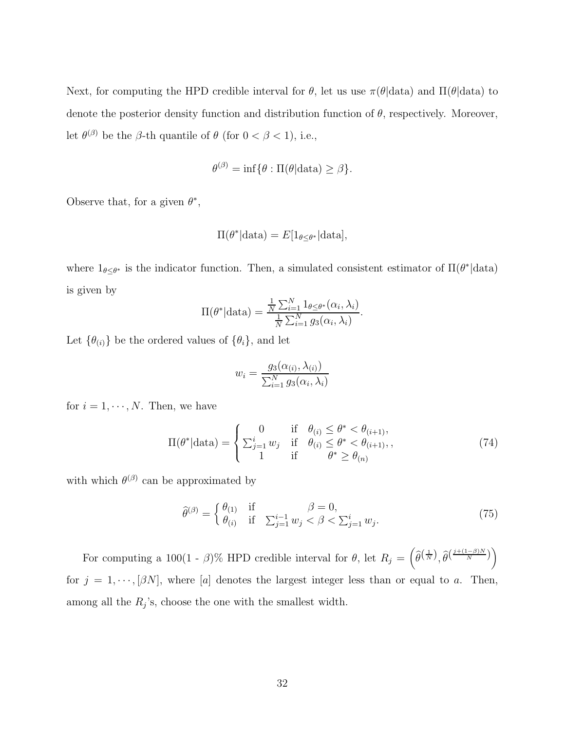Next, for computing the HPD credible interval for  $\theta$ , let us use  $\pi(\theta|\text{data})$  and  $\Pi(\theta|\text{data})$  to denote the posterior density function and distribution function of  $\theta$ , respectively. Moreover, let  $\theta^{(\beta)}$  be the  $\beta$ -th quantile of  $\theta$  (for  $0 < \beta < 1$ ), i.e.,

$$
\theta^{(\beta)} = \inf \{ \theta : \Pi(\theta | \text{data}) \geq \beta \}.
$$

Observe that, for a given  $\theta^*$ ,

$$
\Pi(\theta^* | \text{data}) = E[\mathbf{1}_{\theta \le \theta^*} | \text{data}],
$$

where  $1_{\theta \leq \theta^*}$  is the indicator function. Then, a simulated consistent estimator of  $\Pi(\theta^* | data)$ is given by

$$
\Pi(\theta^* | \text{data}) = \frac{\frac{1}{N} \sum_{i=1}^N 1_{\theta \le \theta^*} (\alpha_i, \lambda_i)}{\frac{1}{N} \sum_{i=1}^N g_3(\alpha_i, \lambda_i)}.
$$

Let  $\{\theta_{(i)}\}$  be the ordered values of  $\{\theta_i\}$ , and let

$$
w_i = \frac{g_3(\alpha_{(i)}, \lambda_{(i)})}{\sum_{i=1}^N g_3(\alpha_i, \lambda_i)}
$$

for  $i = 1, \dots, N$ . Then, we have

$$
\Pi(\theta^* | \text{data}) = \begin{cases}\n0 & \text{if } \theta_{(i)} \le \theta^* < \theta_{(i+1)}, \\
\sum_{j=1}^i w_j & \text{if } \theta_{(i)} \le \theta^* < \theta_{(i+1)}, \\
1 & \text{if } \theta^* \ge \theta_{(n)}\n\end{cases} \tag{74}
$$

with which  $\theta^{(\beta)}$  can be approximated by

$$
\widehat{\theta}^{(\beta)} = \begin{cases} \theta_{(1)} & \text{if } \beta = 0, \\ \theta_{(i)} & \text{if } \sum_{j=1}^{i-1} w_j < \beta < \sum_{j=1}^{i} w_j. \end{cases} \tag{75}
$$

For computing a 100(1 -  $\beta$ )% HPD credible interval for  $\theta$ , let  $R_j = \left(\widehat{\theta}^{\left(\frac{1}{N}\right)}, \widehat{\theta}^{\left(\frac{j+(1-\beta)N}{N}\right)}\right)$ for  $j = 1, \dots, [\beta N]$ , where [a] denotes the largest integer less than or equal to a. Then, among all the  $R_j$ 's, choose the one with the smallest width.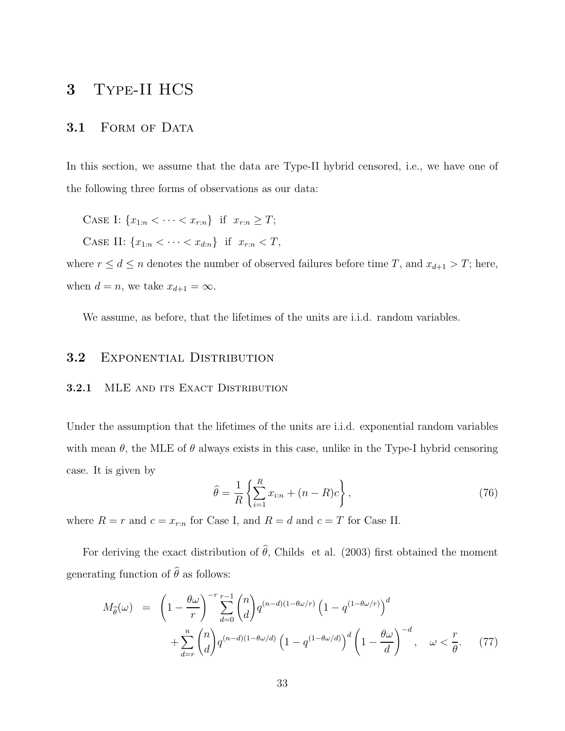## 3 Type-II HCS

## 3.1 FORM OF DATA

In this section, we assume that the data are Type-II hybrid censored, i.e., we have one of the following three forms of observations as our data:

CASE I:  ${x_{1:n} < \cdots < x_{r:n}}$  if  $x_{r:n} \ge T$ ;

CASE II:  ${x_{1:n} < \cdots < x_{d:n}}$  if  $x_{r:n} < T$ ,

where  $r \leq d \leq n$  denotes the number of observed failures before time T, and  $x_{d+1} > T$ ; here, when  $d = n$ , we take  $x_{d+1} = \infty$ .

We assume, as before, that the lifetimes of the units are i.i.d. random variables.

## 3.2 EXPONENTIAL DISTRIBUTION

## 3.2.1 MLE AND ITS EXACT DISTRIBUTION

Under the assumption that the lifetimes of the units are i.i.d. exponential random variables with mean  $\theta$ , the MLE of  $\theta$  always exists in this case, unlike in the Type-I hybrid censoring case. It is given by

$$
\widehat{\theta} = \frac{1}{R} \left\{ \sum_{i=1}^{R} x_{i:n} + (n - R)c \right\},\tag{76}
$$

where  $R = r$  and  $c = x_{r:n}$  for Case I, and  $R = d$  and  $c = T$  for Case II.

For deriving the exact distribution of  $\hat{\theta}$ , Childs et al. (2003) first obtained the moment generating function of  $\hat{\theta}$  as follows:

$$
M_{\widehat{\theta}}(\omega) = \left(1 - \frac{\theta\omega}{r}\right)^{-r} \sum_{d=0}^{r-1} {n \choose d} q^{(n-d)(1-\theta\omega/r)} \left(1 - q^{(1-\theta\omega/r)}\right)^d + \sum_{d=r}^{n} {n \choose d} q^{(n-d)(1-\theta\omega/d)} \left(1 - q^{(1-\theta\omega/d)}\right)^d \left(1 - \frac{\theta\omega}{d}\right)^{-d}, \quad \omega < \frac{r}{\theta}.
$$
 (77)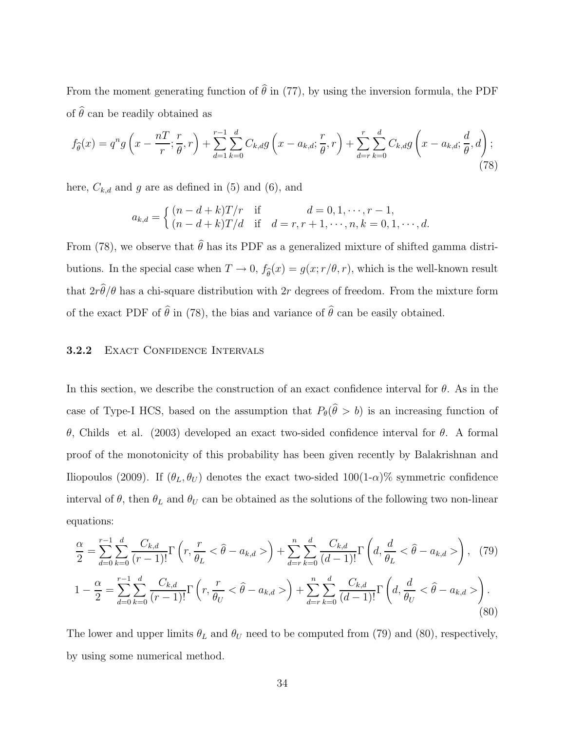From the moment generating function of  $\hat{\theta}$  in (77), by using the inversion formula, the PDF of  $\hat{\theta}$  can be readily obtained as

$$
f_{\widehat{\theta}}(x) = q^n g\left(x - \frac{n}{r}; \frac{r}{\theta}, r\right) + \sum_{d=1}^{r-1} \sum_{k=0}^d C_{k,d} g\left(x - a_{k,d}; \frac{r}{\theta}, r\right) + \sum_{d=r}^{r} \sum_{k=0}^d C_{k,d} g\left(x - a_{k,d}; \frac{d}{\theta}, d\right);
$$
\n(78)

here,  $C_{k,d}$  and g are as defined in (5) and (6), and

$$
a_{k,d} = \begin{cases} (n-d+k)T/r & \text{if } d = 0, 1, \dots, r-1, \\ (n-d+k)T/d & \text{if } d = r, r+1, \dots, n, k = 0, 1, \dots, d. \end{cases}
$$

From (78), we observe that  $\hat{\theta}$  has its PDF as a generalized mixture of shifted gamma distributions. In the special case when  $T \to 0$ ,  $f_{\hat{\theta}}(x) = g(x; r/\theta, r)$ , which is the well-known result that  $2r\theta/\theta$  has a chi-square distribution with 2r degrees of freedom. From the mixture form of the exact PDF of  $\hat{\theta}$  in (78), the bias and variance of  $\hat{\theta}$  can be easily obtained.

## 3.2.2 EXACT CONFIDENCE INTERVALS

In this section, we describe the construction of an exact confidence interval for  $\theta$ . As in the case of Type-I HCS, based on the assumption that  $P_{\theta}(\theta > b)$  is an increasing function of θ, Childs et al. (2003) developed an exact two-sided confidence interval for θ. A formal proof of the monotonicity of this probability has been given recently by Balakrishnan and Iliopoulos (2009). If  $(\theta_L, \theta_U)$  denotes the exact two-sided 100(1- $\alpha$ )% symmetric confidence interval of  $\theta$ , then  $\theta_L$  and  $\theta_U$  can be obtained as the solutions of the following two non-linear equations:

$$
\frac{\alpha}{2} = \sum_{d=0}^{r-1} \sum_{k=0}^{d} \frac{C_{k,d}}{(r-1)!} \Gamma\left(r, \frac{r}{\theta_L} < \hat{\theta} - a_{k,d} > \right) + \sum_{d=r}^{n} \sum_{k=0}^{d} \frac{C_{k,d}}{(d-1)!} \Gamma\left(d, \frac{d}{\theta_L} < \hat{\theta} - a_{k,d} > \right), \tag{79}
$$
\n
$$
1 - \frac{\alpha}{2} = \sum_{d=0}^{r-1} \sum_{k=0}^{d} \frac{C_{k,d}}{(r-1)!} \Gamma\left(r, \frac{r}{\theta_U} < \hat{\theta} - a_{k,d} > \right) + \sum_{d=r}^{n} \sum_{k=0}^{d} \frac{C_{k,d}}{(d-1)!} \Gamma\left(d, \frac{d}{\theta_U} < \hat{\theta} - a_{k,d} > \right). \tag{80}
$$

The lower and upper limits  $\theta_L$  and  $\theta_U$  need to be computed from (79) and (80), respectively, by using some numerical method.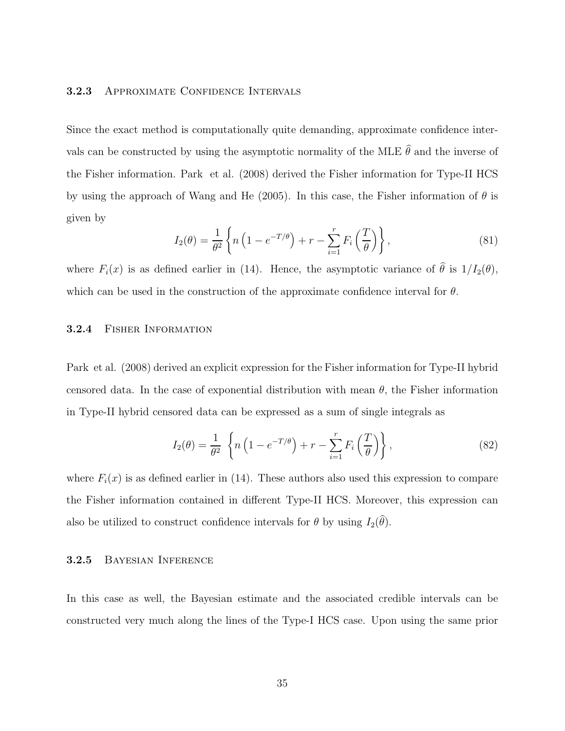## 3.2.3 APPROXIMATE CONFIDENCE INTERVALS

Since the exact method is computationally quite demanding, approximate confidence intervals can be constructed by using the asymptotic normality of the MLE  $\hat{\theta}$  and the inverse of the Fisher information. Park et al. (2008) derived the Fisher information for Type-II HCS by using the approach of Wang and He (2005). In this case, the Fisher information of  $\theta$  is given by

$$
I_2(\theta) = \frac{1}{\theta^2} \left\{ n \left( 1 - e^{-T/\theta} \right) + r - \sum_{i=1}^r F_i \left( \frac{T}{\theta} \right) \right\},\tag{81}
$$

where  $F_i(x)$  is as defined earlier in (14). Hence, the asymptotic variance of  $\hat{\theta}$  is  $1/I_2(\theta)$ , which can be used in the construction of the approximate confidence interval for  $\theta$ .

## 3.2.4 Fisher Information

Park et al. (2008) derived an explicit expression for the Fisher information for Type-II hybrid censored data. In the case of exponential distribution with mean  $\theta$ , the Fisher information in Type-II hybrid censored data can be expressed as a sum of single integrals as

$$
I_2(\theta) = \frac{1}{\theta^2} \left\{ n \left( 1 - e^{-T/\theta} \right) + r - \sum_{i=1}^r F_i \left( \frac{T}{\theta} \right) \right\},\tag{82}
$$

where  $F_i(x)$  is as defined earlier in (14). These authors also used this expression to compare the Fisher information contained in different Type-II HCS. Moreover, this expression can also be utilized to construct confidence intervals for  $\theta$  by using  $I_2(\theta)$ .

### 3.2.5 Bayesian Inference

In this case as well, the Bayesian estimate and the associated credible intervals can be constructed very much along the lines of the Type-I HCS case. Upon using the same prior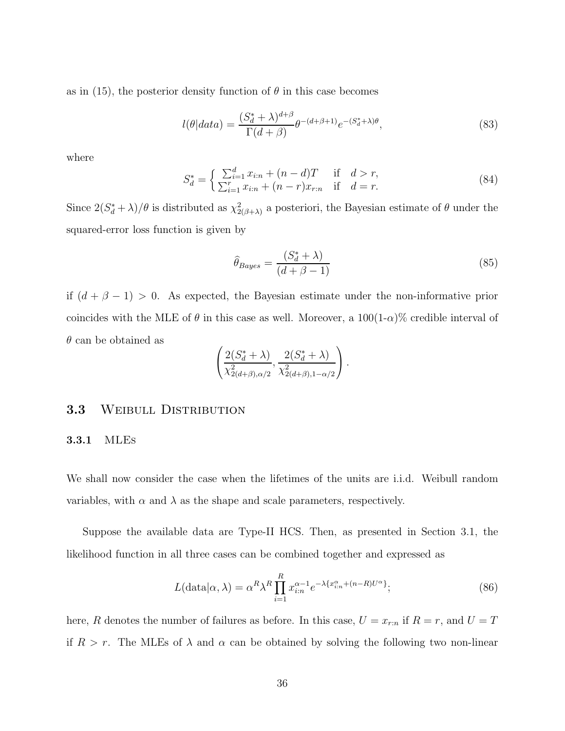as in (15), the posterior density function of  $\theta$  in this case becomes

$$
l(\theta|data) = \frac{(S_d^* + \lambda)^{d+\beta}}{\Gamma(d+\beta)} \theta^{-(d+\beta+1)} e^{-(S_d^* + \lambda)\theta},\tag{83}
$$

where

$$
S_d^* = \begin{cases} \sum_{i=1}^d x_{i:n} + (n-d)T & \text{if } d > r, \\ \sum_{i=1}^r x_{i:n} + (n-r)x_{r:n} & \text{if } d = r. \end{cases}
$$
 (84)

Since  $2(S_d^* + \lambda)/\theta$  is distributed as  $\chi^2_{2(\beta+\lambda)}$  a posteriori, the Bayesian estimate of  $\theta$  under the squared-error loss function is given by

$$
\hat{\theta}_{Bayes} = \frac{(S_d^* + \lambda)}{(d + \beta - 1)}
$$
\n(85)

if  $(d + \beta - 1) > 0$ . As expected, the Bayesian estimate under the non-informative prior coincides with the MLE of  $\theta$  in this case as well. Moreover, a  $100(1-\alpha)\%$  credible interval of  $\theta$  can be obtained as

$$
\left(\frac{2(S_d^* + \lambda)}{\chi^2_{2(d+\beta),\alpha/2}}, \frac{2(S_d^* + \lambda)}{\chi^2_{2(d+\beta),1-\alpha/2}}\right).
$$

## 3.3 WEIBULL DISTRIBUTION

#### 3.3.1 MLEs

We shall now consider the case when the lifetimes of the units are i.i.d. Weibull random variables, with  $\alpha$  and  $\lambda$  as the shape and scale parameters, respectively.

Suppose the available data are Type-II HCS. Then, as presented in Section 3.1, the likelihood function in all three cases can be combined together and expressed as

$$
L(\text{data}|\alpha,\lambda) = \alpha^R \lambda^R \prod_{i=1}^R x_{i:n}^{\alpha-1} e^{-\lambda \{x_{i:n}^{\alpha} + (n-R)U^{\alpha}\}};
$$
\n(86)

here, R denotes the number of failures as before. In this case,  $U = x_{r:n}$  if  $R = r$ , and  $U = T$ if  $R > r$ . The MLEs of  $\lambda$  and  $\alpha$  can be obtained by solving the following two non-linear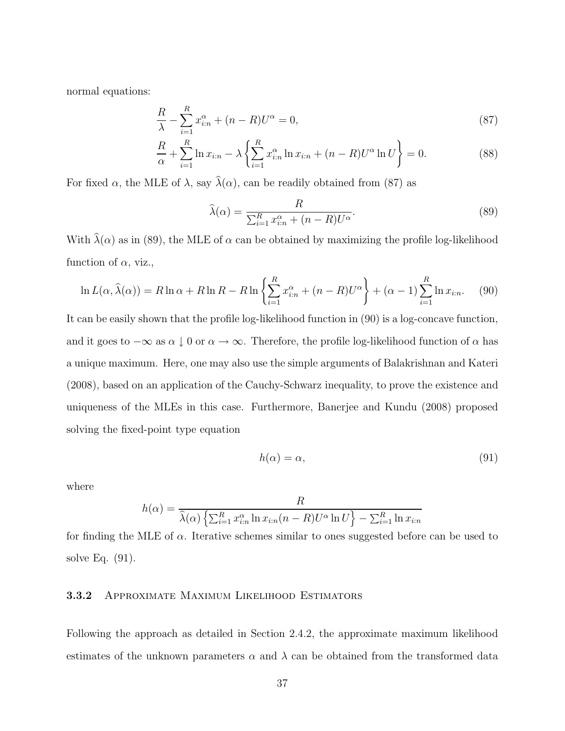normal equations:

$$
\frac{R}{\lambda} - \sum_{i=1}^{R} x_{i:n}^{\alpha} + (n - R)U^{\alpha} = 0,
$$
\n(87)

$$
\frac{R}{\alpha} + \sum_{i=1}^{R} \ln x_{i:n} - \lambda \left\{ \sum_{i=1}^{R} x_{i:n}^{\alpha} \ln x_{i:n} + (n - R)U^{\alpha} \ln U \right\} = 0.
$$
 (88)

For fixed  $\alpha$ , the MLE of  $\lambda$ , say  $\hat{\lambda}(\alpha)$ , can be readily obtained from (87) as

$$
\widehat{\lambda}(\alpha) = \frac{R}{\sum_{i=1}^{R} x_{i:n}^{\alpha} + (n - R)U^{\alpha}}.
$$
\n(89)

With  $\hat{\lambda}(\alpha)$  as in (89), the MLE of  $\alpha$  can be obtained by maximizing the profile log-likelihood function of  $\alpha$ , viz.,

$$
\ln L(\alpha, \widehat{\lambda}(\alpha)) = R \ln \alpha + R \ln R - R \ln \left\{ \sum_{i=1}^{R} x_{i:n}^{\alpha} + (n - R)U^{\alpha} \right\} + (\alpha - 1) \sum_{i=1}^{R} \ln x_{i:n}.
$$
 (90)

It can be easily shown that the profile log-likelihood function in (90) is a log-concave function, and it goes to  $-\infty$  as  $\alpha \downarrow 0$  or  $\alpha \to \infty$ . Therefore, the profile log-likelihood function of  $\alpha$  has a unique maximum. Here, one may also use the simple arguments of Balakrishnan and Kateri (2008), based on an application of the Cauchy-Schwarz inequality, to prove the existence and uniqueness of the MLEs in this case. Furthermore, Banerjee and Kundu (2008) proposed solving the fixed-point type equation

$$
h(\alpha) = \alpha,\tag{91}
$$

where

$$
h(\alpha) = \frac{R}{\hat{\lambda}(\alpha) \left\{ \sum_{i=1}^{R} x_{i:n}^{\alpha} \ln x_{i:n} (n-R) U^{\alpha} \ln U \right\} - \sum_{i=1}^{R} \ln x_{i:n}}
$$

for finding the MLE of  $\alpha$ . Iterative schemes similar to ones suggested before can be used to solve Eq. (91).

#### 3.3.2 Approximate Maximum Likelihood Estimators

Following the approach as detailed in Section 2.4.2, the approximate maximum likelihood estimates of the unknown parameters  $\alpha$  and  $\lambda$  can be obtained from the transformed data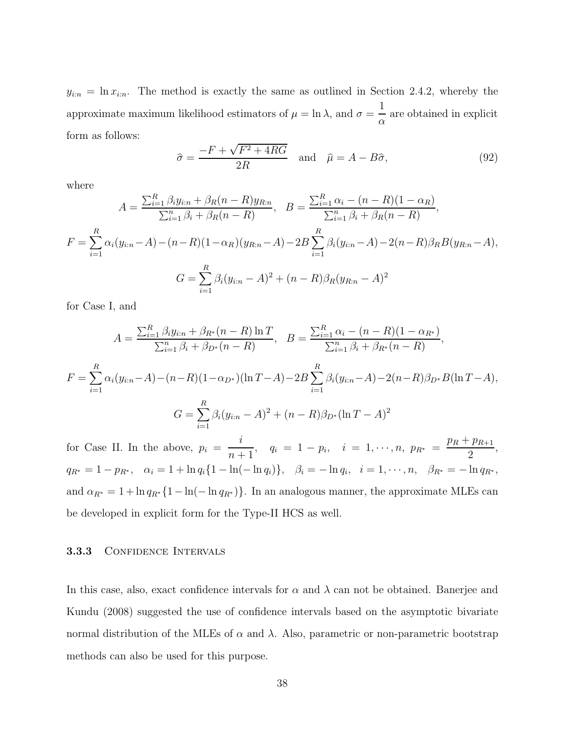$y_{i:n} = \ln x_{i:n}$ . The method is exactly the same as outlined in Section 2.4.2, whereby the approximate maximum likelihood estimators of  $\mu = \ln \lambda$ , and  $\sigma =$ 1 α are obtained in explicit form as follows:

$$
\hat{\sigma} = \frac{-F + \sqrt{F^2 + 4RG}}{2R} \quad \text{and} \quad \hat{\mu} = A - B\hat{\sigma}, \tag{92}
$$

where

$$
A = \frac{\sum_{i=1}^{R} \beta_{i} y_{i:n} + \beta_{R} (n - R) y_{R:n}}{\sum_{i=1}^{n} \beta_{i} + \beta_{R} (n - R)}, \quad B = \frac{\sum_{i=1}^{R} \alpha_{i} - (n - R) (1 - \alpha_{R})}{\sum_{i=1}^{n} \beta_{i} + \beta_{R} (n - R)},
$$
  

$$
F = \sum_{i=1}^{R} \alpha_{i} (y_{i:n} - A) - (n - R) (1 - \alpha_{R}) (y_{R:n} - A) - 2B \sum_{i=1}^{R} \beta_{i} (y_{i:n} - A) - 2(n - R) \beta_{R} B (y_{R:n} - A),
$$
  

$$
G = \sum_{i=1}^{R} \beta_{i} (y_{i:n} - A)^{2} + (n - R) \beta_{R} (y_{R:n} - A)^{2}
$$

for Case I, and

$$
A = \frac{\sum_{i=1}^{R} \beta_{i} y_{i:n} + \beta_{R^{*}} (n - R) \ln T}{\sum_{i=1}^{n} \beta_{i} + \beta_{D^{*}} (n - R)}, \quad B = \frac{\sum_{i=1}^{R} \alpha_{i} - (n - R)(1 - \alpha_{R^{*}})}{\sum_{i=1}^{n} \beta_{i} + \beta_{R^{*}} (n - R)},
$$
  

$$
F = \sum_{i=1}^{R} \alpha_{i} (y_{i:n} - A) - (n - R)(1 - \alpha_{D^{*}})(\ln T - A) - 2B \sum_{i=1}^{R} \beta_{i} (y_{i:n} - A) - 2(n - R)\beta_{D^{*}}B(\ln T - A),
$$
  

$$
G = \sum_{i=1}^{R} \beta_{i} (y_{i:n} - A)^{2} + (n - R)\beta_{D^{*}}(\ln T - A)^{2}
$$

for Case II. In the above,  $p_i =$ i  $\frac{i}{n+1}$ ,  $q_i = 1 - p_i$ ,  $i = 1, \dots, n$ ,  $p_{R^*} =$  $p_R + p_{R+1}$ 2 ,  $q_{R^*} = 1 - p_{R^*}, \quad \alpha_i = 1 + \ln q_i \{1 - \ln(-\ln q_i)\}, \quad \beta_i = -\ln q_i, \quad i = 1, \cdots, n, \quad \beta_{R^*} = -\ln q_{R^*},$ and  $\alpha_{R^*} = 1 + \ln q_{R^*} \{1 - \ln(-\ln q_{R^*})\}$ . In an analogous manner, the approximate MLEs can be developed in explicit form for the Type-II HCS as well.

#### 3.3.3 CONFIDENCE INTERVALS

In this case, also, exact confidence intervals for  $\alpha$  and  $\lambda$  can not be obtained. Banerjee and Kundu (2008) suggested the use of confidence intervals based on the asymptotic bivariate normal distribution of the MLEs of  $\alpha$  and  $\lambda$ . Also, parametric or non-parametric bootstrap methods can also be used for this purpose.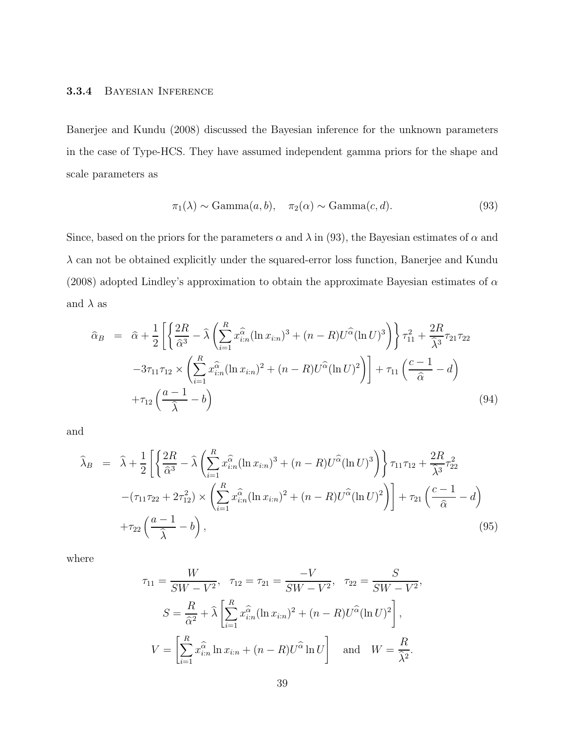#### 3.3.4 Bayesian Inference

Banerjee and Kundu (2008) discussed the Bayesian inference for the unknown parameters in the case of Type-HCS. They have assumed independent gamma priors for the shape and scale parameters as

$$
\pi_1(\lambda) \sim \text{Gamma}(a, b), \quad \pi_2(\alpha) \sim \text{Gamma}(c, d). \tag{93}
$$

Since, based on the priors for the parameters  $\alpha$  and  $\lambda$  in (93), the Bayesian estimates of  $\alpha$  and  $\lambda$  can not be obtained explicitly under the squared-error loss function, Banerjee and Kundu (2008) adopted Lindley's approximation to obtain the approximate Bayesian estimates of  $\alpha$ and  $\lambda$  as

$$
\hat{\alpha}_{B} = \hat{\alpha} + \frac{1}{2} \left[ \left\{ \frac{2R}{\hat{\alpha}^{3}} - \hat{\lambda} \left( \sum_{i=1}^{R} x_{i:n}^{\hat{\alpha}} (\ln x_{i:n})^{3} + (n - R) U^{\hat{\alpha}} (\ln U)^{3} \right) \right\} \tau_{11}^{2} + \frac{2R}{\hat{\lambda}^{3}} \tau_{21} \tau_{22} -3\tau_{11} \tau_{12} \times \left( \sum_{i=1}^{R} x_{i:n}^{\hat{\alpha}} (\ln x_{i:n})^{2} + (n - R) U^{\hat{\alpha}} (\ln U)^{2} \right) \right] + \tau_{11} \left( \frac{c - 1}{\hat{\alpha}} - d \right) + \tau_{12} \left( \frac{a - 1}{\hat{\lambda}} - b \right)
$$
\n(94)

and

$$
\hat{\lambda}_B = \hat{\lambda} + \frac{1}{2} \left[ \left\{ \frac{2R}{\hat{\alpha}^3} - \hat{\lambda} \left( \sum_{i=1}^R x_{i:n}^{\hat{\alpha}} (\ln x_{i:n})^3 + (n - R) U^{\hat{\alpha}} (\ln U)^3 \right) \right\} \tau_{11} \tau_{12} + \frac{2R}{\hat{\lambda}^3} \tau_{22}^2 - (\tau_{11} \tau_{22} + 2\tau_{12}^2) \times \left( \sum_{i=1}^R x_{i:n}^{\hat{\alpha}} (\ln x_{i:n})^2 + (n - R) U^{\hat{\alpha}} (\ln U)^2 \right) \right] + \tau_{21} \left( \frac{c - 1}{\hat{\alpha}} - d \right) + \tau_{22} \left( \frac{a - 1}{\hat{\lambda}} - b \right),
$$
\n(95)

where

$$
\tau_{11} = \frac{W}{SW - V^2}, \quad \tau_{12} = \tau_{21} = \frac{-V}{SW - V^2}, \quad \tau_{22} = \frac{S}{SW - V^2},
$$

$$
S = \frac{R}{\hat{\alpha}^2} + \hat{\lambda} \left[ \sum_{i=1}^R x_{i:n}^{\hat{\alpha}} (\ln x_{i:n})^2 + (n - R) U^{\hat{\alpha}} (\ln U)^2 \right],
$$

$$
V = \left[ \sum_{i=1}^R x_{i:n}^{\hat{\alpha}} \ln x_{i:n} + (n - R) U^{\hat{\alpha}} \ln U \right] \quad \text{and} \quad W = \frac{R}{\hat{\lambda}^2}.
$$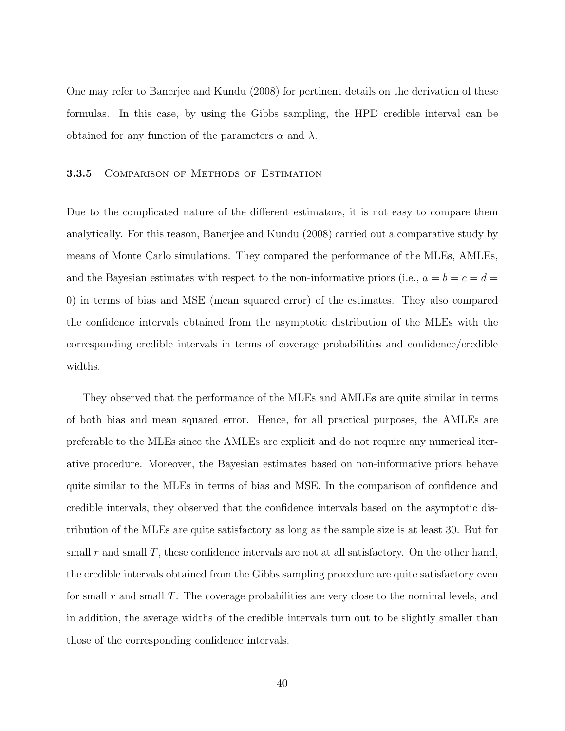One may refer to Banerjee and Kundu (2008) for pertinent details on the derivation of these formulas. In this case, by using the Gibbs sampling, the HPD credible interval can be obtained for any function of the parameters  $\alpha$  and  $\lambda$ .

#### 3.3.5 Comparison of Methods of Estimation

Due to the complicated nature of the different estimators, it is not easy to compare them analytically. For this reason, Banerjee and Kundu (2008) carried out a comparative study by means of Monte Carlo simulations. They compared the performance of the MLEs, AMLEs, and the Bayesian estimates with respect to the non-informative priors (i.e.,  $a = b = c = d$ ) 0) in terms of bias and MSE (mean squared error) of the estimates. They also compared the confidence intervals obtained from the asymptotic distribution of the MLEs with the corresponding credible intervals in terms of coverage probabilities and confidence/credible widths.

They observed that the performance of the MLEs and AMLEs are quite similar in terms of both bias and mean squared error. Hence, for all practical purposes, the AMLEs are preferable to the MLEs since the AMLEs are explicit and do not require any numerical iterative procedure. Moreover, the Bayesian estimates based on non-informative priors behave quite similar to the MLEs in terms of bias and MSE. In the comparison of confidence and credible intervals, they observed that the confidence intervals based on the asymptotic distribution of the MLEs are quite satisfactory as long as the sample size is at least 30. But for small r and small T, these confidence intervals are not at all satisfactory. On the other hand, the credible intervals obtained from the Gibbs sampling procedure are quite satisfactory even for small r and small  $T$ . The coverage probabilities are very close to the nominal levels, and in addition, the average widths of the credible intervals turn out to be slightly smaller than those of the corresponding confidence intervals.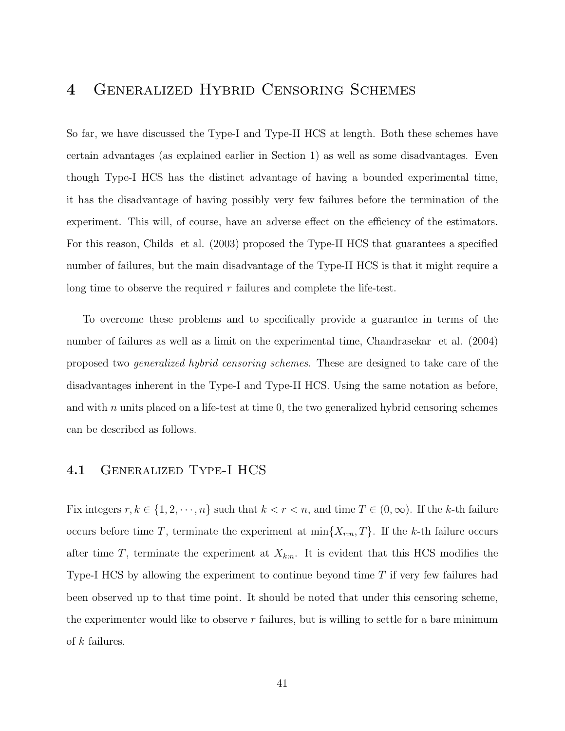# 4 Generalized Hybrid Censoring Schemes

So far, we have discussed the Type-I and Type-II HCS at length. Both these schemes have certain advantages (as explained earlier in Section 1) as well as some disadvantages. Even though Type-I HCS has the distinct advantage of having a bounded experimental time, it has the disadvantage of having possibly very few failures before the termination of the experiment. This will, of course, have an adverse effect on the efficiency of the estimators. For this reason, Childs et al. (2003) proposed the Type-II HCS that guarantees a specified number of failures, but the main disadvantage of the Type-II HCS is that it might require a long time to observe the required  $r$  failures and complete the life-test.

To overcome these problems and to specifically provide a guarantee in terms of the number of failures as well as a limit on the experimental time, Chandrasekar et al. (2004) proposed two generalized hybrid censoring schemes. These are designed to take care of the disadvantages inherent in the Type-I and Type-II HCS. Using the same notation as before, and with n units placed on a life-test at time  $0$ , the two generalized hybrid censoring schemes can be described as follows.

### 4.1 Generalized Type-I HCS

Fix integers  $r, k \in \{1, 2, \dots, n\}$  such that  $k < r < n$ , and time  $T \in (0, \infty)$ . If the k-th failure occurs before time T, terminate the experiment at  $\min\{X_{r:n}, T\}$ . If the k-th failure occurs after time  $T$ , terminate the experiment at  $X_{k:n}$ . It is evident that this HCS modifies the Type-I HCS by allowing the experiment to continue beyond time T if very few failures had been observed up to that time point. It should be noted that under this censoring scheme, the experimenter would like to observe  $r$  failures, but is willing to settle for a bare minimum of k failures.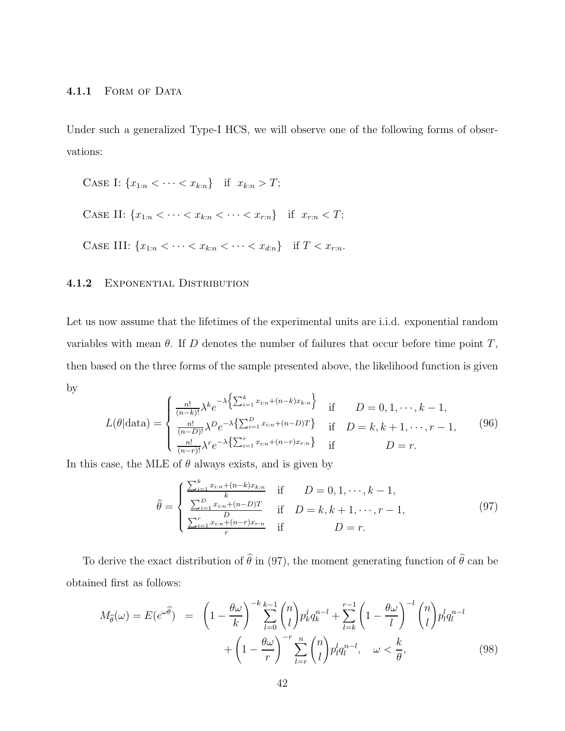Under such a generalized Type-I HCS, we will observe one of the following forms of observations:

CASE I: 
$$
\{x_{1:n} < \cdots < x_{k:n}\}
$$
 if  $x_{k:n} > T$ ;

\nCASE II:  $\{x_{1:n} < \cdots < x_{k:n} < \cdots < x_{r:n}\}$  if  $x_{r:n} < T$ ;

\nCASE III:  $\{x_{1:n} < \cdots < x_{k:n} < \cdots < x_{dn}\}$  if  $T < x_{r:n}$ .

#### 4.1.2 EXPONENTIAL DISTRIBUTION

Let us now assume that the lifetimes of the experimental units are i.i.d. exponential random variables with mean  $\theta$ . If D denotes the number of failures that occur before time point T, then based on the three forms of the sample presented above, the likelihood function is given by

$$
L(\theta|\text{data}) = \begin{cases} \frac{n!}{(n-k)!} \lambda^k e^{-\lambda \left\{ \sum_{i=1}^k x_{i:n} + (n-k)x_{k:n} \right\}} & \text{if } D = 0, 1, \dots, k-1, \\ \frac{n!}{(n-D)!} \lambda^D e^{-\lambda \left\{ \sum_{i=1}^D x_{i:n} + (n-D)T \right\}} & \text{if } D = k, k+1, \dots, r-1, \\ \frac{n!}{(n-r)!} \lambda^r e^{-\lambda \left\{ \sum_{i=1}^T x_{i:n} + (n-r)x_{r:n} \right\}} & \text{if } D = r. \end{cases}
$$
\n
$$
(96)
$$

In this case, the MLE of  $\theta$  always exists, and is given by

$$
\hat{\theta} = \begin{cases}\n\frac{\sum_{i=1}^{k} x_{i:n} + (n-k)x_{k:n}}{k} & \text{if } D = 0, 1, \dots, k-1, \\
\frac{\sum_{i=1}^{D} x_{i:n} + (n-D)T}{D} & \text{if } D = k, k+1, \dots, r-1, \\
\frac{\sum_{i=1}^{r} x_{i:n} + (n-r)x_{r:n}}{r} & \text{if } D = r.\n\end{cases}
$$
\n(97)

To derive the exact distribution of  $\hat{\theta}$  in (97), the moment generating function of  $\hat{\theta}$  can be obtained first as follows:

$$
M_{\widehat{\theta}}(\omega) = E(e^{\omega \widehat{\theta}}) = \left(1 - \frac{\theta \omega}{k}\right)^{-k} \sum_{l=0}^{k-1} {n \choose l} p_k^j q_k^{n-l} + \sum_{l=k}^{r-1} \left(1 - \frac{\theta \omega}{l}\right)^{-l} {n \choose l} p_l^l q_l^{n-l} + \left(1 - \frac{\theta \omega}{r}\right)^{-r} \sum_{l=r}^{n} {n \choose l} p_l^l q_l^{n-l}, \quad \omega < \frac{k}{\theta},\tag{98}
$$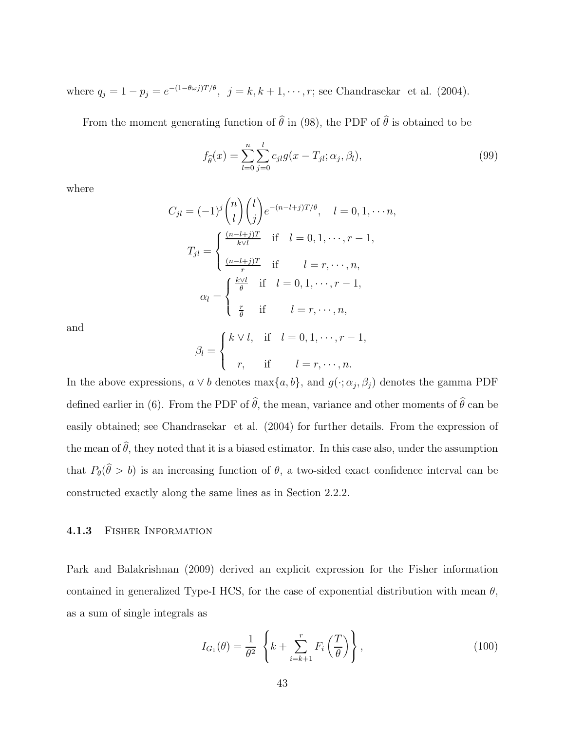where  $q_j = 1 - p_j = e^{-(1 - \theta \omega_j)T/\theta}$ ,  $j = k, k + 1, \dots, r$ ; see Chandrasekar et al. (2004).

From the moment generating function of  $\hat{\theta}$  in (98), the PDF of  $\hat{\theta}$  is obtained to be

$$
f_{\hat{\theta}}(x) = \sum_{l=0}^{n} \sum_{j=0}^{l} c_{jl} g(x - T_{jl}; \alpha_j, \beta_l),
$$
\n(99)

where

$$
C_{jl} = (-1)^j {n \choose l} {l \choose j} e^{-(n-l+j)T/\theta}, \quad l = 0, 1, \dots, n,
$$

$$
T_{jl} = \begin{cases} \frac{(n-l+j)T}{k\vee l} & \text{if } l = 0, 1, \dots, r-1, \\ \frac{(n-l+j)T}{r} & \text{if } l = r, \dots, n, \\ \frac{k\vee l}{\theta} & \text{if } l = 0, 1, \dots, r-1, \end{cases}
$$

$$
\alpha_l = \begin{cases} \frac{k\vee l}{\theta} & \text{if } l = 0, 1, \dots, r-1, \\ \frac{r}{\theta} & \text{if } l = r, \dots, n, \end{cases}
$$

and

$$
\beta_l = \begin{cases} k \vee l, & \text{if } l = 0, 1, \dots, r - 1, \\ r, & \text{if } l = r, \dots, n. \end{cases}
$$

In the above expressions,  $a \vee b$  denotes  $\max\{a, b\}$ , and  $g(\cdot; \alpha_j, \beta_j)$  denotes the gamma PDF defined earlier in (6). From the PDF of  $\hat{\theta}$ , the mean, variance and other moments of  $\hat{\theta}$  can be easily obtained; see Chandrasekar et al. (2004) for further details. From the expression of the mean of  $\hat{\theta}$ , they noted that it is a biased estimator. In this case also, under the assumption that  $P_{\theta}(\theta > b)$  is an increasing function of  $\theta$ , a two-sided exact confidence interval can be constructed exactly along the same lines as in Section 2.2.2.

#### 4.1.3 Fisher Information

Park and Balakrishnan (2009) derived an explicit expression for the Fisher information contained in generalized Type-I HCS, for the case of exponential distribution with mean  $\theta$ , as a sum of single integrals as

$$
I_{G_1}(\theta) = \frac{1}{\theta^2} \left\{ k + \sum_{i=k+1}^r F_i\left(\frac{T}{\theta}\right) \right\},\tag{100}
$$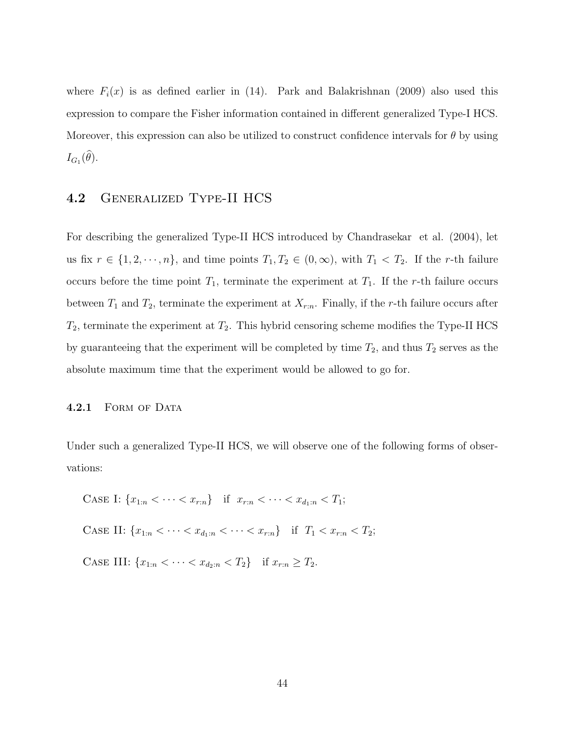where  $F_i(x)$  is as defined earlier in (14). Park and Balakrishnan (2009) also used this expression to compare the Fisher information contained in different generalized Type-I HCS. Moreover, this expression can also be utilized to construct confidence intervals for  $\theta$  by using  $I_{G_1}(\theta)$ .

### 4.2 Generalized Type-II HCS

For describing the generalized Type-II HCS introduced by Chandrasekar et al. (2004), let us fix  $r \in \{1, 2, \dots, n\}$ , and time points  $T_1, T_2 \in (0, \infty)$ , with  $T_1 < T_2$ . If the r-th failure occurs before the time point  $T_1$ , terminate the experiment at  $T_1$ . If the r-th failure occurs between  $T_1$  and  $T_2$ , terminate the experiment at  $X_{r:n}$ . Finally, if the r-th failure occurs after  $T_2$ , terminate the experiment at  $T_2$ . This hybrid censoring scheme modifies the Type-II HCS by guaranteeing that the experiment will be completed by time  $T_2$ , and thus  $T_2$  serves as the absolute maximum time that the experiment would be allowed to go for.

#### 4.2.1 FORM OF DATA

Under such a generalized Type-II HCS, we will observe one of the following forms of observations:

CASE I: 
$$
\{x_{1:n} < \cdots < x_{r:n}\}
$$
 if  $x_{r:n} < \cdots < x_{d_1:n} < T_1;$ 

CASE II:  ${x_{1:n} < \cdots < x_{d_1:n} < \cdots < x_{r:n}}$  if  $T_1 < x_{r:n} < T_2$ ;

CASE III:  $\{x_{1:n} < \cdots < x_{d_2:n} < T_2\}$  if  $x_{r:n} \geq T_2$ .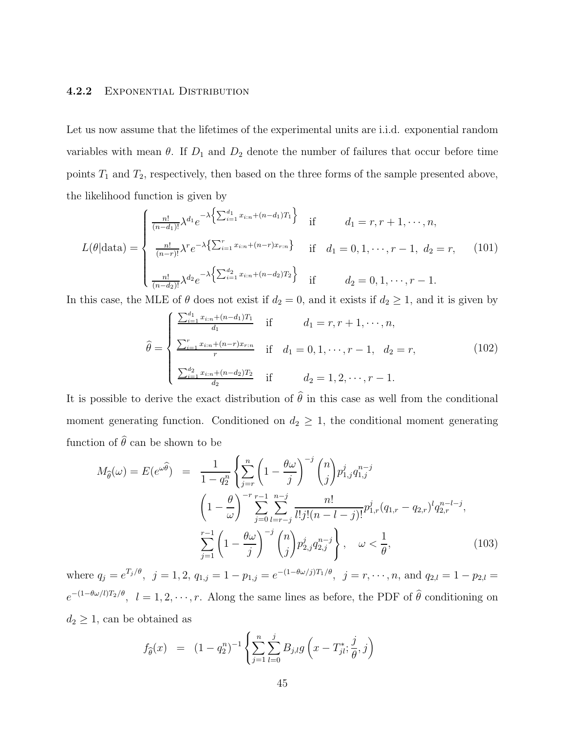#### 4.2.2 Exponential Distribution

Let us now assume that the lifetimes of the experimental units are i.i.d. exponential random variables with mean  $\theta$ . If  $D_1$  and  $D_2$  denote the number of failures that occur before time points  $T_1$  and  $T_2$ , respectively, then based on the three forms of the sample presented above, the likelihood function is given by

$$
L(\theta|\text{data}) = \begin{cases} \frac{n!}{(n-d_1)!} \lambda^{d_1} e^{-\lambda \left\{ \sum_{i=1}^{d_1} x_{i:n} + (n-d_1)T_1 \right\}} & \text{if} \qquad d_1 = r, r+1, \dots, n, \\ \frac{n!}{(n-r)!} \lambda^r e^{-\lambda \left\{ \sum_{i=1}^r x_{i:n} + (n-r)x_{r:n} \right\}} & \text{if} \quad d_1 = 0, 1, \dots, r-1, \ d_2 = r, \end{cases} \tag{101}
$$

In this case, the MLE of  $\theta$  does not exist if  $d_2 = 0$ , and it exists if  $d_2 \geq 1$ , and it is given by

$$
\hat{\theta} = \begin{cases}\n\frac{\sum_{i=1}^{d_1} x_{i:n} + (n-d_1)T_1}{d_1} & \text{if} & d_1 = r, r+1, \dots, n, \\
\frac{\sum_{i=1}^{r} x_{i:n} + (n-r)x_{r:n}}{r} & \text{if} & d_1 = 0, 1, \dots, r-1, \ d_2 = r, \\
\frac{\sum_{i=1}^{d_2} x_{i:n} + (n-d_2)T_2}{d_2} & \text{if} & d_2 = 1, 2, \dots, r-1.\n\end{cases}
$$
\n(102)

It is possible to derive the exact distribution of  $\hat{\theta}$  in this case as well from the conditional moment generating function. Conditioned on  $d_2 \geq 1$ , the conditional moment generating function of  $\hat{\theta}$  can be shown to be

$$
M_{\hat{\theta}}(\omega) = E(e^{\omega \hat{\theta}}) = \frac{1}{1 - q_2^n} \left\{ \sum_{j=r}^n \left( 1 - \frac{\theta \omega}{j} \right)^{-j} {n \choose j} p_{1,j}^j q_{1,j}^{n-j} \right\}
$$

$$
\left( 1 - \frac{\theta}{\omega} \right)^{-r} \sum_{j=0}^{r-1} \sum_{l=r-j}^{n-j} \frac{n!}{l! j! (n - l - j)!} p_{1,r}^j (q_{1,r} - q_{2,r})^l q_{2,r}^{n-l-j},
$$

$$
\sum_{j=1}^{r-1} \left( 1 - \frac{\theta \omega}{j} \right)^{-j} {n \choose j} p_{2,j}^j q_{2,j}^{n-j}, \quad \omega < \frac{1}{\theta},
$$
(103)

where  $q_j = e^{T_j/\theta}$ ,  $j = 1, 2, q_{1,j} = 1 - p_{1,j} = e^{-(1 - \theta \omega/j)T_1/\theta}$ ,  $j = r, \dots, n$ , and  $q_{2,l} = 1 - p_{2,l} =$  $e^{-(1-\theta\omega/l)T_2/\theta}$ ,  $l=1,2,\dots,r$ . Along the same lines as before, the PDF of  $\hat{\theta}$  conditioning on  $d_2 \geq 1$ , can be obtained as

$$
f_{\widehat{\theta}}(x) = (1 - q_2^n)^{-1} \left\{ \sum_{j=1}^n \sum_{l=0}^j B_{j,l} g\left(x - T_{jl}^*, \frac{j}{\theta}, j\right) \right\}
$$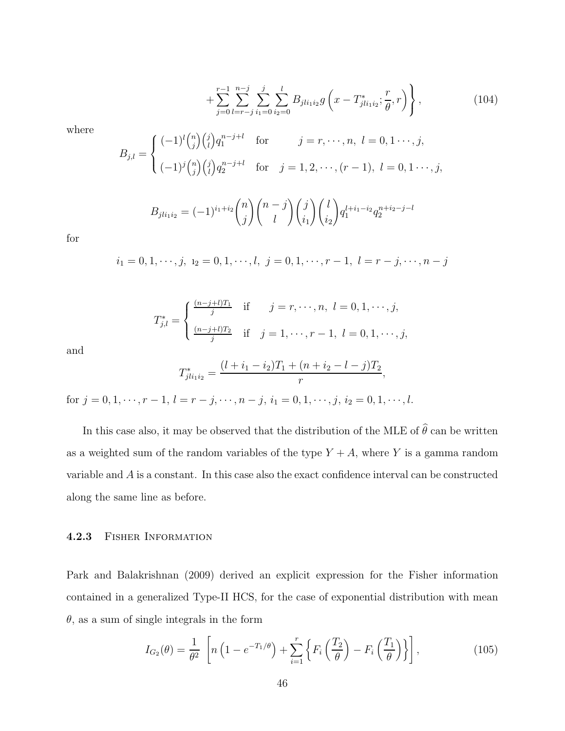$$
+\sum_{j=0}^{r-1}\sum_{l=r-j}^{n-j}\sum_{i_1=0}^j\sum_{i_2=0}^lB_{jli_1i_2}g\left(x-T_{jli_1i_2}^*\,;\frac{r}{\theta},r\right)\Bigg\}\,,\tag{104}
$$

where

$$
B_{j,l} = \begin{cases} (-1)^l \binom{n}{j} \binom{j}{l} q_1^{n-j+l} & \text{for} \qquad j = r, \dots, n, \ l = 0, 1, \dots, j, \\ (-1)^j \binom{n}{j} \binom{j}{l} q_2^{n-j+l} & \text{for} \quad j = 1, 2, \dots, (r-1), \ l = 0, 1, \dots, j, \end{cases}
$$

$$
B_{jli_1i_2} = (-1)^{i_1+i_2} \binom{n}{j} \binom{n-j}{l} \binom{j}{i_1} \binom{l}{i_2} q_1^{l+i_1-i_2} q_2^{n+i_2-j-l}
$$

for

$$
i_1 = 0, 1, \dots, j, \ i_2 = 0, 1, \dots, l, \ j = 0, 1, \dots, r - 1, \ l = r - j, \dots, n - j
$$

$$
T_{j,l}^{*} = \begin{cases} \frac{(n-j+l)T_1}{j} & \text{if } j = r, \dots, n, \ l = 0, 1, \dots, j, \\ \frac{(n-j+l)T_2}{j} & \text{if } j = 1, \dots, r-1, \ l = 0, 1, \dots, j, \end{cases}
$$

and

$$
T_{jli_1i_2}^* = \frac{(l+i_1-i_2)T_1 + (n+i_2-l-j)T_2}{r},
$$

for  $j = 0, 1, \dots, r - 1, l = r - j, \dots, n - j, i_1 = 0, 1, \dots, j, i_2 = 0, 1, \dots, l.$ 

In this case also, it may be observed that the distribution of the MLE of  $\hat{\theta}$  can be written as a weighted sum of the random variables of the type  $Y + A$ , where Y is a gamma random variable and A is a constant. In this case also the exact confidence interval can be constructed along the same line as before.

#### 4.2.3 Fisher Information

Park and Balakrishnan (2009) derived an explicit expression for the Fisher information contained in a generalized Type-II HCS, for the case of exponential distribution with mean  $\theta$ , as a sum of single integrals in the form

$$
I_{G_2}(\theta) = \frac{1}{\theta^2} \left[ n \left( 1 - e^{-T_1/\theta} \right) + \sum_{i=1}^r \left\{ F_i \left( \frac{T_2}{\theta} \right) - F_i \left( \frac{T_1}{\theta} \right) \right\} \right],
$$
 (105)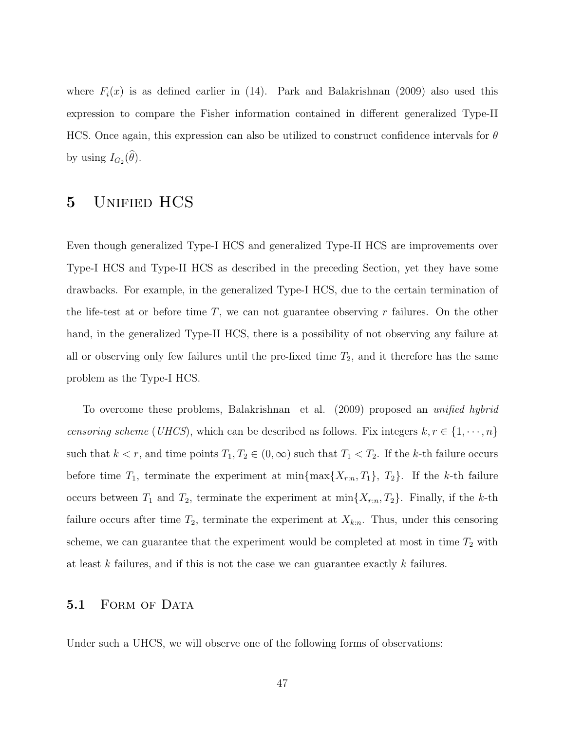where  $F_i(x)$  is as defined earlier in (14). Park and Balakrishnan (2009) also used this expression to compare the Fisher information contained in different generalized Type-II HCS. Once again, this expression can also be utilized to construct confidence intervals for  $\theta$ by using  $I_{G_2}(\theta)$ .

# 5 Unified HCS

Even though generalized Type-I HCS and generalized Type-II HCS are improvements over Type-I HCS and Type-II HCS as described in the preceding Section, yet they have some drawbacks. For example, in the generalized Type-I HCS, due to the certain termination of the life-test at or before time  $T$ , we can not guarantee observing r failures. On the other hand, in the generalized Type-II HCS, there is a possibility of not observing any failure at all or observing only few failures until the pre-fixed time  $T_2$ , and it therefore has the same problem as the Type-I HCS.

To overcome these problems, Balakrishnan et al. (2009) proposed an unified hybrid censoring scheme (UHCS), which can be described as follows. Fix integers  $k, r \in \{1, \dots, n\}$ such that  $k < r$ , and time points  $T_1, T_2 \in (0, \infty)$  such that  $T_1 < T_2$ . If the k-th failure occurs before time  $T_1$ , terminate the experiment at min $\{\max\{X_{r:n}, T_1\}, T_2\}$ . If the k-th failure occurs between  $T_1$  and  $T_2$ , terminate the experiment at min $\{X_{r:n}, T_2\}$ . Finally, if the k-th failure occurs after time  $T_2$ , terminate the experiment at  $X_{k:n}$ . Thus, under this censoring scheme, we can guarantee that the experiment would be completed at most in time  $T_2$  with at least k failures, and if this is not the case we can guarantee exactly k failures.

#### 5.1 FORM OF DATA

Under such a UHCS, we will observe one of the following forms of observations: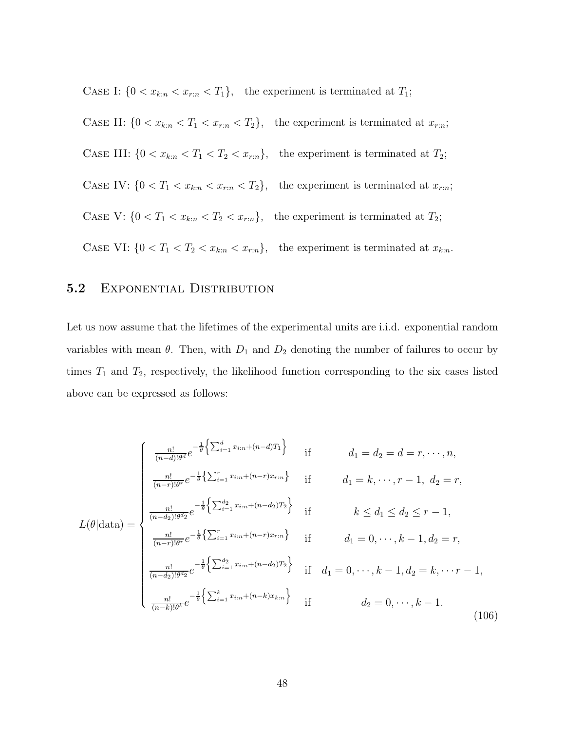CASE I:  $\{0 < x_{k:n} < x_{r:n} < T_1\}$ , the experiment is terminated at  $T_1$ ;

CASE II:  $\{0 < x_{k:n} < T_1 < x_{r:n} < T_2\}$ , the experiment is terminated at  $x_{r:n}$ ; CASE III:  $\{0 < x_{k:n} < T_1 < T_2 < x_{r:n}\}$ , the experiment is terminated at  $T_2$ ; CASE IV:  $\{0 < T_1 < x_{k:n} < x_{r:n} < T_2\}$ , the experiment is terminated at  $x_{r:n}$ ; CASE V:  $\{0 < T_1 < x_{k:n} < T_2 < x_{r:n}\}$ , the experiment is terminated at  $T_2$ ; CASE VI:  $\{0 < T_1 < T_2 < x_{k:n} < x_{r:n}\}\$ , the experiment is terminated at  $x_{k:n}$ .

## 5.2 EXPONENTIAL DISTRIBUTION

Let us now assume that the lifetimes of the experimental units are i.i.d. exponential random variables with mean  $\theta$ . Then, with  $D_1$  and  $D_2$  denoting the number of failures to occur by times  $T_1$  and  $T_2$ , respectively, the likelihood function corresponding to the six cases listed above can be expressed as follows:

$$
L(\theta|\text{data}) = \begin{cases} \frac{n!}{(n-d)!\theta^{d}} e^{-\frac{1}{\theta}\left\{\sum_{i=1}^{d} x_{i:n} + (n-d)T_{1}\right\}} & \text{if} & d_{1} = d_{2} = d = r, \cdots, n, \\ \frac{n!}{(n-r)!\theta^{r}} e^{-\frac{1}{\theta}\left\{\sum_{i=1}^{r} x_{i:n} + (n-r)x_{r:n}\right\}} & \text{if} & d_{1} = k, \cdots, r-1, \ d_{2} = r, \\ \frac{n!}{(n-d_{2})!\theta^{d_{2}}} e^{-\frac{1}{\theta}\left\{\sum_{i=1}^{d_{2}} x_{i:n} + (n-d_{2})T_{2}\right\}} & \text{if} & k \leq d_{1} \leq d_{2} \leq r-1, \\ \frac{n!}{(n-r)!\theta^{r}} e^{-\frac{1}{\theta}\left\{\sum_{i=1}^{r} x_{i:n} + (n-r)x_{r:n}\right\}} & \text{if} & d_{1} = 0, \cdots, k-1, d_{2} = r, \\ \frac{n!}{(n-d_{2})!\theta^{d_{2}}} e^{-\frac{1}{\theta}\left\{\sum_{i=1}^{d_{2}} x_{i:n} + (n-d_{2})T_{2}\right\}} & \text{if} & d_{1} = 0, \cdots, k-1, d_{2} = k, \cdots r-1, \\ \frac{n!}{(n-k)!\theta^{k}} e^{-\frac{1}{\theta}\left\{\sum_{i=1}^{k} x_{i:n} + (n-k)x_{k:n}\right\}} & \text{if} & d_{2} = 0, \cdots, k-1. \end{cases} \tag{106}
$$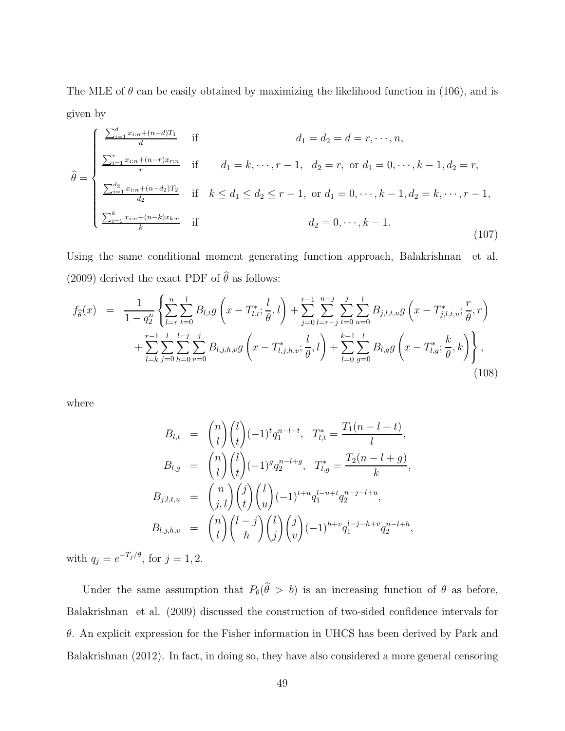The MLE of  $\theta$  can be easily obtained by maximizing the likelihood function in (106), and is given by

$$
\hat{\theta} = \begin{cases}\n\frac{\sum_{i=1}^{d} x_{i:n} + (n-d)T_1}{d} & \text{if} & d_1 = d_2 = d = r, \dots, n, \\
\frac{\sum_{i=1}^{r} x_{i:n} + (n-r)x_{r:n}}{r} & \text{if} & d_1 = k, \dots, r - 1, \ d_2 = r, \text{ or } d_1 = 0, \dots, k - 1, d_2 = r, \\
\frac{\sum_{i=1}^{d_2} x_{i:n} + (n-d_2)T_2}{d_2} & \text{if} & k \leq d_1 \leq d_2 \leq r - 1, \text{ or } d_1 = 0, \dots, k - 1, d_2 = k, \dots, r - 1, \\
\frac{\sum_{i=1}^{k} x_{i:n} + (n-k)x_{k:n}}{k} & \text{if} & d_2 = 0, \dots, k - 1.\n\end{cases}
$$
\n(107)

Using the same conditional moment generating function approach, Balakrishnan et al. (2009) derived the exact PDF of  $\hat{\theta}$  as follows:

$$
f_{\hat{\theta}}(x) = \frac{1}{1 - q_2^n} \left\{ \sum_{l=r}^n \sum_{t=0}^l B_{l,t} g\left(x - T_{l,t}^*; \frac{l}{\theta}, l\right) + \sum_{j=0}^{r-1} \sum_{l=r-j}^{n-j} \sum_{t=0}^j \sum_{u=0}^l B_{j,l,t,u} g\left(x - T_{j,l,t,u}^*; \frac{r}{\theta}, r\right) + \sum_{l=k}^{r-1} \sum_{j=0}^l \sum_{h=0}^{l-j} \sum_{v=0}^j B_{l,j,h,v} g\left(x - T_{l,j,h,v}^*; \frac{l}{\theta}, l\right) + \sum_{l=0}^{k-1} \sum_{g=0}^l B_{l,g} g\left(x - T_{l,g}^*; \frac{k}{\theta}, k\right) \right\},\tag{108}
$$

where

$$
B_{l,t} = {n \choose l} {l \choose t} (-1)^t q_1^{n-l+t}, \quad T_{l,t}^* = \frac{T_1(n-l+t)}{l},
$$
  
\n
$$
B_{l,g} = {n \choose l} {l \choose t} (-1)^g q_2^{n-l+g}, \quad T_{l,g}^* = \frac{T_2(n-l+g)}{k},
$$
  
\n
$$
B_{j,l,t,u} = {n \choose j,l} {j \choose t} {l \choose u} (-1)^{t+u} q_1^{l-u+t} q_2^{n-j-l+u},
$$
  
\n
$$
B_{l,j,h,v} = {n \choose l} {l-j \choose h} {j \choose j} {j \choose v} (-1)^{h+v} q_1^{l-j-h+v} q_2^{n-l+h},
$$

with  $q_j = e^{-T_j/\theta}$ , for  $j = 1, 2$ .

Under the same assumption that  $P_{\theta}(\theta > b)$  is an increasing function of  $\theta$  as before, Balakrishnan et al. (2009) discussed the construction of two-sided confidence intervals for  $\theta$ . An explicit expression for the Fisher information in UHCS has been derived by Park and Balakrishnan (2012). In fact, in doing so, they have also considered a more general censoring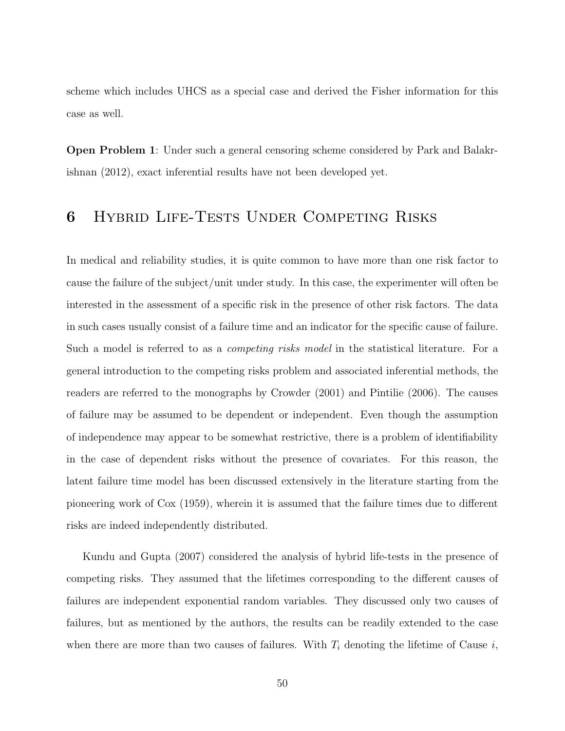scheme which includes UHCS as a special case and derived the Fisher information for this case as well.

Open Problem 1: Under such a general censoring scheme considered by Park and Balakrishnan (2012), exact inferential results have not been developed yet.

# 6 Hybrid Life-Tests Under Competing Risks

In medical and reliability studies, it is quite common to have more than one risk factor to cause the failure of the subject/unit under study. In this case, the experimenter will often be interested in the assessment of a specific risk in the presence of other risk factors. The data in such cases usually consist of a failure time and an indicator for the specific cause of failure. Such a model is referred to as a competing risks model in the statistical literature. For a general introduction to the competing risks problem and associated inferential methods, the readers are referred to the monographs by Crowder (2001) and Pintilie (2006). The causes of failure may be assumed to be dependent or independent. Even though the assumption of independence may appear to be somewhat restrictive, there is a problem of identifiability in the case of dependent risks without the presence of covariates. For this reason, the latent failure time model has been discussed extensively in the literature starting from the pioneering work of Cox (1959), wherein it is assumed that the failure times due to different risks are indeed independently distributed.

Kundu and Gupta (2007) considered the analysis of hybrid life-tests in the presence of competing risks. They assumed that the lifetimes corresponding to the different causes of failures are independent exponential random variables. They discussed only two causes of failures, but as mentioned by the authors, the results can be readily extended to the case when there are more than two causes of failures. With  $T_i$  denoting the lifetime of Cause i,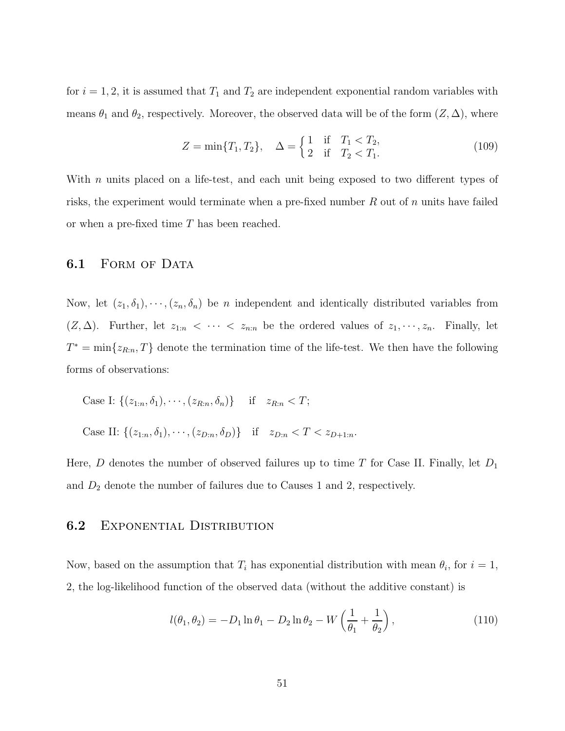for  $i = 1, 2$ , it is assumed that  $T_1$  and  $T_2$  are independent exponential random variables with means  $\theta_1$  and  $\theta_2$ , respectively. Moreover, the observed data will be of the form  $(Z, \Delta)$ , where

$$
Z = \min\{T_1, T_2\}, \quad \Delta = \begin{cases} 1 & \text{if } T_1 < T_2, \\ 2 & \text{if } T_2 < T_1. \end{cases} \tag{109}
$$

With  $n$  units placed on a life-test, and each unit being exposed to two different types of risks, the experiment would terminate when a pre-fixed number  $R$  out of  $n$  units have failed or when a pre-fixed time T has been reached.

### 6.1 FORM OF DATA

Now, let  $(z_1, \delta_1), \dots, (z_n, \delta_n)$  be *n* independent and identically distributed variables from  $(Z, \Delta)$ . Further, let  $z_{1:n} < \cdots < z_{n:n}$  be the ordered values of  $z_1, \dots, z_n$ . Finally, let  $T^* = \min\{z_{R:n}, T\}$  denote the termination time of the life-test. We then have the following forms of observations:

Case I: 
$$
\{(z_{1:n}, \delta_1), \dots, (z_{R:n}, \delta_n)\}\
$$
 if  $z_{R:n} < T$ ;  
Case II:  $\{(z_{1:n}, \delta_1), \dots, (z_{D:n}, \delta_D)\}\$  if  $z_{D:n} < T < z_{D+1:n}$ .

Here,  $D$  denotes the number of observed failures up to time  $T$  for Case II. Finally, let  $D_1$ and  $D_2$  denote the number of failures due to Causes 1 and 2, respectively.

### **6.2** EXPONENTIAL DISTRIBUTION

Now, based on the assumption that  $T_i$  has exponential distribution with mean  $\theta_i$ , for  $i = 1$ , 2, the log-likelihood function of the observed data (without the additive constant) is

$$
l(\theta_1, \theta_2) = -D_1 \ln \theta_1 - D_2 \ln \theta_2 - W \left( \frac{1}{\theta_1} + \frac{1}{\theta_2} \right), \qquad (110)
$$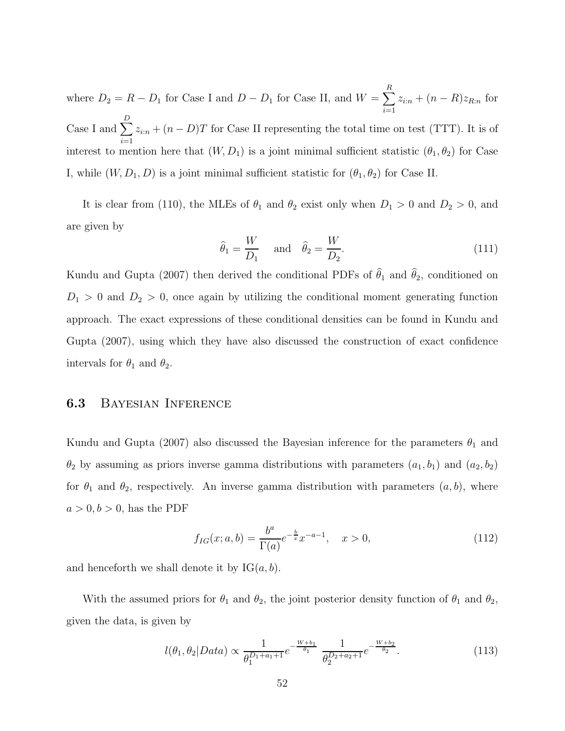where  $D_2 = R - D_1$  for Case I and  $D - D_1$  for Case II, and  $W = \sum^R$  $\sum_{i=1}^{n} z_{i:n} + (n - R)z_{R:n}$  for Case I and  $\sum_{n=1}^{D}$  $\sum_{i=1} z_{i:n} + (n - D)T$  for Case II representing the total time on test (TTT). It is of interest to mention here that  $(W, D_1)$  is a joint minimal sufficient statistic  $(\theta_1, \theta_2)$  for Case I, while  $(W, D_1, D)$  is a joint minimal sufficient statistic for  $(\theta_1, \theta_2)$  for Case II.

It is clear from (110), the MLEs of  $\theta_1$  and  $\theta_2$  exist only when  $D_1 > 0$  and  $D_2 > 0$ , and are given by

$$
\widehat{\theta}_1 = \frac{W}{D_1} \quad \text{and} \quad \widehat{\theta}_2 = \frac{W}{D_2}.
$$
\n(111)

Kundu and Gupta (2007) then derived the conditional PDFs of  $\hat{\theta}_1$  and  $\hat{\theta}_2$ , conditioned on  $D_1 > 0$  and  $D_2 > 0$ , once again by utilizing the conditional moment generating function approach. The exact expressions of these conditional densities can be found in Kundu and Gupta (2007), using which they have also discussed the construction of exact confidence intervals for  $\theta_1$  and  $\theta_2$ .

### 6.3 Bayesian Inference

Kundu and Gupta (2007) also discussed the Bayesian inference for the parameters  $\theta_1$  and  $\theta_2$  by assuming as priors inverse gamma distributions with parameters  $(a_1, b_1)$  and  $(a_2, b_2)$ for  $\theta_1$  and  $\theta_2$ , respectively. An inverse gamma distribution with parameters  $(a, b)$ , where  $a > 0, b > 0$ , has the PDF

$$
f_{IG}(x; a, b) = \frac{b^a}{\Gamma(a)} e^{-\frac{b}{x}} x^{-a-1}, \quad x > 0,
$$
\n(112)

and henceforth we shall denote it by  $IG(a, b)$ .

With the assumed priors for  $\theta_1$  and  $\theta_2$ , the joint posterior density function of  $\theta_1$  and  $\theta_2$ , given the data, is given by

$$
l(\theta_1, \theta_2 | Data) \propto \frac{1}{\theta_1^{D_1 + a_1 + 1}} e^{-\frac{W + b_1}{\theta_1}} \frac{1}{\theta_2^{D_2 + a_2 + 1}} e^{-\frac{W + b_2}{\theta_2}}.
$$
 (113)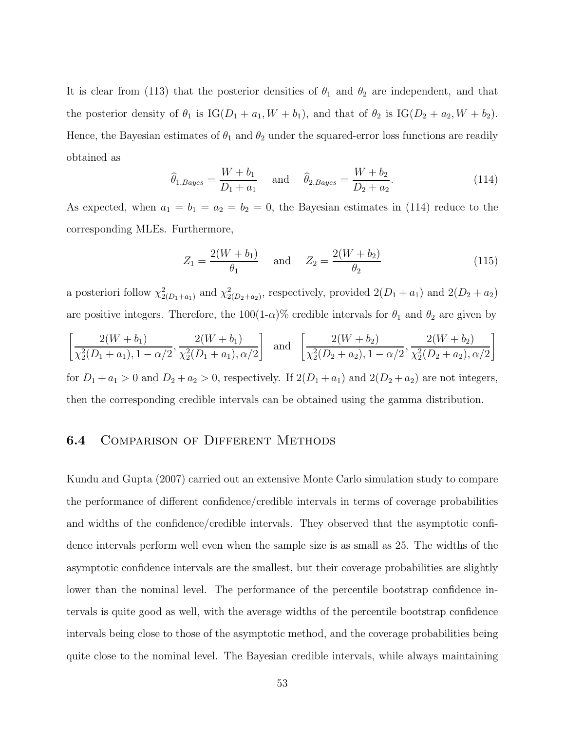It is clear from (113) that the posterior densities of  $\theta_1$  and  $\theta_2$  are independent, and that the posterior density of  $\theta_1$  is IG( $D_1 + a_1$ ,  $W + b_1$ ), and that of  $\theta_2$  is IG( $D_2 + a_2$ ,  $W + b_2$ ). Hence, the Bayesian estimates of  $\theta_1$  and  $\theta_2$  under the squared-error loss functions are readily obtained as

$$
\hat{\theta}_{1,Bayes} = \frac{W + b_1}{D_1 + a_1}
$$
 and  $\hat{\theta}_{2,Bayes} = \frac{W + b_2}{D_2 + a_2}.$  (114)

As expected, when  $a_1 = b_1 = a_2 = b_2 = 0$ , the Bayesian estimates in (114) reduce to the corresponding MLEs. Furthermore,

$$
Z_1 = \frac{2(W + b_1)}{\theta_1} \quad \text{and} \quad Z_2 = \frac{2(W + b_2)}{\theta_2} \tag{115}
$$

a posteriori follow  $\chi^2_{2(D_1+a_1)}$  and  $\chi^2_{2(D_2+a_2)}$ , respectively, provided  $2(D_1+a_1)$  and  $2(D_2+a_2)$ are positive integers. Therefore, the  $100(1-\alpha)\%$  credible intervals for  $\theta_1$  and  $\theta_2$  are given by

$$
\left[\frac{2(W+b_1)}{\chi_2^2(D_1+a_1), 1-\alpha/2}, \frac{2(W+b_1)}{\chi_2^2(D_1+a_1), \alpha/2}\right] \text{ and } \left[\frac{2(W+b_2)}{\chi_2^2(D_2+a_2), 1-\alpha/2}, \frac{2(W+b_2)}{\chi_2^2(D_2+a_2), \alpha/2}\right]
$$

for  $D_1 + a_1 > 0$  and  $D_2 + a_2 > 0$ , respectively. If  $2(D_1 + a_1)$  and  $2(D_2 + a_2)$  are not integers, then the corresponding credible intervals can be obtained using the gamma distribution.

### **6.4 COMPARISON OF DIFFERENT METHODS**

Kundu and Gupta (2007) carried out an extensive Monte Carlo simulation study to compare the performance of different confidence/credible intervals in terms of coverage probabilities and widths of the confidence/credible intervals. They observed that the asymptotic confidence intervals perform well even when the sample size is as small as 25. The widths of the asymptotic confidence intervals are the smallest, but their coverage probabilities are slightly lower than the nominal level. The performance of the percentile bootstrap confidence intervals is quite good as well, with the average widths of the percentile bootstrap confidence intervals being close to those of the asymptotic method, and the coverage probabilities being quite close to the nominal level. The Bayesian credible intervals, while always maintaining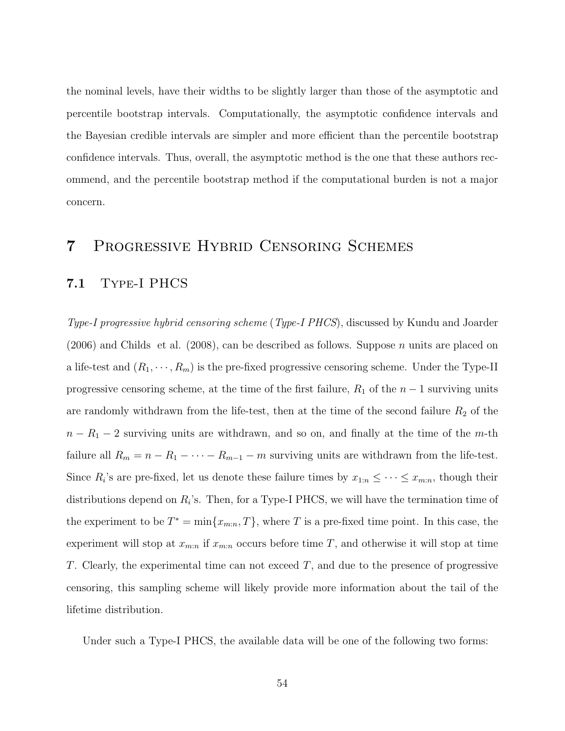the nominal levels, have their widths to be slightly larger than those of the asymptotic and percentile bootstrap intervals. Computationally, the asymptotic confidence intervals and the Bayesian credible intervals are simpler and more efficient than the percentile bootstrap confidence intervals. Thus, overall, the asymptotic method is the one that these authors recommend, and the percentile bootstrap method if the computational burden is not a major concern.

# 7 Progressive Hybrid Censoring Schemes

## 7.1 Type-I PHCS

Type-I progressive hybrid censoring scheme (Type-I PHCS), discussed by Kundu and Joarder  $(2006)$  and Childs et al.  $(2008)$ , can be described as follows. Suppose *n* units are placed on a life-test and  $(R_1, \dots, R_m)$  is the pre-fixed progressive censoring scheme. Under the Type-II progressive censoring scheme, at the time of the first failure,  $R_1$  of the  $n-1$  surviving units are randomly withdrawn from the life-test, then at the time of the second failure  $R_2$  of the  $n - R_1 - 2$  surviving units are withdrawn, and so on, and finally at the time of the m-th failure all  $R_m = n - R_1 - \cdots - R_{m-1} - m$  surviving units are withdrawn from the life-test. Since  $R_i$ 's are pre-fixed, let us denote these failure times by  $x_{1:n} \leq \cdots \leq x_{m:n}$ , though their distributions depend on  $R_i$ 's. Then, for a Type-I PHCS, we will have the termination time of the experiment to be  $T^* = \min\{x_{m:n}, T\}$ , where T is a pre-fixed time point. In this case, the experiment will stop at  $x_{m:n}$  if  $x_{m:n}$  occurs before time T, and otherwise it will stop at time T. Clearly, the experimental time can not exceed  $T$ , and due to the presence of progressive censoring, this sampling scheme will likely provide more information about the tail of the lifetime distribution.

Under such a Type-I PHCS, the available data will be one of the following two forms: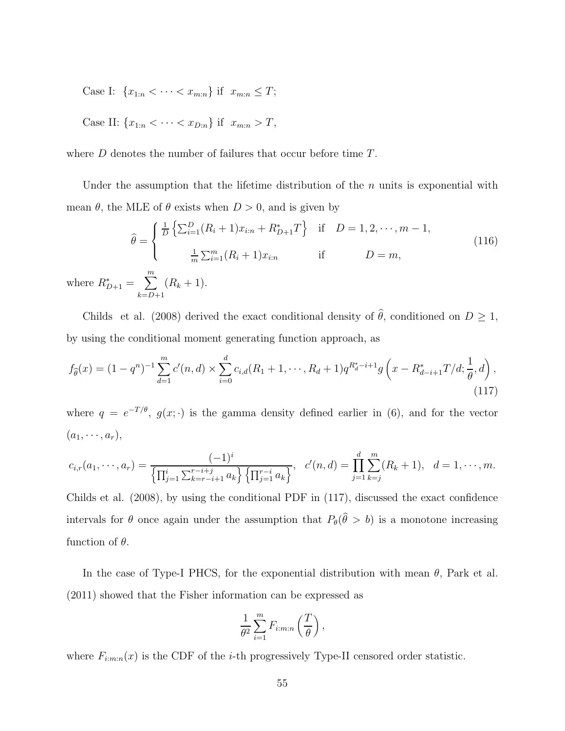Case I:  $\{x_{1:n} < \cdots < x_{m:n}\}$  if  $x_{m:n} \leq T$ ;

Case II: 
$$
\{x_{1:n} < \cdots < x_{D:n}\}\
$$
 if  $x_{m:n} > T$ ,

where D denotes the number of failures that occur before time  $T$ .

Under the assumption that the lifetime distribution of the  $n$  units is exponential with mean  $\theta$ , the MLE of  $\theta$  exists when  $D > 0$ , and is given by

$$
\hat{\theta} = \begin{cases}\n\frac{1}{D} \left\{ \sum_{i=1}^{D} (R_i + 1) x_{i:n} + R_{D+1}^* T \right\} & \text{if } D = 1, 2, \dots, m - 1, \\
\frac{1}{m} \sum_{i=1}^{m} (R_i + 1) x_{i:n} & \text{if } D = m,\n\end{cases}
$$
\n(116)  
\nwhere  $R_{D+1}^* = \sum_{k=D+1}^{m} (R_k + 1)$ .

Childs et al. (2008) derived the exact conditional density of  $\theta$ , conditioned on  $D \geq 1$ , by using the conditional moment generating function approach, as

$$
f_{\hat{\theta}}(x) = (1 - q^n)^{-1} \sum_{d=1}^m c'(n, d) \times \sum_{i=0}^d c_{i,d}(R_1 + 1, \cdots, R_d + 1) q^{R_d^* - i + 1} g\left(x - R_{d-i+1}^* T/d; \frac{1}{\theta}, d\right),
$$
\n(117)

where  $q = e^{-T/\theta}$ ,  $g(x; \cdot)$  is the gamma density defined earlier in (6), and for the vector  $(a_1, \cdots, a_r),$ 

$$
c_{i,r}(a_1,\dots,a_r) = \frac{(-1)^i}{\left\{\prod_{j=1}^i \sum_{k=r-i+1}^{r-i+j} a_k\right\} \left\{\prod_{j=1}^{r-i} a_k\right\}}, \quad c'(n,d) = \prod_{j=1}^d \sum_{k=j}^m (R_k+1), \quad d=1,\dots,m.
$$

Childs et al. (2008), by using the conditional PDF in (117), discussed the exact confidence intervals for  $\theta$  once again under the assumption that  $P_{\theta}(\theta > b)$  is a monotone increasing function of  $\theta$ .

In the case of Type-I PHCS, for the exponential distribution with mean  $\theta$ , Park et al. (2011) showed that the Fisher information can be expressed as

$$
\frac{1}{\theta^2} \sum_{i=1}^m F_{i:m:n} \left( \frac{T}{\theta} \right),\,
$$

where  $F_{i:m:n}(x)$  is the CDF of the *i*-th progressively Type-II censored order statistic.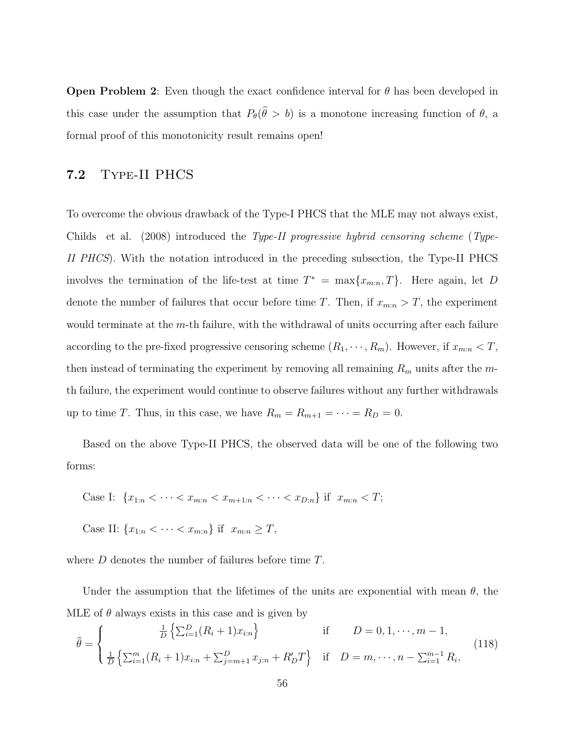**Open Problem 2:** Even though the exact confidence interval for  $\theta$  has been developed in this case under the assumption that  $P_{\theta}(\theta > b)$  is a monotone increasing function of  $\theta$ , a formal proof of this monotonicity result remains open!

## 7.2 Type-II PHCS

To overcome the obvious drawback of the Type-I PHCS that the MLE may not always exist, Childs et al. (2008) introduced the Type-II progressive hybrid censoring scheme (Type-II PHCS). With the notation introduced in the preceding subsection, the Type-II PHCS involves the termination of the life-test at time  $T^* = \max\{x_{m:n}, T\}$ . Here again, let D denote the number of failures that occur before time T. Then, if  $x_{m:n} > T$ , the experiment would terminate at the m-th failure, with the withdrawal of units occurring after each failure according to the pre-fixed progressive censoring scheme  $(R_1, \dots, R_m)$ . However, if  $x_{m:n} < T$ , then instead of terminating the experiment by removing all remaining  $R_m$  units after the mth failure, the experiment would continue to observe failures without any further withdrawals up to time T. Thus, in this case, we have  $R_m = R_{m+1} = \cdots = R_D = 0$ .

Based on the above Type-II PHCS, the observed data will be one of the following two forms:

Case I: 
$$
\{x_{1:n} < \cdots < x_{m:n} < x_{m+1:n} < \cdots < x_{D:n}\}
$$
 if  $x_{m:n} < T$ ;

Case II:  ${x_{1:n} < \cdots < x_{m:n}}$  if  $x_{m:n} \ge T$ ,

where D denotes the number of failures before time T.

Under the assumption that the lifetimes of the units are exponential with mean  $\theta$ , the MLE of  $\theta$  always exists in this case and is given by

$$
\hat{\theta} = \begin{cases}\n\frac{1}{D} \left\{ \sum_{i=1}^{D} (R_i + 1) x_{i:n} \right\} & \text{if } D = 0, 1, \dots, m - 1, \\
\frac{1}{D} \left\{ \sum_{i=1}^{m} (R_i + 1) x_{i:n} + \sum_{j=m+1}^{D} x_{j:n} + R'_D T \right\} & \text{if } D = m, \dots, n - \sum_{i=1}^{m-1} R_i,\n\end{cases}
$$
\n(118)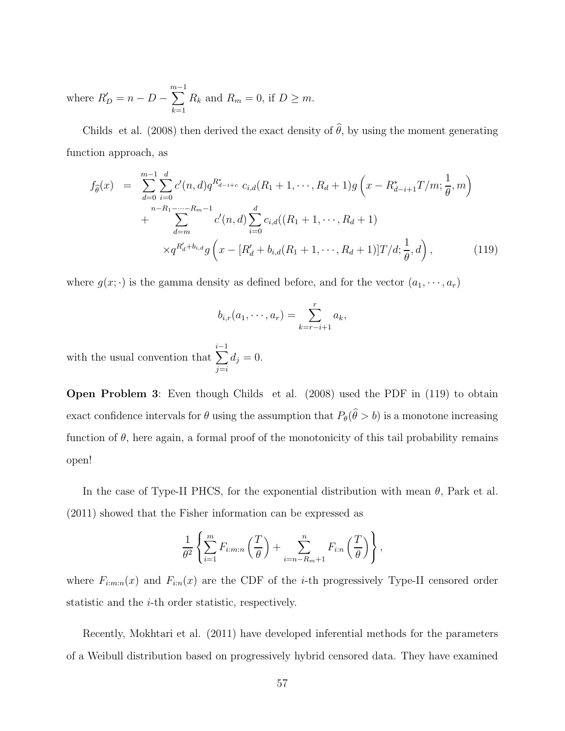where  $R'_D = n - D \sum^{m-1}$  $\sum_{k=1} R_k$  and  $R_m = 0$ , if  $D \geq m$ .

Childs et al. (2008) then derived the exact density of  $\hat{\theta}$ , by using the moment generating function approach, as

$$
f_{\hat{\theta}}(x) = \sum_{d=0}^{m-1} \sum_{i=0}^{d} c'(n, d) q^{R_{d-i+c}^{*}} c_{i,d}(R_1 + 1, \dots, R_d + 1) g\left(x - R_{d-i+1}^{*} T/m; \frac{1}{\theta}, m\right) + \sum_{d=m}^{n-R_1 - \dots - R_m - 1} c'(n, d) \sum_{i=0}^{d} c_{i,d}((R_1 + 1, \dots, R_d + 1) \times q^{R_d' + b_{i,d}} g\left(x - [R_d' + b_{i,d}(R_1 + 1, \dots, R_d + 1)] T/d; \frac{1}{\theta}, d\right),
$$
(119)

where  $g(x; \cdot)$  is the gamma density as defined before, and for the vector  $(a_1, \dots, a_r)$ 

$$
b_{i,r}(a_1,\cdots,a_r)=\sum_{k=r-i+1}^ra_k,
$$

with the usual convention that  $\sum_{i=1}^{i-1}$  $j = i$  $d_j = 0.$ 

Open Problem 3: Even though Childs et al. (2008) used the PDF in (119) to obtain exact confidence intervals for  $\theta$  using the assumption that  $P_{\theta}(\theta > b)$  is a monotone increasing function of  $\theta$ , here again, a formal proof of the monotonicity of this tail probability remains open!

In the case of Type-II PHCS, for the exponential distribution with mean  $\theta$ , Park et al. (2011) showed that the Fisher information can be expressed as

$$
\frac{1}{\theta^2} \left\{ \sum_{i=1}^m F_{i:m:n} \left( \frac{T}{\theta} \right) + \sum_{i=n-R_m+1}^n F_{i:n} \left( \frac{T}{\theta} \right) \right\},\,
$$

where  $F_{i:m:n}(x)$  and  $F_{i:n}(x)$  are the CDF of the *i*-th progressively Type-II censored order statistic and the i-th order statistic, respectively.

Recently, Mokhtari et al. (2011) have developed inferential methods for the parameters of a Weibull distribution based on progressively hybrid censored data. They have examined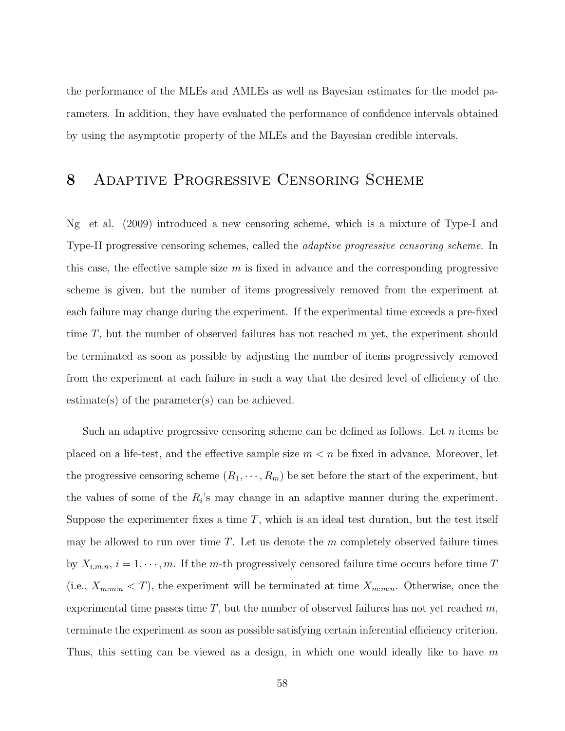the performance of the MLEs and AMLEs as well as Bayesian estimates for the model parameters. In addition, they have evaluated the performance of confidence intervals obtained by using the asymptotic property of the MLEs and the Bayesian credible intervals.

## 8 Adaptive Progressive Censoring Scheme

Ng et al. (2009) introduced a new censoring scheme, which is a mixture of Type-I and Type-II progressive censoring schemes, called the adaptive progressive censoring scheme. In this case, the effective sample size  $m$  is fixed in advance and the corresponding progressive scheme is given, but the number of items progressively removed from the experiment at each failure may change during the experiment. If the experimental time exceeds a pre-fixed time  $T$ , but the number of observed failures has not reached  $m$  yet, the experiment should be terminated as soon as possible by adjusting the number of items progressively removed from the experiment at each failure in such a way that the desired level of efficiency of the estimate(s) of the parameter(s) can be achieved.

Such an adaptive progressive censoring scheme can be defined as follows. Let  $n$  items be placed on a life-test, and the effective sample size  $m < n$  be fixed in advance. Moreover, let the progressive censoring scheme  $(R_1, \dots, R_m)$  be set before the start of the experiment, but the values of some of the  $R_i$ 's may change in an adaptive manner during the experiment. Suppose the experimenter fixes a time  $T$ , which is an ideal test duration, but the test itself may be allowed to run over time  $T$ . Let us denote the  $m$  completely observed failure times by  $X_{i:m:n}$ ,  $i = 1, \dots, m$ . If the m-th progressively censored failure time occurs before time T (i.e.,  $X_{m:m:n} < T$ ), the experiment will be terminated at time  $X_{m:m:n}$ . Otherwise, once the experimental time passes time  $T$ , but the number of observed failures has not yet reached  $m$ , terminate the experiment as soon as possible satisfying certain inferential efficiency criterion. Thus, this setting can be viewed as a design, in which one would ideally like to have m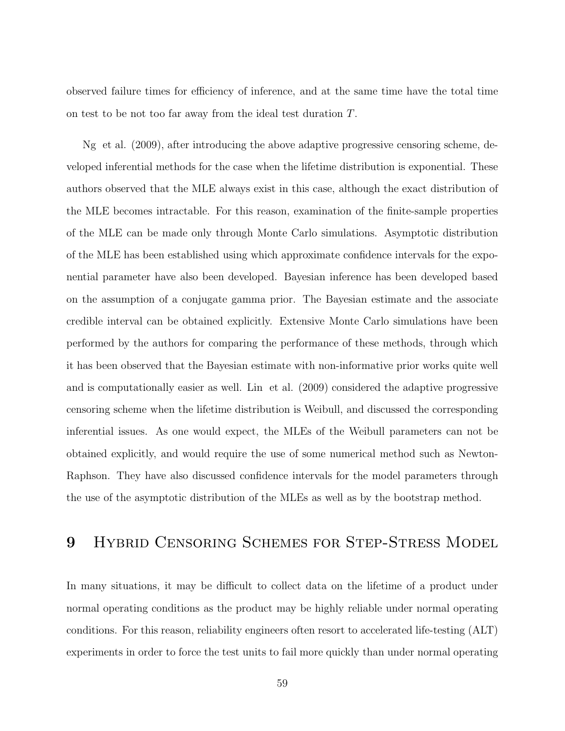observed failure times for efficiency of inference, and at the same time have the total time on test to be not too far away from the ideal test duration T.

Ng et al. (2009), after introducing the above adaptive progressive censoring scheme, developed inferential methods for the case when the lifetime distribution is exponential. These authors observed that the MLE always exist in this case, although the exact distribution of the MLE becomes intractable. For this reason, examination of the finite-sample properties of the MLE can be made only through Monte Carlo simulations. Asymptotic distribution of the MLE has been established using which approximate confidence intervals for the exponential parameter have also been developed. Bayesian inference has been developed based on the assumption of a conjugate gamma prior. The Bayesian estimate and the associate credible interval can be obtained explicitly. Extensive Monte Carlo simulations have been performed by the authors for comparing the performance of these methods, through which it has been observed that the Bayesian estimate with non-informative prior works quite well and is computationally easier as well. Lin et al. (2009) considered the adaptive progressive censoring scheme when the lifetime distribution is Weibull, and discussed the corresponding inferential issues. As one would expect, the MLEs of the Weibull parameters can not be obtained explicitly, and would require the use of some numerical method such as Newton-Raphson. They have also discussed confidence intervals for the model parameters through the use of the asymptotic distribution of the MLEs as well as by the bootstrap method.

# 9 HYBRID CENSORING SCHEMES FOR STEP-STRESS MODEL

In many situations, it may be difficult to collect data on the lifetime of a product under normal operating conditions as the product may be highly reliable under normal operating conditions. For this reason, reliability engineers often resort to accelerated life-testing (ALT) experiments in order to force the test units to fail more quickly than under normal operating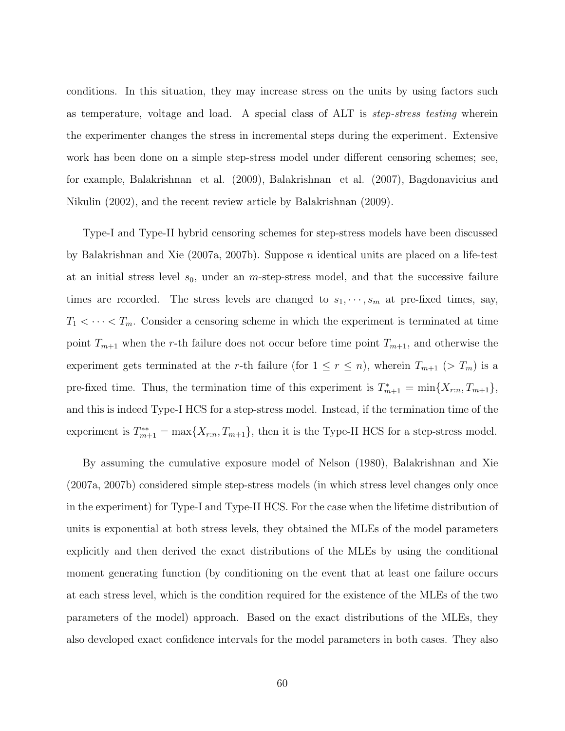conditions. In this situation, they may increase stress on the units by using factors such as temperature, voltage and load. A special class of ALT is step-stress testing wherein the experimenter changes the stress in incremental steps during the experiment. Extensive work has been done on a simple step-stress model under different censoring schemes; see, for example, Balakrishnan et al. (2009), Balakrishnan et al. (2007), Bagdonavicius and Nikulin (2002), and the recent review article by Balakrishnan (2009).

Type-I and Type-II hybrid censoring schemes for step-stress models have been discussed by Balakrishnan and Xie (2007a, 2007b). Suppose n identical units are placed on a life-test at an initial stress level  $s_0$ , under an *m*-step-stress model, and that the successive failure times are recorded. The stress levels are changed to  $s_1, \dots, s_m$  at pre-fixed times, say,  $T_1 < \cdots < T_m$ . Consider a censoring scheme in which the experiment is terminated at time point  $T_{m+1}$  when the r-th failure does not occur before time point  $T_{m+1}$ , and otherwise the experiment gets terminated at the r-th failure (for  $1 \le r \le n$ ), wherein  $T_{m+1}$  (>  $T_m$ ) is a pre-fixed time. Thus, the termination time of this experiment is  $T_{m+1}^* = \min\{X_{r:n}, T_{m+1}\}\,$ and this is indeed Type-I HCS for a step-stress model. Instead, if the termination time of the experiment is  $T_{m+1}^{**} = \max\{X_{r:n}, T_{m+1}\}\$ , then it is the Type-II HCS for a step-stress model.

By assuming the cumulative exposure model of Nelson (1980), Balakrishnan and Xie (2007a, 2007b) considered simple step-stress models (in which stress level changes only once in the experiment) for Type-I and Type-II HCS. For the case when the lifetime distribution of units is exponential at both stress levels, they obtained the MLEs of the model parameters explicitly and then derived the exact distributions of the MLEs by using the conditional moment generating function (by conditioning on the event that at least one failure occurs at each stress level, which is the condition required for the existence of the MLEs of the two parameters of the model) approach. Based on the exact distributions of the MLEs, they also developed exact confidence intervals for the model parameters in both cases. They also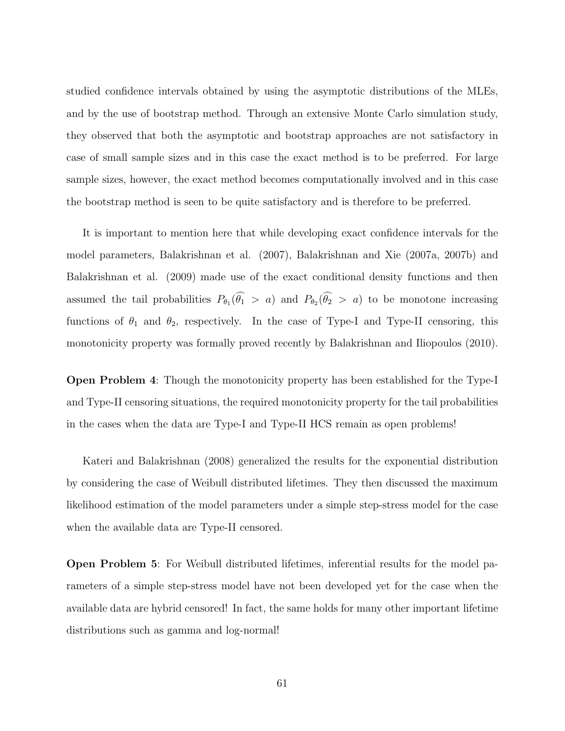studied confidence intervals obtained by using the asymptotic distributions of the MLEs, and by the use of bootstrap method. Through an extensive Monte Carlo simulation study, they observed that both the asymptotic and bootstrap approaches are not satisfactory in case of small sample sizes and in this case the exact method is to be preferred. For large sample sizes, however, the exact method becomes computationally involved and in this case the bootstrap method is seen to be quite satisfactory and is therefore to be preferred.

It is important to mention here that while developing exact confidence intervals for the model parameters, Balakrishnan et al. (2007), Balakrishnan and Xie (2007a, 2007b) and Balakrishnan et al. (2009) made use of the exact conditional density functions and then assumed the tail probabilities  $P_{\theta_1}(\theta_1 > a)$  and  $P_{\theta_2}(\theta_2 > a)$  to be monotone increasing functions of  $\theta_1$  and  $\theta_2$ , respectively. In the case of Type-I and Type-II censoring, this monotonicity property was formally proved recently by Balakrishnan and Iliopoulos (2010).

Open Problem 4: Though the monotonicity property has been established for the Type-I and Type-II censoring situations, the required monotonicity property for the tail probabilities in the cases when the data are Type-I and Type-II HCS remain as open problems!

Kateri and Balakrishnan (2008) generalized the results for the exponential distribution by considering the case of Weibull distributed lifetimes. They then discussed the maximum likelihood estimation of the model parameters under a simple step-stress model for the case when the available data are Type-II censored.

Open Problem 5: For Weibull distributed lifetimes, inferential results for the model parameters of a simple step-stress model have not been developed yet for the case when the available data are hybrid censored! In fact, the same holds for many other important lifetime distributions such as gamma and log-normal!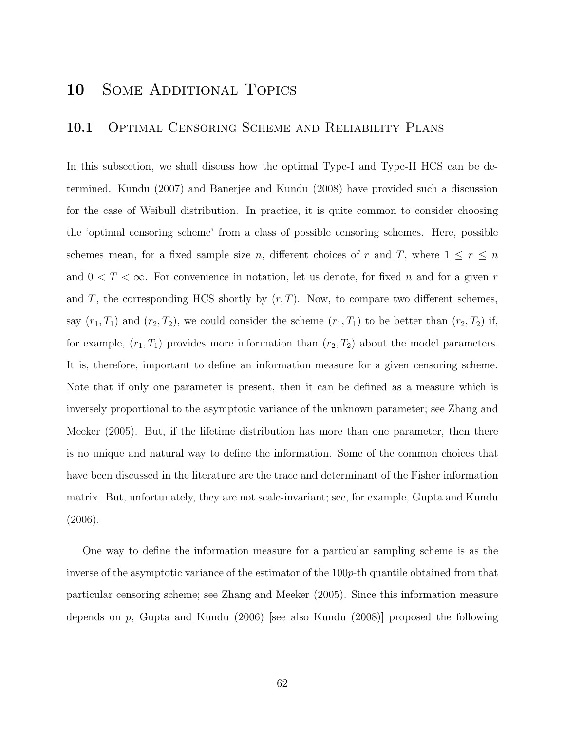# 10 SOME ADDITIONAL TOPICS

### 10.1 OPTIMAL CENSORING SCHEME AND RELIABILITY PLANS

In this subsection, we shall discuss how the optimal Type-I and Type-II HCS can be determined. Kundu (2007) and Banerjee and Kundu (2008) have provided such a discussion for the case of Weibull distribution. In practice, it is quite common to consider choosing the 'optimal censoring scheme' from a class of possible censoring schemes. Here, possible schemes mean, for a fixed sample size n, different choices of r and T, where  $1 \leq r \leq n$ and  $0 < T < \infty$ . For convenience in notation, let us denote, for fixed n and for a given r and T, the corresponding HCS shortly by  $(r, T)$ . Now, to compare two different schemes, say  $(r_1, T_1)$  and  $(r_2, T_2)$ , we could consider the scheme  $(r_1, T_1)$  to be better than  $(r_2, T_2)$  if, for example,  $(r_1, T_1)$  provides more information than  $(r_2, T_2)$  about the model parameters. It is, therefore, important to define an information measure for a given censoring scheme. Note that if only one parameter is present, then it can be defined as a measure which is inversely proportional to the asymptotic variance of the unknown parameter; see Zhang and Meeker (2005). But, if the lifetime distribution has more than one parameter, then there is no unique and natural way to define the information. Some of the common choices that have been discussed in the literature are the trace and determinant of the Fisher information matrix. But, unfortunately, they are not scale-invariant; see, for example, Gupta and Kundu (2006).

One way to define the information measure for a particular sampling scheme is as the inverse of the asymptotic variance of the estimator of the 100p-th quantile obtained from that particular censoring scheme; see Zhang and Meeker (2005). Since this information measure depends on  $p$ , Gupta and Kundu (2006) [see also Kundu (2008)] proposed the following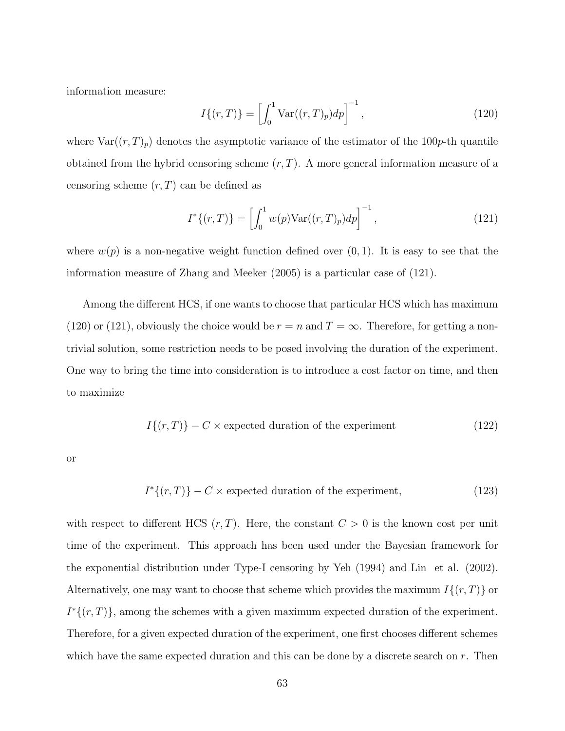information measure:

$$
I\{(r,T)\} = \left[\int_0^1 \text{Var}((r,T)_p) dp\right]^{-1},\tag{120}
$$

where  $Var((r, T)_p)$  denotes the asymptotic variance of the estimator of the 100p-th quantile obtained from the hybrid censoring scheme  $(r, T)$ . A more general information measure of a censoring scheme  $(r, T)$  can be defined as

$$
I^*\{(r,T)\} = \left[\int_0^1 w(p) \text{Var}((r,T)_p) dp\right]^{-1},\tag{121}
$$

where  $w(p)$  is a non-negative weight function defined over  $(0, 1)$ . It is easy to see that the information measure of Zhang and Meeker (2005) is a particular case of (121).

Among the different HCS, if one wants to choose that particular HCS which has maximum (120) or (121), obviously the choice would be  $r = n$  and  $T = \infty$ . Therefore, for getting a nontrivial solution, some restriction needs to be posed involving the duration of the experiment. One way to bring the time into consideration is to introduce a cost factor on time, and then to maximize

$$
I\{(r,T)\} - C \times expected duration of the experiment \tag{122}
$$

or

$$
I^*\{(r,T)\} - C \times \text{expected duration of the experiment},\tag{123}
$$

with respect to different HCS  $(r, T)$ . Here, the constant  $C > 0$  is the known cost per unit time of the experiment. This approach has been used under the Bayesian framework for the exponential distribution under Type-I censoring by Yeh (1994) and Lin et al. (2002). Alternatively, one may want to choose that scheme which provides the maximum  $I\{(r, T)\}$  or  $I^*\{(r,T)\}\$ , among the schemes with a given maximum expected duration of the experiment. Therefore, for a given expected duration of the experiment, one first chooses different schemes which have the same expected duration and this can be done by a discrete search on  $r$ . Then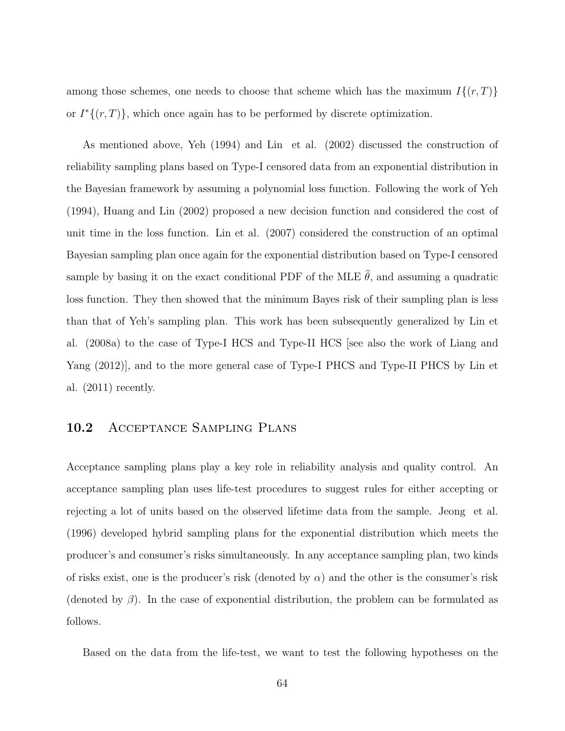among those schemes, one needs to choose that scheme which has the maximum  $I\{(r,T)\}\$ or  $I^*\{(r,T)\}\$ , which once again has to be performed by discrete optimization.

As mentioned above, Yeh (1994) and Lin et al. (2002) discussed the construction of reliability sampling plans based on Type-I censored data from an exponential distribution in the Bayesian framework by assuming a polynomial loss function. Following the work of Yeh (1994), Huang and Lin (2002) proposed a new decision function and considered the cost of unit time in the loss function. Lin et al. (2007) considered the construction of an optimal Bayesian sampling plan once again for the exponential distribution based on Type-I censored sample by basing it on the exact conditional PDF of the MLE  $\hat{\theta}$ , and assuming a quadratic loss function. They then showed that the minimum Bayes risk of their sampling plan is less than that of Yeh's sampling plan. This work has been subsequently generalized by Lin et al. (2008a) to the case of Type-I HCS and Type-II HCS [see also the work of Liang and Yang (2012)], and to the more general case of Type-I PHCS and Type-II PHCS by Lin et al. (2011) recently.

### 10.2 Acceptance Sampling Plans

Acceptance sampling plans play a key role in reliability analysis and quality control. An acceptance sampling plan uses life-test procedures to suggest rules for either accepting or rejecting a lot of units based on the observed lifetime data from the sample. Jeong et al. (1996) developed hybrid sampling plans for the exponential distribution which meets the producer's and consumer's risks simultaneously. In any acceptance sampling plan, two kinds of risks exist, one is the producer's risk (denoted by  $\alpha$ ) and the other is the consumer's risk (denoted by  $\beta$ ). In the case of exponential distribution, the problem can be formulated as follows.

Based on the data from the life-test, we want to test the following hypotheses on the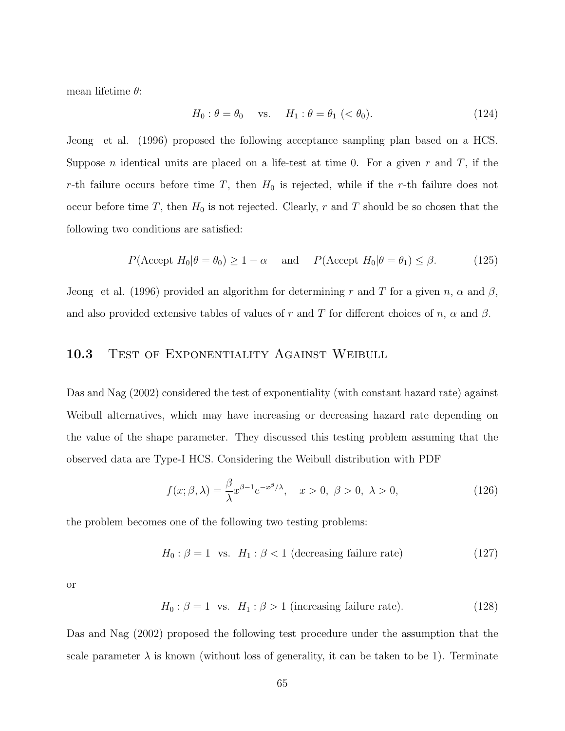mean lifetime  $\theta$ :

$$
H_0: \theta = \theta_0 \quad \text{vs.} \quad H_1: \theta = \theta_1 \ (\langle \theta_0 \rangle). \tag{124}
$$

Jeong et al. (1996) proposed the following acceptance sampling plan based on a HCS. Suppose *n* identical units are placed on a life-test at time 0. For a given *r* and *T*, if the r-th failure occurs before time  $T$ , then  $H_0$  is rejected, while if the r-th failure does not occur before time T, then  $H_0$  is not rejected. Clearly, r and T should be so chosen that the following two conditions are satisfied:

$$
P(\text{Accept } H_0 | \theta = \theta_0) \ge 1 - \alpha \quad \text{and} \quad P(\text{Accept } H_0 | \theta = \theta_1) \le \beta.
$$
 (125)

Jeong et al. (1996) provided an algorithm for determining r and T for a given n,  $\alpha$  and  $\beta$ , and also provided extensive tables of values of r and T for different choices of n,  $\alpha$  and  $\beta$ .

### 10.3 TEST OF EXPONENTIALITY AGAINST WEIBULL

Das and Nag (2002) considered the test of exponentiality (with constant hazard rate) against Weibull alternatives, which may have increasing or decreasing hazard rate depending on the value of the shape parameter. They discussed this testing problem assuming that the observed data are Type-I HCS. Considering the Weibull distribution with PDF

$$
f(x; \beta, \lambda) = \frac{\beta}{\lambda} x^{\beta - 1} e^{-x^{\beta}/\lambda}, \quad x > 0, \ \beta > 0, \ \lambda > 0,
$$
 (126)

the problem becomes one of the following two testing problems:

$$
H_0: \beta = 1 \text{ vs. } H_1: \beta < 1 \text{ (decreasing failure rate)} \tag{127}
$$

or

$$
H_0: \beta = 1 \text{ vs. } H_1: \beta > 1 \text{ (increasing failure rate). } (128)
$$

Das and Nag (2002) proposed the following test procedure under the assumption that the scale parameter  $\lambda$  is known (without loss of generality, it can be taken to be 1). Terminate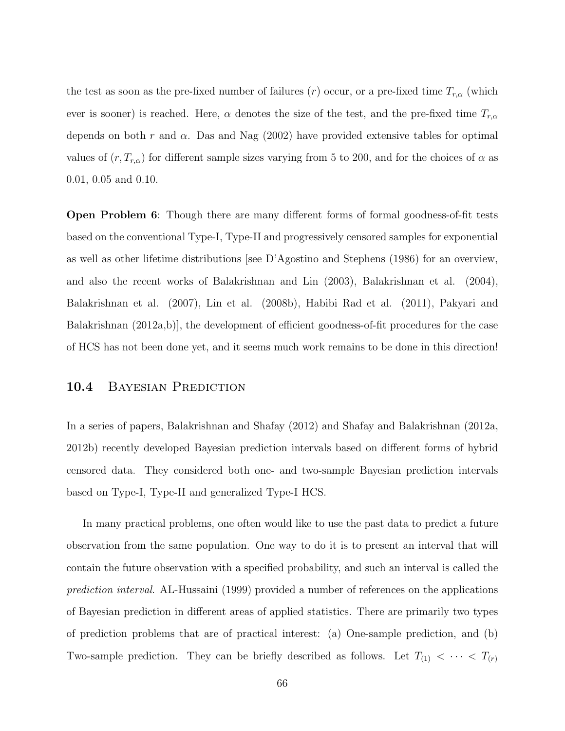the test as soon as the pre-fixed number of failures (r) occur, or a pre-fixed time  $T_{r,\alpha}$  (which ever is sooner) is reached. Here,  $\alpha$  denotes the size of the test, and the pre-fixed time  $T_{r,\alpha}$ depends on both r and  $\alpha$ . Das and Nag (2002) have provided extensive tables for optimal values of  $(r, T_{r,\alpha})$  for different sample sizes varying from 5 to 200, and for the choices of  $\alpha$  as 0.01, 0.05 and 0.10.

Open Problem 6: Though there are many different forms of formal goodness-of-fit tests based on the conventional Type-I, Type-II and progressively censored samples for exponential as well as other lifetime distributions [see D'Agostino and Stephens (1986) for an overview, and also the recent works of Balakrishnan and Lin (2003), Balakrishnan et al. (2004), Balakrishnan et al. (2007), Lin et al. (2008b), Habibi Rad et al. (2011), Pakyari and Balakrishnan (2012a,b)], the development of efficient goodness-of-fit procedures for the case of HCS has not been done yet, and it seems much work remains to be done in this direction!

### 10.4 BAYESIAN PREDICTION

In a series of papers, Balakrishnan and Shafay (2012) and Shafay and Balakrishnan (2012a, 2012b) recently developed Bayesian prediction intervals based on different forms of hybrid censored data. They considered both one- and two-sample Bayesian prediction intervals based on Type-I, Type-II and generalized Type-I HCS.

In many practical problems, one often would like to use the past data to predict a future observation from the same population. One way to do it is to present an interval that will contain the future observation with a specified probability, and such an interval is called the prediction interval. AL-Hussaini (1999) provided a number of references on the applications of Bayesian prediction in different areas of applied statistics. There are primarily two types of prediction problems that are of practical interest: (a) One-sample prediction, and (b) Two-sample prediction. They can be briefly described as follows. Let  $T_{(1)} < \cdots < T_{(r)}$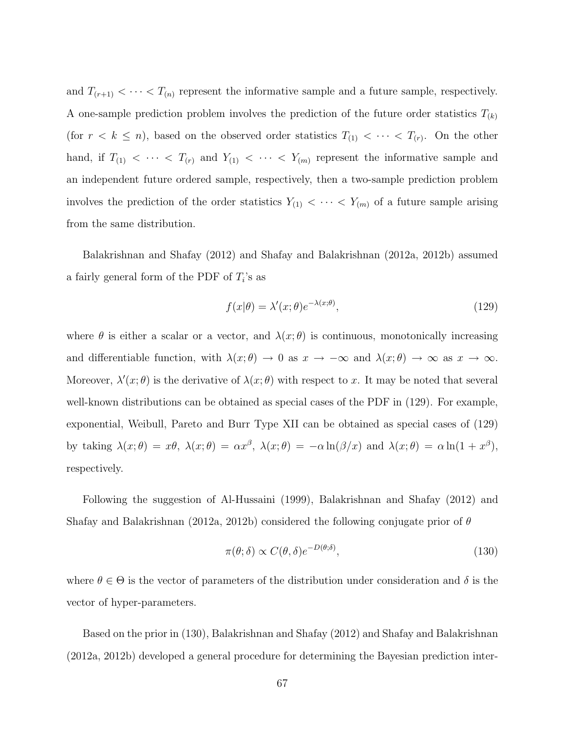and  $T_{(r+1)} < \cdots < T_{(n)}$  represent the informative sample and a future sample, respectively. A one-sample prediction problem involves the prediction of the future order statistics  $T_{(k)}$ (for  $r < k \leq n$ ), based on the observed order statistics  $T_{(1)} < \cdots < T_{(r)}$ . On the other hand, if  $T_{(1)} < \cdots < T_{(r)}$  and  $Y_{(1)} < \cdots < Y_{(m)}$  represent the informative sample and an independent future ordered sample, respectively, then a two-sample prediction problem involves the prediction of the order statistics  $Y_{(1)} < \cdots < Y_{(m)}$  of a future sample arising from the same distribution.

Balakrishnan and Shafay (2012) and Shafay and Balakrishnan (2012a, 2012b) assumed a fairly general form of the PDF of  $T_i$ 's as

$$
f(x|\theta) = \lambda'(x;\theta)e^{-\lambda(x;\theta)},
$$
\n(129)

where  $\theta$  is either a scalar or a vector, and  $\lambda(x; \theta)$  is continuous, monotonically increasing and differentiable function, with  $\lambda(x; \theta) \to 0$  as  $x \to -\infty$  and  $\lambda(x; \theta) \to \infty$  as  $x \to \infty$ . Moreover,  $\lambda'(x;\theta)$  is the derivative of  $\lambda(x;\theta)$  with respect to x. It may be noted that several well-known distributions can be obtained as special cases of the PDF in (129). For example, exponential, Weibull, Pareto and Burr Type XII can be obtained as special cases of (129) by taking  $\lambda(x;\theta) = x\theta$ ,  $\lambda(x;\theta) = \alpha x^{\beta}$ ,  $\lambda(x;\theta) = -\alpha \ln(\beta/x)$  and  $\lambda(x;\theta) = \alpha \ln(1+x^{\beta})$ , respectively.

Following the suggestion of Al-Hussaini (1999), Balakrishnan and Shafay (2012) and Shafay and Balakrishnan (2012a, 2012b) considered the following conjugate prior of  $\theta$ 

$$
\pi(\theta; \delta) \propto C(\theta, \delta) e^{-D(\theta; \delta)},\tag{130}
$$

where  $\theta \in \Theta$  is the vector of parameters of the distribution under consideration and  $\delta$  is the vector of hyper-parameters.

Based on the prior in (130), Balakrishnan and Shafay (2012) and Shafay and Balakrishnan (2012a, 2012b) developed a general procedure for determining the Bayesian prediction inter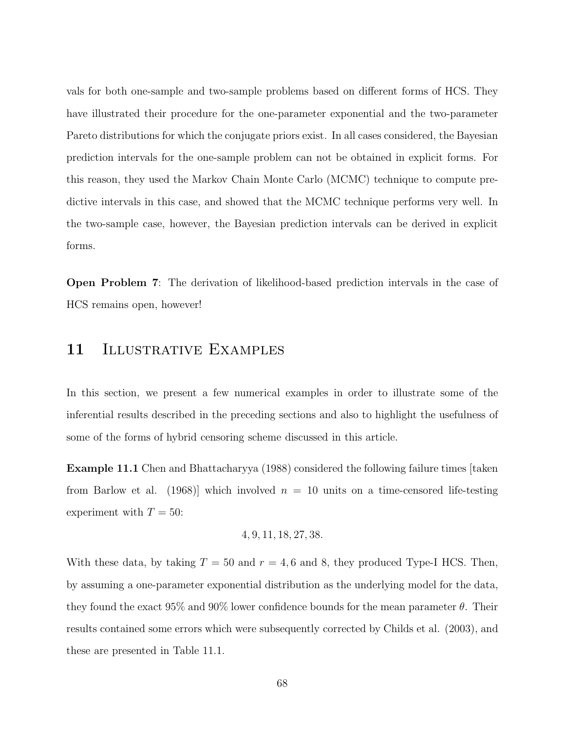vals for both one-sample and two-sample problems based on different forms of HCS. They have illustrated their procedure for the one-parameter exponential and the two-parameter Pareto distributions for which the conjugate priors exist. In all cases considered, the Bayesian prediction intervals for the one-sample problem can not be obtained in explicit forms. For this reason, they used the Markov Chain Monte Carlo (MCMC) technique to compute predictive intervals in this case, and showed that the MCMC technique performs very well. In the two-sample case, however, the Bayesian prediction intervals can be derived in explicit forms.

Open Problem 7: The derivation of likelihood-based prediction intervals in the case of HCS remains open, however!

## 11 ILLUSTRATIVE EXAMPLES

In this section, we present a few numerical examples in order to illustrate some of the inferential results described in the preceding sections and also to highlight the usefulness of some of the forms of hybrid censoring scheme discussed in this article.

Example 11.1 Chen and Bhattacharyya (1988) considered the following failure times [taken from Barlow et al. (1968) which involved  $n = 10$  units on a time-censored life-testing experiment with  $T = 50$ :

$$
4, 9, 11, 18, 27, 38.
$$

With these data, by taking  $T = 50$  and  $r = 4, 6$  and 8, they produced Type-I HCS. Then, by assuming a one-parameter exponential distribution as the underlying model for the data, they found the exact  $95\%$  and  $90\%$  lower confidence bounds for the mean parameter  $\theta$ . Their results contained some errors which were subsequently corrected by Childs et al. (2003), and these are presented in Table 11.1.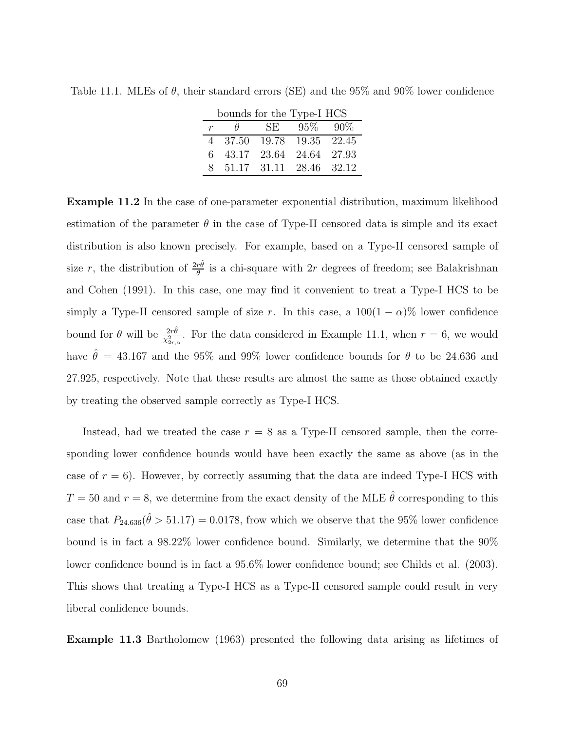| bounds for the Type-I HCS |                           |                         |              |  |  |  |
|---------------------------|---------------------------|-------------------------|--------------|--|--|--|
|                           | $\theta$                  |                         | SE 95\% 90\% |  |  |  |
|                           | 4 37.50                   | 19.78 19.35 22.45       |              |  |  |  |
|                           | 6 43.17 23.64 24.64 27.93 |                         |              |  |  |  |
| $8^{\circ}$               |                           | 51.17 31.11 28.46 32.12 |              |  |  |  |

Table 11.1. MLEs of  $\theta$ , their standard errors (SE) and the 95% and 90% lower confidence

Example 11.2 In the case of one-parameter exponential distribution, maximum likelihood estimation of the parameter  $\theta$  in the case of Type-II censored data is simple and its exact distribution is also known precisely. For example, based on a Type-II censored sample of size r, the distribution of  $\frac{2r\hat{\theta}}{\theta}$  is a chi-square with 2r degrees of freedom; see Balakrishnan and Cohen (1991). In this case, one may find it convenient to treat a Type-I HCS to be simply a Type-II censored sample of size r. In this case, a  $100(1-\alpha)\%$  lower confidence bound for  $\theta$  will be  $\frac{2r\hat{\theta}}{\chi^2_{2r,\alpha}}$ . For the data considered in Example 11.1, when  $r=6$ , we would have  $\hat{\theta} = 43.167$  and the 95% and 99% lower confidence bounds for  $\theta$  to be 24.636 and 27.925, respectively. Note that these results are almost the same as those obtained exactly by treating the observed sample correctly as Type-I HCS.

Instead, had we treated the case  $r = 8$  as a Type-II censored sample, then the corresponding lower confidence bounds would have been exactly the same as above (as in the case of  $r = 6$ ). However, by correctly assuming that the data are indeed Type-I HCS with  $T = 50$  and  $r = 8$ , we determine from the exact density of the MLE  $\hat{\theta}$  corresponding to this case that  $P_{24.636}(\hat{\theta} > 51.17) = 0.0178$ , frow which we observe that the 95% lower confidence bound is in fact a 98.22% lower confidence bound. Similarly, we determine that the 90% lower confidence bound is in fact a 95.6% lower confidence bound; see Childs et al. (2003). This shows that treating a Type-I HCS as a Type-II censored sample could result in very liberal confidence bounds.

Example 11.3 Bartholomew (1963) presented the following data arising as lifetimes of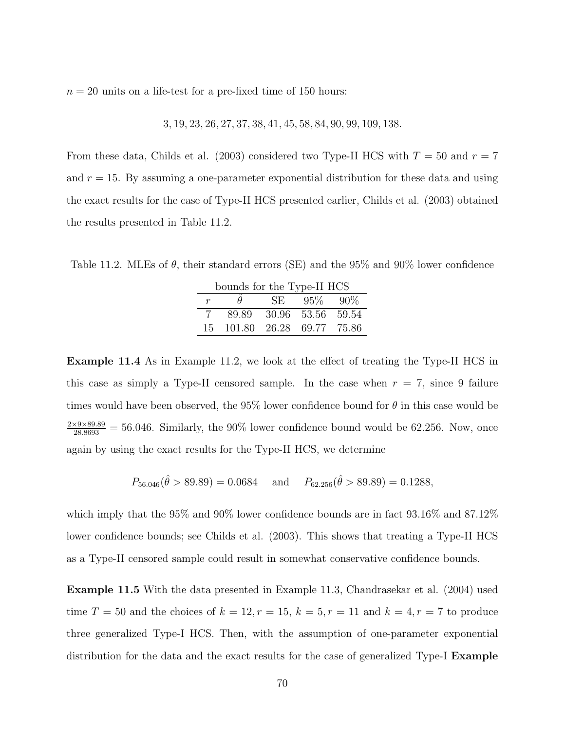$n = 20$  units on a life-test for a pre-fixed time of 150 hours:

$$
3, 19, 23, 26, 27, 37, 38, 41, 45, 58, 84, 90, 99, 109, 138.
$$

From these data, Childs et al. (2003) considered two Type-II HCS with  $T = 50$  and  $r = 7$ and  $r = 15$ . By assuming a one-parameter exponential distribution for these data and using the exact results for the case of Type-II HCS presented earlier, Childs et al. (2003) obtained the results presented in Table 11.2.

Table 11.2. MLEs of  $\theta$ , their standard errors (SE) and the 95% and 90% lower confidence

| bounds for the Type-II HCS |                          |     |             |         |  |  |  |
|----------------------------|--------------------------|-----|-------------|---------|--|--|--|
| $\mathcal{r}$              |                          | SE. | $95\%$      | $-90\%$ |  |  |  |
|                            | 89.89                    |     | 30.96 53.56 | 59.54   |  |  |  |
| 15.                        | 101.80 26.28 69.77 75.86 |     |             |         |  |  |  |

Example 11.4 As in Example 11.2, we look at the effect of treating the Type-II HCS in this case as simply a Type-II censored sample. In the case when  $r = 7$ , since 9 failure times would have been observed, the 95% lower confidence bound for  $\theta$  in this case would be  $\frac{2\times9\times89.89}{28.8693}$  = 56.046. Similarly, the 90% lower confidence bound would be 62.256. Now, once again by using the exact results for the Type-II HCS, we determine

$$
P_{56.046}(\hat{\theta} > 89.89) = 0.0684
$$
 and  $P_{62.256}(\hat{\theta} > 89.89) = 0.1288$ ,

which imply that the 95% and 90% lower confidence bounds are in fact 93.16% and 87.12% lower confidence bounds; see Childs et al. (2003). This shows that treating a Type-II HCS as a Type-II censored sample could result in somewhat conservative confidence bounds.

Example 11.5 With the data presented in Example 11.3, Chandrasekar et al. (2004) used time  $T = 50$  and the choices of  $k = 12, r = 15, k = 5, r = 11$  and  $k = 4, r = 7$  to produce three generalized Type-I HCS. Then, with the assumption of one-parameter exponential distribution for the data and the exact results for the case of generalized Type-I Example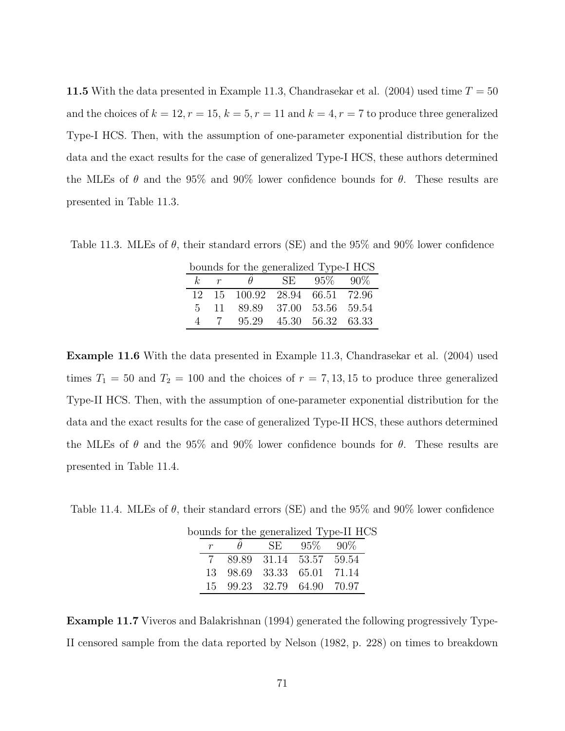11.5 With the data presented in Example 11.3, Chandrasekar et al.  $(2004)$  used time  $T = 50$ and the choices of  $k = 12, r = 15, k = 5, r = 11$  and  $k = 4, r = 7$  to produce three generalized Type-I HCS. Then, with the assumption of one-parameter exponential distribution for the data and the exact results for the case of generalized Type-I HCS, these authors determined the MLEs of  $\theta$  and the 95% and 90% lower confidence bounds for  $\theta$ . These results are presented in Table 11.3.

Table 11.3. MLEs of  $\theta$ , their standard errors (SE) and the 95% and 90% lower confidence

| bounds for the generalized Type-I HCS |     |                                |  |                   |  |  |
|---------------------------------------|-----|--------------------------------|--|-------------------|--|--|
|                                       |     | k r $\theta$ SE 95\% 90\%      |  |                   |  |  |
|                                       |     | 12 15 100.92 28.94 66.51 72.96 |  |                   |  |  |
|                                       |     | 5 11 89.89 37.00 53.56 59.54   |  |                   |  |  |
| $\mathcal{A}$                         | - 7 | 95.29                          |  | 45.30 56.32 63.33 |  |  |

Example 11.6 With the data presented in Example 11.3, Chandrasekar et al. (2004) used times  $T_1 = 50$  and  $T_2 = 100$  and the choices of  $r = 7, 13, 15$  to produce three generalized Type-II HCS. Then, with the assumption of one-parameter exponential distribution for the data and the exact results for the case of generalized Type-II HCS, these authors determined the MLEs of  $\theta$  and the 95% and 90% lower confidence bounds for  $\theta$ . These results are presented in Table 11.4.

Table 11.4. MLEs of  $\theta$ , their standard errors (SE) and the 95% and 90% lower confidence

|  |                            | bounds for the generalized Type-II HCS |  |
|--|----------------------------|----------------------------------------|--|
|  | SE 95\% 90\%               |                                        |  |
|  | 7 89.89 31.14 53.57 59.54  |                                        |  |
|  | 13 98.69 33.33 65.01 71.14 |                                        |  |
|  | 15 99.23 32.79 64.90 70.97 |                                        |  |

Example 11.7 Viveros and Balakrishnan (1994) generated the following progressively Type-II censored sample from the data reported by Nelson (1982, p. 228) on times to breakdown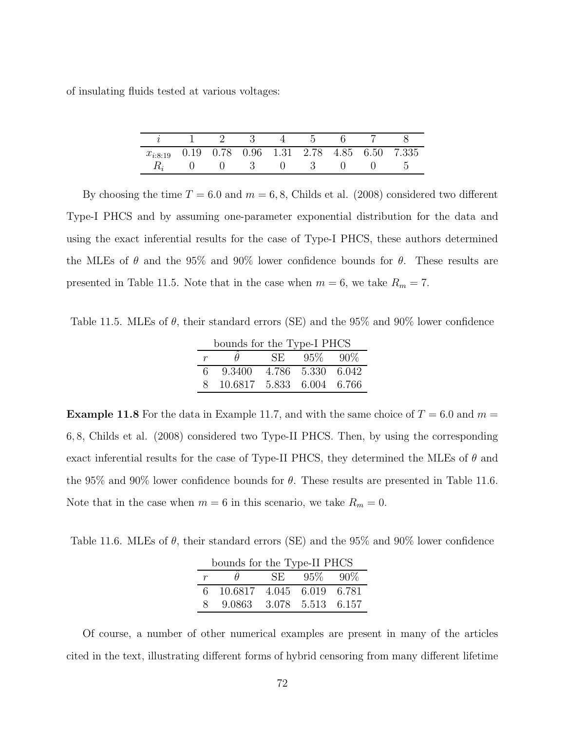of insulating fluids tested at various voltages:

|                                                       |  |  | $i \quad 1 \quad 2 \quad 3 \quad 4 \quad 5 \quad 6 \quad 7$ |  |  |
|-------------------------------------------------------|--|--|-------------------------------------------------------------|--|--|
| $x_{i:8:19}$ 0.19 0.78 0.96 1.31 2.78 4.85 6.50 7.335 |  |  |                                                             |  |  |
|                                                       |  |  | $(1)$ $(1)$ $3$ $(1)$ $3$ $(1)$                             |  |  |

By choosing the time  $T = 6.0$  and  $m = 6, 8$ , Childs et al. (2008) considered two different Type-I PHCS and by assuming one-parameter exponential distribution for the data and using the exact inferential results for the case of Type-I PHCS, these authors determined the MLEs of  $\theta$  and the 95% and 90% lower confidence bounds for  $\theta$ . These results are presented in Table 11.5. Note that in the case when  $m = 6$ , we take  $R_m = 7$ .

Table 11.5. MLEs of  $\theta$ , their standard errors (SE) and the 95% and 90% lower confidence

| bounds for the Type-I PHCS |                           |      |                   |  |  |  |  |
|----------------------------|---------------------------|------|-------------------|--|--|--|--|
| $\boldsymbol{r}$           | H                         | SE - | $95\%$ $90\%$     |  |  |  |  |
| 6.                         | 9.3400                    |      | 4.786 5.330 6.042 |  |  |  |  |
|                            | 10.6817 5.833 6.004 6.766 |      |                   |  |  |  |  |

**Example 11.8** For the data in Example 11.7, and with the same choice of  $T = 6.0$  and  $m =$ 6, 8, Childs et al. (2008) considered two Type-II PHCS. Then, by using the corresponding exact inferential results for the case of Type-II PHCS, they determined the MLEs of  $\theta$  and the 95% and 90% lower confidence bounds for  $\theta$ . These results are presented in Table 11.6. Note that in the case when  $m = 6$  in this scenario, we take  $R_m = 0$ .

Table 11.6. MLEs of  $\theta$ , their standard errors (SE) and the 95% and 90% lower confidence

| bounds for the Type-II PHCS |                           |    |        |         |  |  |  |
|-----------------------------|---------------------------|----|--------|---------|--|--|--|
| $\mathcal{r}$               |                           | SE | $95\%$ | $-90\%$ |  |  |  |
| 6.                          | 10.6817 4.045 6.019 6.781 |    |        |         |  |  |  |
|                             | 9.0863 3.078 5.513 6.157  |    |        |         |  |  |  |

Of course, a number of other numerical examples are present in many of the articles cited in the text, illustrating different forms of hybrid censoring from many different lifetime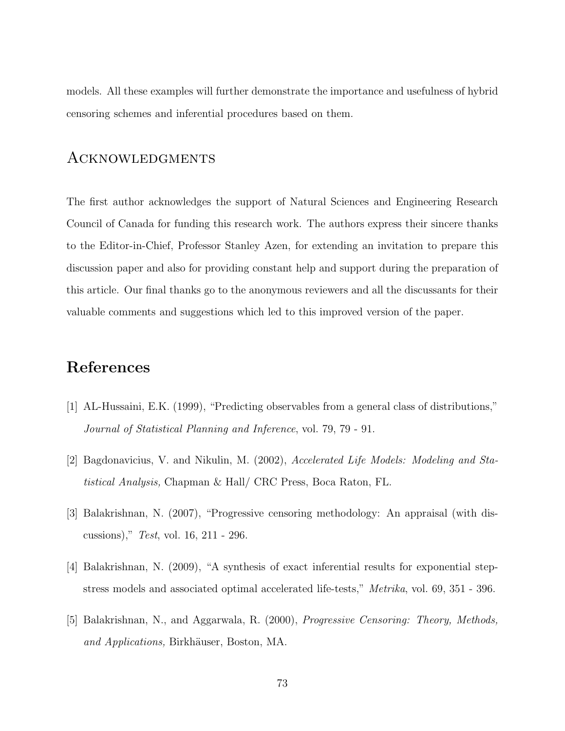models. All these examples will further demonstrate the importance and usefulness of hybrid censoring schemes and inferential procedures based on them.

## Acknowledgments

The first author acknowledges the support of Natural Sciences and Engineering Research Council of Canada for funding this research work. The authors express their sincere thanks to the Editor-in-Chief, Professor Stanley Azen, for extending an invitation to prepare this discussion paper and also for providing constant help and support during the preparation of this article. Our final thanks go to the anonymous reviewers and all the discussants for their valuable comments and suggestions which led to this improved version of the paper.

## References

- [1] AL-Hussaini, E.K. (1999), "Predicting observables from a general class of distributions," Journal of Statistical Planning and Inference, vol. 79, 79 - 91.
- [2] Bagdonavicius, V. and Nikulin, M. (2002), Accelerated Life Models: Modeling and Statistical Analysis, Chapman & Hall/ CRC Press, Boca Raton, FL.
- [3] Balakrishnan, N. (2007), "Progressive censoring methodology: An appraisal (with discussions)," Test, vol. 16, 211 - 296.
- [4] Balakrishnan, N. (2009), "A synthesis of exact inferential results for exponential stepstress models and associated optimal accelerated life-tests," Metrika, vol. 69, 351 - 396.
- [5] Balakrishnan, N., and Aggarwala, R. (2000), Progressive Censoring: Theory, Methods, and Applications, Birkhäuser, Boston, MA.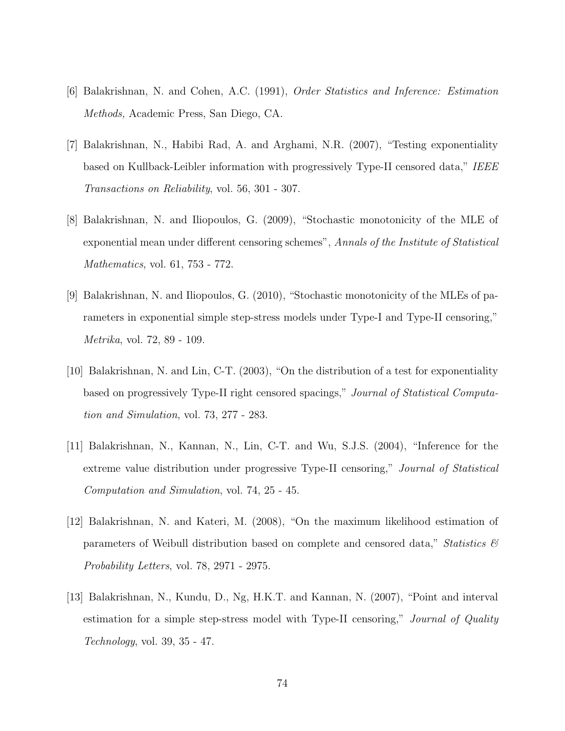- [6] Balakrishnan, N. and Cohen, A.C. (1991), Order Statistics and Inference: Estimation Methods, Academic Press, San Diego, CA.
- [7] Balakrishnan, N., Habibi Rad, A. and Arghami, N.R. (2007), "Testing exponentiality based on Kullback-Leibler information with progressively Type-II censored data," IEEE Transactions on Reliability, vol. 56, 301 - 307.
- [8] Balakrishnan, N. and Iliopoulos, G. (2009), "Stochastic monotonicity of the MLE of exponential mean under different censoring schemes", Annals of the Institute of Statistical Mathematics, vol. 61, 753 - 772.
- [9] Balakrishnan, N. and Iliopoulos, G. (2010), "Stochastic monotonicity of the MLEs of parameters in exponential simple step-stress models under Type-I and Type-II censoring," Metrika, vol. 72, 89 - 109.
- [10] Balakrishnan, N. and Lin, C-T. (2003), "On the distribution of a test for exponentiality based on progressively Type-II right censored spacings," Journal of Statistical Computation and Simulation, vol. 73, 277 - 283.
- [11] Balakrishnan, N., Kannan, N., Lin, C-T. and Wu, S.J.S. (2004), "Inference for the extreme value distribution under progressive Type-II censoring," Journal of Statistical Computation and Simulation, vol. 74, 25 - 45.
- [12] Balakrishnan, N. and Kateri, M. (2008), "On the maximum likelihood estimation of parameters of Weibull distribution based on complete and censored data," Statistics  $\mathcal{C}$ Probability Letters, vol. 78, 2971 - 2975.
- [13] Balakrishnan, N., Kundu, D., Ng, H.K.T. and Kannan, N. (2007), "Point and interval estimation for a simple step-stress model with Type-II censoring," Journal of Quality Technology, vol. 39, 35 - 47.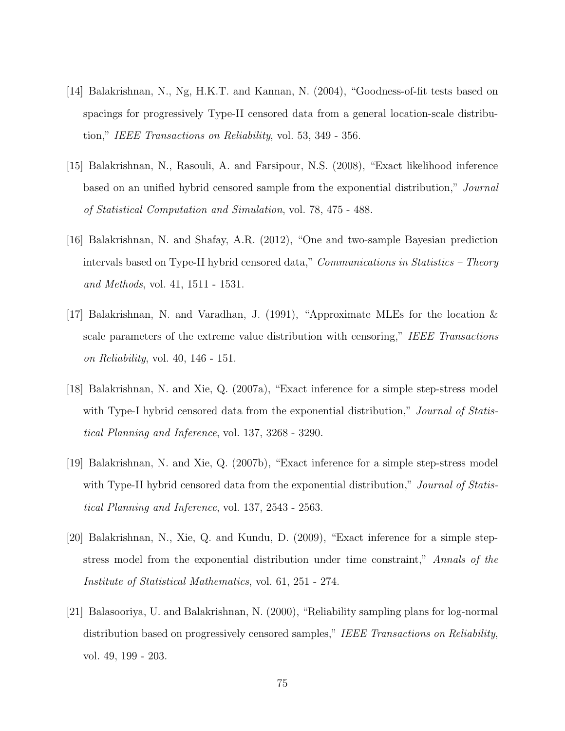- [14] Balakrishnan, N., Ng, H.K.T. and Kannan, N. (2004), "Goodness-of-fit tests based on spacings for progressively Type-II censored data from a general location-scale distribution," IEEE Transactions on Reliability, vol. 53, 349 - 356.
- [15] Balakrishnan, N., Rasouli, A. and Farsipour, N.S. (2008), "Exact likelihood inference based on an unified hybrid censored sample from the exponential distribution," Journal of Statistical Computation and Simulation, vol. 78, 475 - 488.
- [16] Balakrishnan, N. and Shafay, A.R. (2012), "One and two-sample Bayesian prediction intervals based on Type-II hybrid censored data," *Communications in Statistics – Theory* and Methods, vol. 41, 1511 - 1531.
- [17] Balakrishnan, N. and Varadhan, J. (1991), "Approximate MLEs for the location & scale parameters of the extreme value distribution with censoring," IEEE Transactions on Reliability, vol. 40, 146 - 151.
- [18] Balakrishnan, N. and Xie, Q. (2007a), "Exact inference for a simple step-stress model with Type-I hybrid censored data from the exponential distribution," Journal of Statistical Planning and Inference, vol. 137, 3268 - 3290.
- [19] Balakrishnan, N. and Xie, Q. (2007b), "Exact inference for a simple step-stress model with Type-II hybrid censored data from the exponential distribution," Journal of Statistical Planning and Inference, vol. 137, 2543 - 2563.
- [20] Balakrishnan, N., Xie, Q. and Kundu, D. (2009), "Exact inference for a simple stepstress model from the exponential distribution under time constraint," Annals of the Institute of Statistical Mathematics, vol. 61, 251 - 274.
- [21] Balasooriya, U. and Balakrishnan, N. (2000), "Reliability sampling plans for log-normal distribution based on progressively censored samples," IEEE Transactions on Reliability, vol. 49, 199 - 203.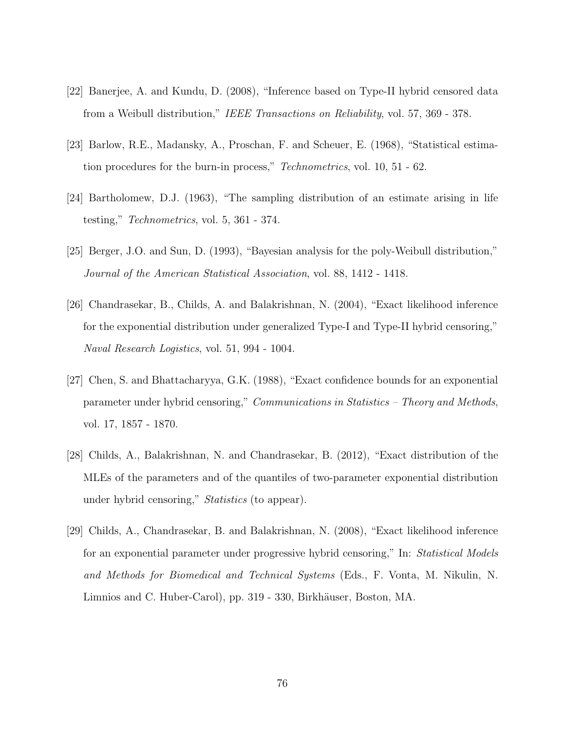- [22] Banerjee, A. and Kundu, D. (2008), "Inference based on Type-II hybrid censored data from a Weibull distribution," IEEE Transactions on Reliability, vol. 57, 369 - 378.
- [23] Barlow, R.E., Madansky, A., Proschan, F. and Scheuer, E. (1968), "Statistical estimation procedures for the burn-in process," Technometrics, vol. 10, 51 - 62.
- [24] Bartholomew, D.J. (1963), "The sampling distribution of an estimate arising in life testing," Technometrics, vol. 5, 361 - 374.
- [25] Berger, J.O. and Sun, D. (1993), "Bayesian analysis for the poly-Weibull distribution," Journal of the American Statistical Association, vol. 88, 1412 - 1418.
- [26] Chandrasekar, B., Childs, A. and Balakrishnan, N. (2004), "Exact likelihood inference for the exponential distribution under generalized Type-I and Type-II hybrid censoring," Naval Research Logistics, vol. 51, 994 - 1004.
- [27] Chen, S. and Bhattacharyya, G.K. (1988), "Exact confidence bounds for an exponential parameter under hybrid censoring," Communications in Statistics – Theory and Methods, vol. 17, 1857 - 1870.
- [28] Childs, A., Balakrishnan, N. and Chandrasekar, B. (2012), "Exact distribution of the MLEs of the parameters and of the quantiles of two-parameter exponential distribution under hybrid censoring," Statistics (to appear).
- [29] Childs, A., Chandrasekar, B. and Balakrishnan, N. (2008), "Exact likelihood inference for an exponential parameter under progressive hybrid censoring," In: Statistical Models and Methods for Biomedical and Technical Systems (Eds., F. Vonta, M. Nikulin, N. Limnios and C. Huber-Carol), pp. 319 - 330, Birkhäuser, Boston, MA.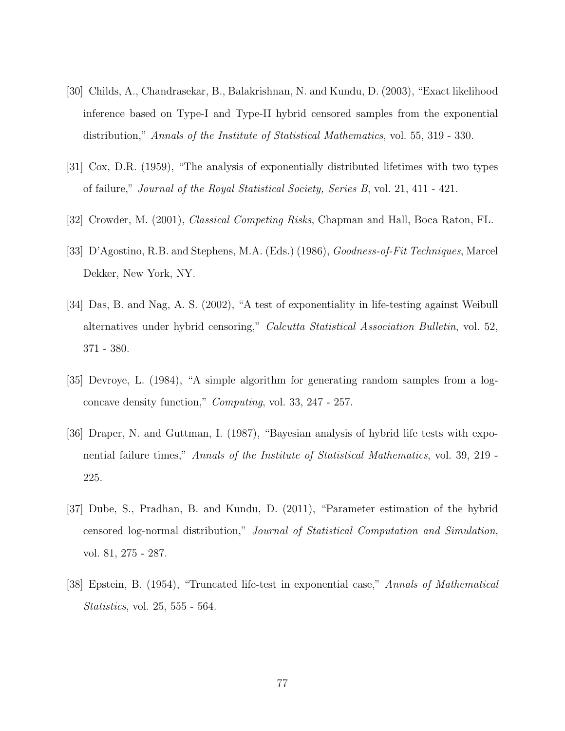- [30] Childs, A., Chandrasekar, B., Balakrishnan, N. and Kundu, D. (2003), "Exact likelihood inference based on Type-I and Type-II hybrid censored samples from the exponential distribution," Annals of the Institute of Statistical Mathematics, vol. 55, 319 - 330.
- [31] Cox, D.R. (1959), "The analysis of exponentially distributed lifetimes with two types of failure," Journal of the Royal Statistical Society, Series B, vol. 21, 411 - 421.
- [32] Crowder, M. (2001), Classical Competing Risks, Chapman and Hall, Boca Raton, FL.
- [33] D'Agostino, R.B. and Stephens, M.A. (Eds.) (1986), Goodness-of-Fit Techniques, Marcel Dekker, New York, NY.
- [34] Das, B. and Nag, A. S. (2002), "A test of exponentiality in life-testing against Weibull alternatives under hybrid censoring," Calcutta Statistical Association Bulletin, vol. 52, 371 - 380.
- [35] Devroye, L. (1984), "A simple algorithm for generating random samples from a logconcave density function," Computing, vol. 33, 247 - 257.
- [36] Draper, N. and Guttman, I. (1987), "Bayesian analysis of hybrid life tests with exponential failure times," Annals of the Institute of Statistical Mathematics, vol. 39, 219 - 225.
- [37] Dube, S., Pradhan, B. and Kundu, D. (2011), "Parameter estimation of the hybrid censored log-normal distribution," Journal of Statistical Computation and Simulation, vol. 81, 275 - 287.
- [38] Epstein, B. (1954), "Truncated life-test in exponential case," Annals of Mathematical Statistics, vol. 25, 555 - 564.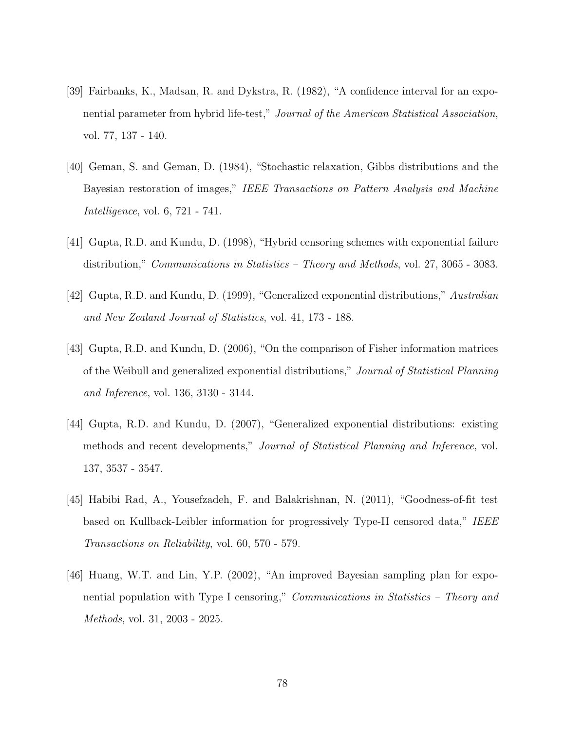- [39] Fairbanks, K., Madsan, R. and Dykstra, R. (1982), "A confidence interval for an exponential parameter from hybrid life-test," Journal of the American Statistical Association, vol. 77, 137 - 140.
- [40] Geman, S. and Geman, D. (1984), "Stochastic relaxation, Gibbs distributions and the Bayesian restoration of images," IEEE Transactions on Pattern Analysis and Machine Intelligence, vol. 6, 721 - 741.
- [41] Gupta, R.D. and Kundu, D. (1998), "Hybrid censoring schemes with exponential failure distribution," *Communications in Statistics – Theory and Methods*, vol. 27, 3065 - 3083.
- [42] Gupta, R.D. and Kundu, D. (1999), "Generalized exponential distributions," Australian and New Zealand Journal of Statistics, vol. 41, 173 - 188.
- [43] Gupta, R.D. and Kundu, D. (2006), "On the comparison of Fisher information matrices of the Weibull and generalized exponential distributions," Journal of Statistical Planning and Inference, vol. 136, 3130 - 3144.
- [44] Gupta, R.D. and Kundu, D. (2007), "Generalized exponential distributions: existing methods and recent developments," Journal of Statistical Planning and Inference, vol. 137, 3537 - 3547.
- [45] Habibi Rad, A., Yousefzadeh, F. and Balakrishnan, N. (2011), "Goodness-of-fit test based on Kullback-Leibler information for progressively Type-II censored data," IEEE Transactions on Reliability, vol. 60, 570 - 579.
- [46] Huang, W.T. and Lin, Y.P. (2002), "An improved Bayesian sampling plan for exponential population with Type I censoring," *Communications in Statistics – Theory and* Methods, vol. 31, 2003 - 2025.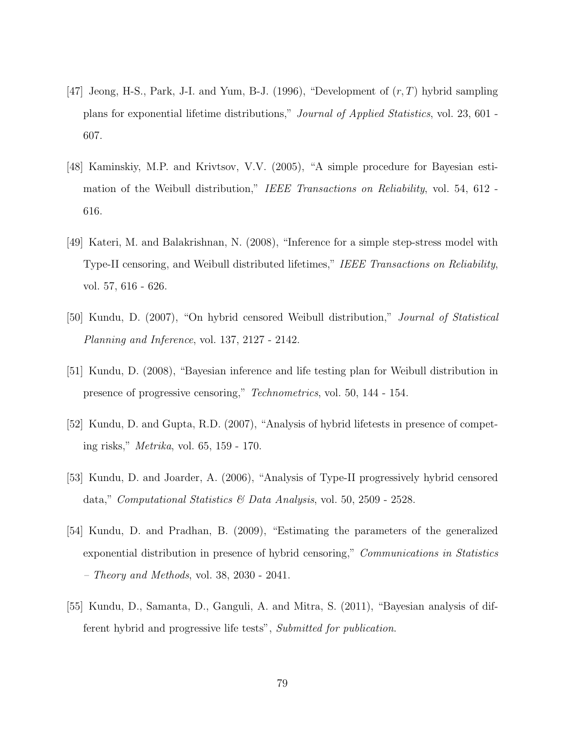- [47] Jeong, H-S., Park, J-I. and Yum, B-J. (1996), "Development of  $(r, T)$  hybrid sampling plans for exponential lifetime distributions," Journal of Applied Statistics, vol. 23, 601 - 607.
- [48] Kaminskiy, M.P. and Krivtsov, V.V. (2005), "A simple procedure for Bayesian estimation of the Weibull distribution," IEEE Transactions on Reliability, vol. 54, 612 -616.
- [49] Kateri, M. and Balakrishnan, N. (2008), "Inference for a simple step-stress model with Type-II censoring, and Weibull distributed lifetimes," IEEE Transactions on Reliability, vol. 57, 616 - 626.
- [50] Kundu, D. (2007), "On hybrid censored Weibull distribution," Journal of Statistical Planning and Inference, vol. 137, 2127 - 2142.
- [51] Kundu, D. (2008), "Bayesian inference and life testing plan for Weibull distribution in presence of progressive censoring," Technometrics, vol. 50, 144 - 154.
- [52] Kundu, D. and Gupta, R.D. (2007), "Analysis of hybrid lifetests in presence of competing risks," Metrika, vol. 65, 159 - 170.
- [53] Kundu, D. and Joarder, A. (2006), "Analysis of Type-II progressively hybrid censored data," Computational Statistics & Data Analysis, vol. 50, 2509 - 2528.
- [54] Kundu, D. and Pradhan, B. (2009), "Estimating the parameters of the generalized exponential distribution in presence of hybrid censoring," Communications in Statistics – Theory and Methods, vol. 38, 2030 - 2041.
- [55] Kundu, D., Samanta, D., Ganguli, A. and Mitra, S. (2011), "Bayesian analysis of different hybrid and progressive life tests", Submitted for publication.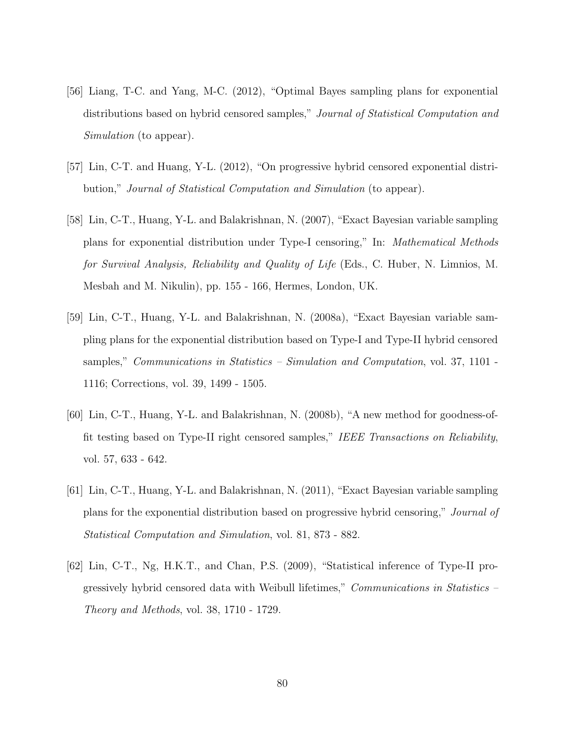- [56] Liang, T-C. and Yang, M-C. (2012), "Optimal Bayes sampling plans for exponential distributions based on hybrid censored samples," Journal of Statistical Computation and Simulation (to appear).
- [57] Lin, C-T. and Huang, Y-L. (2012), "On progressive hybrid censored exponential distribution," Journal of Statistical Computation and Simulation (to appear).
- [58] Lin, C-T., Huang, Y-L. and Balakrishnan, N. (2007), "Exact Bayesian variable sampling plans for exponential distribution under Type-I censoring," In: Mathematical Methods for Survival Analysis, Reliability and Quality of Life (Eds., C. Huber, N. Limnios, M. Mesbah and M. Nikulin), pp. 155 - 166, Hermes, London, UK.
- [59] Lin, C-T., Huang, Y-L. and Balakrishnan, N. (2008a), "Exact Bayesian variable sampling plans for the exponential distribution based on Type-I and Type-II hybrid censored samples," *Communications in Statistics – Simulation and Computation*, vol. 37, 1101 -1116; Corrections, vol. 39, 1499 - 1505.
- [60] Lin, C-T., Huang, Y-L. and Balakrishnan, N. (2008b), "A new method for goodness-offit testing based on Type-II right censored samples," IEEE Transactions on Reliability, vol. 57, 633 - 642.
- [61] Lin, C-T., Huang, Y-L. and Balakrishnan, N. (2011), "Exact Bayesian variable sampling plans for the exponential distribution based on progressive hybrid censoring," Journal of Statistical Computation and Simulation, vol. 81, 873 - 882.
- [62] Lin, C-T., Ng, H.K.T., and Chan, P.S. (2009), "Statistical inference of Type-II progressively hybrid censored data with Weibull lifetimes," *Communications in Statistics –* Theory and Methods, vol. 38, 1710 - 1729.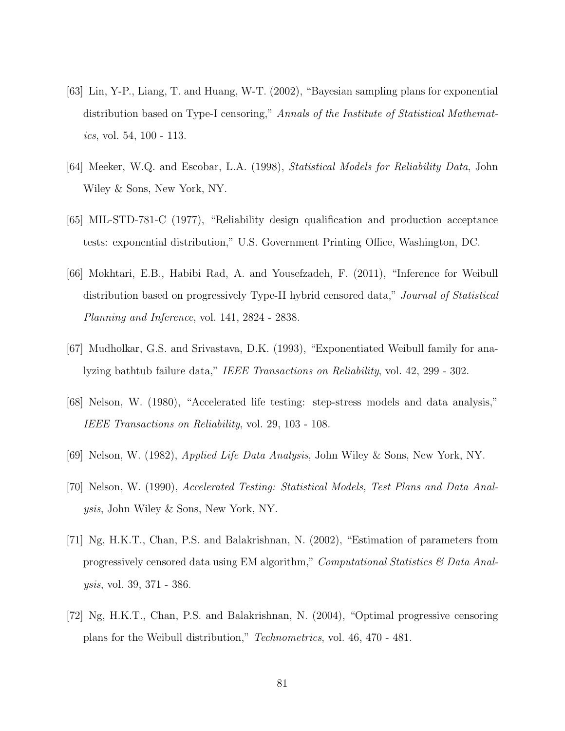- [63] Lin, Y-P., Liang, T. and Huang, W-T. (2002), "Bayesian sampling plans for exponential distribution based on Type-I censoring," Annals of the Institute of Statistical Mathematics, vol. 54,  $100 - 113$ .
- [64] Meeker, W.Q. and Escobar, L.A. (1998), Statistical Models for Reliability Data, John Wiley & Sons, New York, NY.
- [65] MIL-STD-781-C (1977), "Reliability design qualification and production acceptance tests: exponential distribution," U.S. Government Printing Office, Washington, DC.
- [66] Mokhtari, E.B., Habibi Rad, A. and Yousefzadeh, F. (2011), "Inference for Weibull distribution based on progressively Type-II hybrid censored data," Journal of Statistical Planning and Inference, vol. 141, 2824 - 2838.
- [67] Mudholkar, G.S. and Srivastava, D.K. (1993), "Exponentiated Weibull family for analyzing bathtub failure data," IEEE Transactions on Reliability, vol. 42, 299 - 302.
- [68] Nelson, W. (1980), "Accelerated life testing: step-stress models and data analysis," IEEE Transactions on Reliability, vol. 29, 103 - 108.
- [69] Nelson, W. (1982), Applied Life Data Analysis, John Wiley & Sons, New York, NY.
- [70] Nelson, W. (1990), Accelerated Testing: Statistical Models, Test Plans and Data Analysis, John Wiley & Sons, New York, NY.
- [71] Ng, H.K.T., Chan, P.S. and Balakrishnan, N. (2002), "Estimation of parameters from progressively censored data using EM algorithm," Computational Statistics  $\mathcal{B}$  Data Analysis, vol. 39, 371 - 386.
- [72] Ng, H.K.T., Chan, P.S. and Balakrishnan, N. (2004), "Optimal progressive censoring plans for the Weibull distribution," Technometrics, vol. 46, 470 - 481.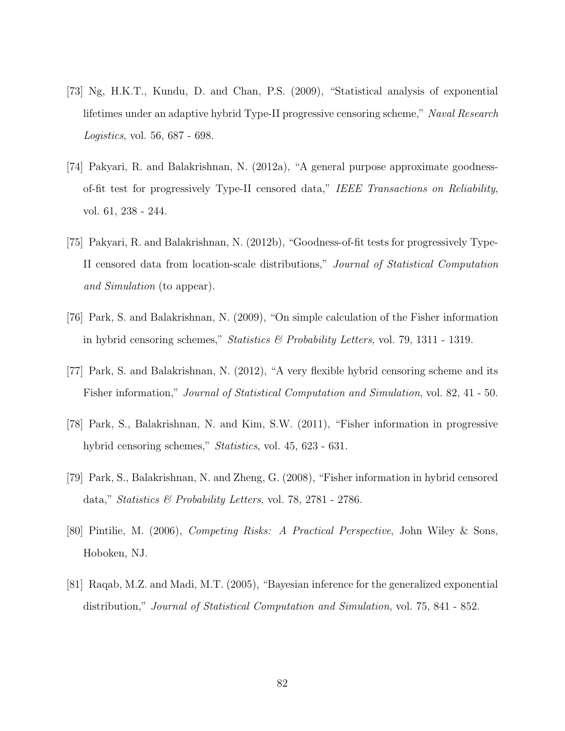- [73] Ng, H.K.T., Kundu, D. and Chan, P.S. (2009), "Statistical analysis of exponential lifetimes under an adaptive hybrid Type-II progressive censoring scheme," Naval Research Logistics, vol. 56, 687 - 698.
- [74] Pakyari, R. and Balakrishnan, N. (2012a), "A general purpose approximate goodnessof-fit test for progressively Type-II censored data," IEEE Transactions on Reliability, vol. 61, 238 - 244.
- [75] Pakyari, R. and Balakrishnan, N. (2012b), "Goodness-of-fit tests for progressively Type-II censored data from location-scale distributions," Journal of Statistical Computation and Simulation (to appear).
- [76] Park, S. and Balakrishnan, N. (2009), "On simple calculation of the Fisher information in hybrid censoring schemes," Statistics & Probability Letters, vol. 79, 1311 - 1319.
- [77] Park, S. and Balakrishnan, N. (2012), "A very flexible hybrid censoring scheme and its Fisher information," Journal of Statistical Computation and Simulation, vol. 82, 41 - 50.
- [78] Park, S., Balakrishnan, N. and Kim, S.W. (2011), "Fisher information in progressive hybrid censoring schemes," Statistics, vol. 45, 623 - 631.
- [79] Park, S., Balakrishnan, N. and Zheng, G. (2008), "Fisher information in hybrid censored data," Statistics & Probability Letters, vol. 78, 2781 - 2786.
- [80] Pintilie, M. (2006), Competing Risks: A Practical Perspective, John Wiley & Sons, Hoboken, NJ.
- [81] Raqab, M.Z. and Madi, M.T. (2005), "Bayesian inference for the generalized exponential distribution," Journal of Statistical Computation and Simulation, vol. 75, 841 - 852.